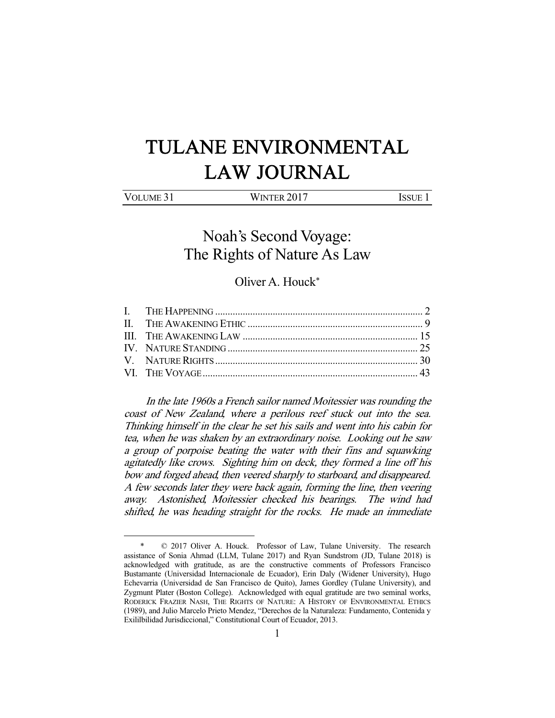# TULANE ENVIRONMENTAL LAW JOURNAL

| VOLUME 31 | WINTER 2017 | <b>ISSUE</b> |
|-----------|-------------|--------------|
|           |             |              |

## Noah's Second Voyage: The Rights of Nature As Law

### Oliver A. Houck\*

 In the late 1960s a French sailor named Moitessier was rounding the coast of New Zealand, where a perilous reef stuck out into the sea. Thinking himself in the clear he set his sails and went into his cabin for tea, when he was shaken by an extraordinary noise. Looking out he saw a group of porpoise beating the water with their fins and squawking agitatedly like crows. Sighting him on deck, they formed a line off his bow and forged ahead, then veered sharply to starboard, and disappeared. A few seconds later they were back again, forming the line, then veering away. Astonished, Moitessier checked his bearings. The wind had shifted, he was heading straight for the rocks. He made an immediate

 <sup>\* © 2017</sup> Oliver A. Houck. Professor of Law, Tulane University. The research assistance of Sonia Ahmad (LLM, Tulane 2017) and Ryan Sundstrom (JD, Tulane 2018) is acknowledged with gratitude, as are the constructive comments of Professors Francisco Bustamante (Universidad Internacionale de Ecuador), Erin Daly (Widener University), Hugo Echevarria (Universidad de San Francisco de Quito), James Gordley (Tulane University), and Zygmunt Plater (Boston College). Acknowledged with equal gratitude are two seminal works, RODERICK FRAZIER NASH, THE RIGHTS OF NATURE: A HISTORY OF ENVIRONMENTAL ETHICS (1989), and Julio Marcelo Prieto Mendez, "Derechos de la Naturaleza: Fundamento, Contenida y Exililbilidad Jurisdiccional," Constitutional Court of Ecuador, 2013.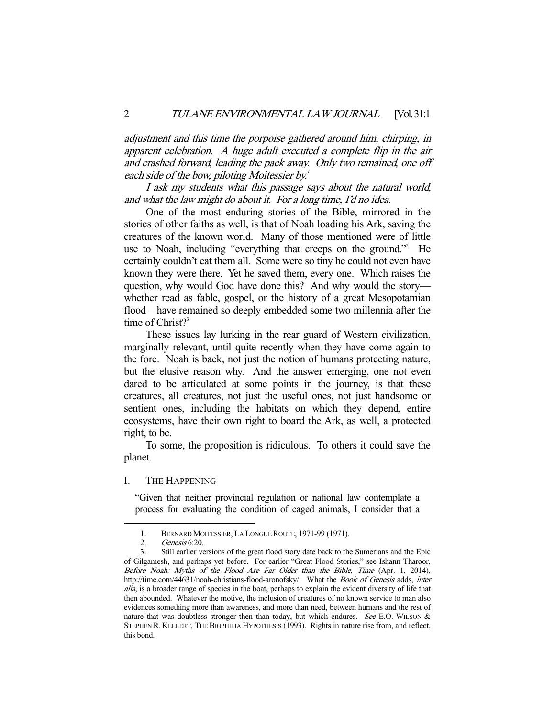adjustment and this time the porpoise gathered around him, chirping, in apparent celebration. A huge adult executed a complete flip in the air and crashed forward, leading the pack away. Only two remained, one off each side of the bow, piloting Moitessier by.<sup>1</sup>

 I ask my students what this passage says about the natural world, and what the law might do about it. For a long time, I'd no idea.

 One of the most enduring stories of the Bible, mirrored in the stories of other faiths as well, is that of Noah loading his Ark, saving the creatures of the known world. Many of those mentioned were of little use to Noah, including "everything that creeps on the ground."<sup>2</sup> He certainly couldn't eat them all. Some were so tiny he could not even have known they were there. Yet he saved them, every one. Which raises the question, why would God have done this? And why would the story whether read as fable, gospel, or the history of a great Mesopotamian flood—have remained so deeply embedded some two millennia after the time of Christ? $3^3$ 

 These issues lay lurking in the rear guard of Western civilization, marginally relevant, until quite recently when they have come again to the fore. Noah is back, not just the notion of humans protecting nature, but the elusive reason why. And the answer emerging, one not even dared to be articulated at some points in the journey, is that these creatures, all creatures, not just the useful ones, not just handsome or sentient ones, including the habitats on which they depend, entire ecosystems, have their own right to board the Ark, as well, a protected right, to be.

 To some, the proposition is ridiculous. To others it could save the planet.

#### I. THE HAPPENING

"Given that neither provincial regulation or national law contemplate a process for evaluating the condition of caged animals, I consider that a

 <sup>1.</sup> BERNARD MOITESSIER, LA LONGUE ROUTE, 1971-99 (1971).

 <sup>2.</sup> Genesis 6:20.

 <sup>3.</sup> Still earlier versions of the great flood story date back to the Sumerians and the Epic of Gilgamesh, and perhaps yet before. For earlier "Great Flood Stories," see Ishann Tharoor, Before Noah: Myths of the Flood Are Far Older than the Bible, Time (Apr. 1, 2014), http://time.com/44631/noah-christians-flood-aronofsky/. What the Book of Genesis adds, inter alia, is a broader range of species in the boat, perhaps to explain the evident diversity of life that then abounded. Whatever the motive, the inclusion of creatures of no known service to man also evidences something more than awareness, and more than need, between humans and the rest of nature that was doubtless stronger then than today, but which endures. See E.O. WILSON  $\&$ STEPHEN R. KELLERT, THE BIOPHILIA HYPOTHESIS (1993). Rights in nature rise from, and reflect, this bond.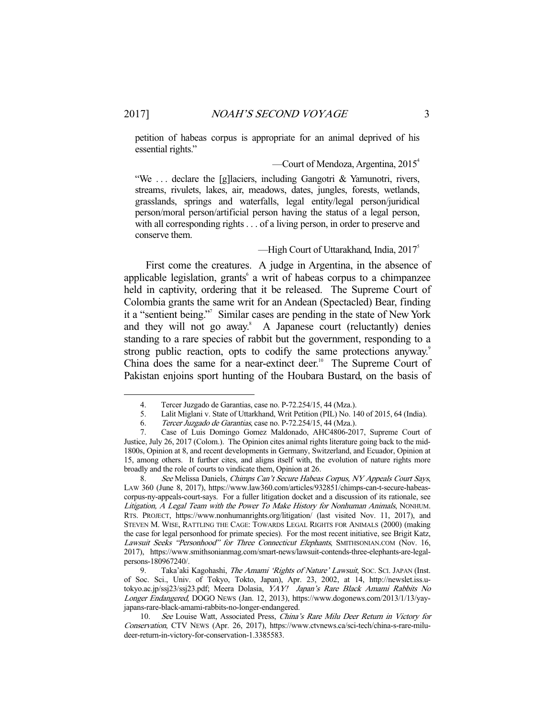petition of habeas corpus is appropriate for an animal deprived of his essential rights."

—Court of Mendoza, Argentina,  $2015^4$ 

"We . . . declare the [g]laciers, including Gangotri & Yamunotri, rivers, streams, rivulets, lakes, air, meadows, dates, jungles, forests, wetlands, grasslands, springs and waterfalls, legal entity/legal person/juridical person/moral person/artificial person having the status of a legal person, with all corresponding rights . . . of a living person, in order to preserve and conserve them.

#### —High Court of Uttarakhand, India,  $2017<sup>5</sup>$

 First come the creatures. A judge in Argentina, in the absence of applicable legislation, grants<sup>6</sup> a writ of habeas corpus to a chimpanzee held in captivity, ordering that it be released. The Supreme Court of Colombia grants the same writ for an Andean (Spectacled) Bear, finding it a "sentient being."7 Similar cases are pending in the state of New York and they will not go away.<sup>8</sup> A Japanese court (reluctantly) denies standing to a rare species of rabbit but the government, responding to a strong public reaction, opts to codify the same protections anyway.<sup>9</sup> China does the same for a near-extinct deer.<sup>10</sup> The Supreme Court of Pakistan enjoins sport hunting of the Houbara Bustard, on the basis of

8. See Melissa Daniels, Chimps Can't Secure Habeas Corpus, NY Appeals Court Says, LAW 360 (June 8, 2017), https://www.law360.com/articles/932851/chimps-can-t-secure-habeascorpus-ny-appeals-court-says. For a fuller litigation docket and a discussion of its rationale, see Litigation, A Legal Team with the Power To Make History for Nonhuman Animals, NONHUM. RTS. PROJECT, https://www.nonhumanrights.org/litigation/ (last visited Nov. 11, 2017), and STEVEN M. WISE, RATTLING THE CAGE: TOWARDS LEGAL RIGHTS FOR ANIMALS (2000) (making the case for legal personhood for primate species). For the most recent initiative, see Brigit Katz, Lawsuit Seeks "Personhood" for Three Connecticut Elephants, SMITHSONIAN.COM (Nov. 16, 2017), https://www.smithsonianmag.com/smart-news/lawsuit-contends-three-elephants-are-legalpersons-180967240/.

9. Taka'aki Kagohashi, The Amami 'Rights of Nature' Lawsuit, Soc. Sci. JAPAN (Inst. of Soc. Sci., Univ. of Tokyo, Tokto, Japan), Apr. 23, 2002, at 14, http://newslet.iss.utokyo.ac.jp/ssj23/ssj23.pdf; Meera Dolasia, YAY! Japan's Rare Black Amami Rabbits No Longer Endangered, DOGO NEWS (Jan. 12, 2013), https://www.dogonews.com/2013/1/13/yayjapans-rare-black-amami-rabbits-no-longer-endangered.

 10. See Louise Watt, Associated Press, China's Rare Milu Deer Return in Victory for Conservation, CTV NEWS (Apr. 26, 2017), https://www.ctvnews.ca/sci-tech/china-s-rare-miludeer-return-in-victory-for-conservation-1.3385583.

 <sup>4.</sup> Tercer Juzgado de Garantias, case no. P-72.254/15, 44 (Mza.).

 <sup>5.</sup> Lalit Miglani v. State of Uttarkhand, Writ Petition (PIL) No. 140 of 2015, 64 (India).

 <sup>6.</sup> Tercer Juzgado de Garantias, case no. P-72.254/15, 44 (Mza.).

 <sup>7.</sup> Case of Luis Domingo Gomez Maldonado, AHC4806-2017, Supreme Court of Justice, July 26, 2017 (Colom.). The Opinion cites animal rights literature going back to the mid-1800s, Opinion at 8, and recent developments in Germany, Switzerland, and Ecuador, Opinion at 15, among others. It further cites, and aligns itself with, the evolution of nature rights more broadly and the role of courts to vindicate them, Opinion at 26.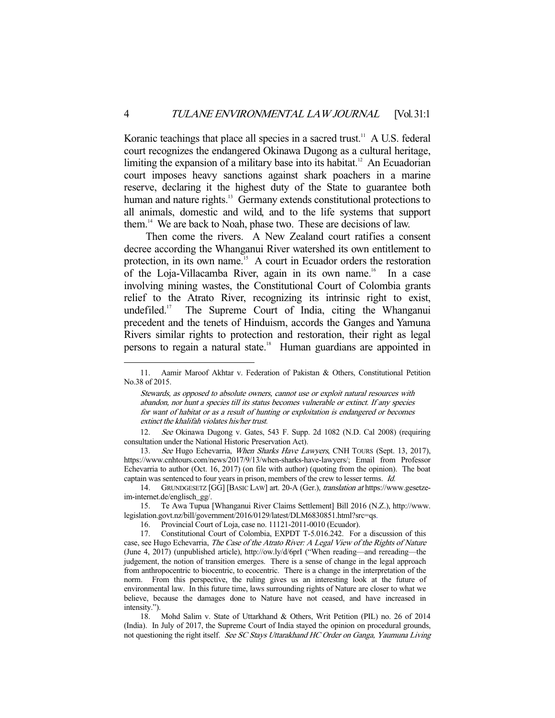Koranic teachings that place all species in a sacred trust.<sup>11</sup> A U.S. federal court recognizes the endangered Okinawa Dugong as a cultural heritage, limiting the expansion of a military base into its habitat.<sup>12</sup> An Ecuadorian court imposes heavy sanctions against shark poachers in a marine reserve, declaring it the highest duty of the State to guarantee both human and nature rights.<sup>13</sup> Germany extends constitutional protections to all animals, domestic and wild, and to the life systems that support them.<sup>14</sup> We are back to Noah, phase two. These are decisions of law.

 Then come the rivers. A New Zealand court ratifies a consent decree according the Whanganui River watershed its own entitlement to protection, in its own name.<sup>15</sup> A court in Ecuador orders the restoration of the Loja-Villacamba River, again in its own name.<sup>16</sup> In a case involving mining wastes, the Constitutional Court of Colombia grants relief to the Atrato River, recognizing its intrinsic right to exist, undefiled.17 The Supreme Court of India, citing the Whanganui precedent and the tenets of Hinduism, accords the Ganges and Yamuna Rivers similar rights to protection and restoration, their right as legal persons to regain a natural state.<sup>18</sup> Human guardians are appointed in

13. See Hugo Echevarria, When Sharks Have Lawyers, CNH TOURS (Sept. 13, 2017), https://www.cnhtours.com/news/2017/9/13/when-sharks-have-lawyers/; Email from Professor Echevarria to author (Oct. 16, 2017) (on file with author) (quoting from the opinion). The boat captain was sentenced to four years in prison, members of the crew to lesser terms. Id.

 18. Mohd Salim v. State of Uttarkhand & Others, Writ Petition (PIL) no. 26 of 2014 (India). In July of 2017, the Supreme Court of India stayed the opinion on procedural grounds, not questioning the right itself. See SC Stays Uttarakhand HC Order on Ganga, Yaumuna Living

 <sup>11.</sup> Aamir Maroof Akhtar v. Federation of Pakistan & Others, Constitutional Petition No.38 of 2015.

Stewards, as opposed to absolute owners, cannot use or exploit natural resources with abandon, nor hunt a species till its status becomes vulnerable or extinct. If any species for want of habitat or as a result of hunting or exploitation is endangered or becomes extinct the khalifah violates his/her trust.

 <sup>12.</sup> See Okinawa Dugong v. Gates, 543 F. Supp. 2d 1082 (N.D. Cal 2008) (requiring consultation under the National Historic Preservation Act).

 <sup>14.</sup> GRUNDGESETZ [GG] [BASIC LAW] art. 20-A (Ger.), translation at https://www.gesetzeim-internet.de/englisch\_gg/.

 <sup>15.</sup> Te Awa Tupua [Whanganui River Claims Settlement] Bill 2016 (N.Z.), http://www. legislation.govt.nz/bill/government/2016/0129/latest/DLM6830851.html?src=qs.

 <sup>16.</sup> Provincial Court of Loja, case no. 11121-2011-0010 (Ecuador).

 <sup>17.</sup> Constitutional Court of Colombia, EXPDT T-5.016.242. For a discussion of this case, see Hugo Echevarria, The Case of the Atrato River: A Legal View of the Rights of Nature (June 4, 2017) (unpublished article), http://ow.ly/d/6prI ("When reading—and rereading—the judgement, the notion of transition emerges. There is a sense of change in the legal approach from anthropocentric to biocentric, to ecocentric. There is a change in the interpretation of the norm. From this perspective, the ruling gives us an interesting look at the future of environmental law. In this future time, laws surrounding rights of Nature are closer to what we believe, because the damages done to Nature have not ceased, and have increased in intensity.").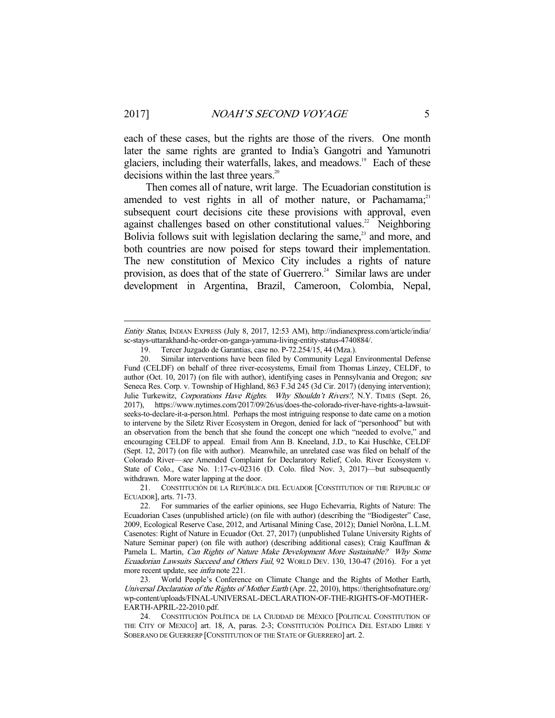each of these cases, but the rights are those of the rivers. One month later the same rights are granted to India's Gangotri and Yamunotri glaciers, including their waterfalls, lakes, and meadows.<sup>19</sup> Each of these decisions within the last three years.<sup>20</sup>

 Then comes all of nature, writ large. The Ecuadorian constitution is amended to vest rights in all of mother nature, or Pachamama; $21$ subsequent court decisions cite these provisions with approval, even against challenges based on other constitutional values.<sup>22</sup> Neighboring Bolivia follows suit with legislation declaring the same, $^{23}$  and more, and both countries are now poised for steps toward their implementation. The new constitution of Mexico City includes a rights of nature provision, as does that of the state of Guerrero.<sup>24</sup> Similar laws are under development in Argentina, Brazil, Cameroon, Colombia, Nepal,

Entity Status, INDIAN EXPRESS (July 8, 2017, 12:53 AM), http://indianexpress.com/article/india/ sc-stays-uttarakhand-hc-order-on-ganga-yamuna-living-entity-status-4740884/.

 <sup>19.</sup> Tercer Juzgado de Garantias, case no. P-72.254/15, 44 (Mza.).

 <sup>20.</sup> Similar interventions have been filed by Community Legal Environmental Defense Fund (CELDF) on behalf of three river-ecosystems, Email from Thomas Linzey, CELDF, to author (Oct. 10, 2017) (on file with author), identifying cases in Pennsylvania and Oregon; see Seneca Res. Corp. v. Township of Highland, 863 F.3d 245 (3d Cir. 2017) (denying intervention); Julie Turkewitz, Corporations Have Rights. Why Shouldn't Rivers?, N.Y. TIMES (Sept. 26, 2017), https://www.nytimes.com/2017/09/26/us/does-the-colorado-river-have-rights-a-lawsuitseeks-to-declare-it-a-person.html. Perhaps the most intriguing response to date came on a motion to intervene by the Siletz River Ecosystem in Oregon, denied for lack of "personhood" but with an observation from the bench that she found the concept one which "needed to evolve," and encouraging CELDF to appeal. Email from Ann B. Kneeland, J.D., to Kai Huschke, CELDF (Sept. 12, 2017) (on file with author). Meanwhile, an unrelated case was filed on behalf of the Colorado River—see Amended Complaint for Declaratory Relief, Colo. River Ecosystem v. State of Colo., Case No. 1:17-cv-02316 (D. Colo. filed Nov. 3, 2017)—but subsequently withdrawn. More water lapping at the door.

 <sup>21.</sup> CONSTITUCIÓN DE LA REPÚBLICA DEL ECUADOR [CONSTITUTION OF THE REPUBLIC OF ECUADOR], arts. 71-73.

 <sup>22.</sup> For summaries of the earlier opinions, see Hugo Echevarria, Rights of Nature: The Ecuadorian Cases (unpublished article) (on file with author) (describing the "Biodigester" Case, 2009, Ecological Reserve Case, 2012, and Artisanal Mining Case, 2012); Daniel Norõna, L.L.M. Casenotes: Right of Nature in Ecuador (Oct. 27, 2017) (unpublished Tulane University Rights of Nature Seminar paper) (on file with author) (describing additional cases); Craig Kauffman & Pamela L. Martin, Can Rights of Nature Make Development More Sustainable? Why Some Ecuadorian Lawsuits Succeed and Others Fail, 92 WORLD DEV. 130, 130-47 (2016). For a yet more recent update, see infra note 221.

 <sup>23.</sup> World People's Conference on Climate Change and the Rights of Mother Earth, Universal Declaration of the Rights of Mother Earth (Apr. 22, 2010), https://therightsofnature.org/ wp-content/uploads/FINAL-UNIVERSAL-DECLARATION-OF-THE-RIGHTS-OF-MOTHER-EARTH-APRIL-22-2010.pdf.

 <sup>24.</sup> CONSTITUCIÓN POLÍTICA DE LA CIUDDAD DE MÉXICO [POLITICAL CONSTITUTION OF THE CITY OF MEXICO] art. 18, A, paras. 2-3; CONSTITUCIÓN POLÍTICA DEL ESTADO LIBRE Y SOBERANO DE GUERRERP [CONSTITUTION OF THE STATE OF GUERRERO] art. 2.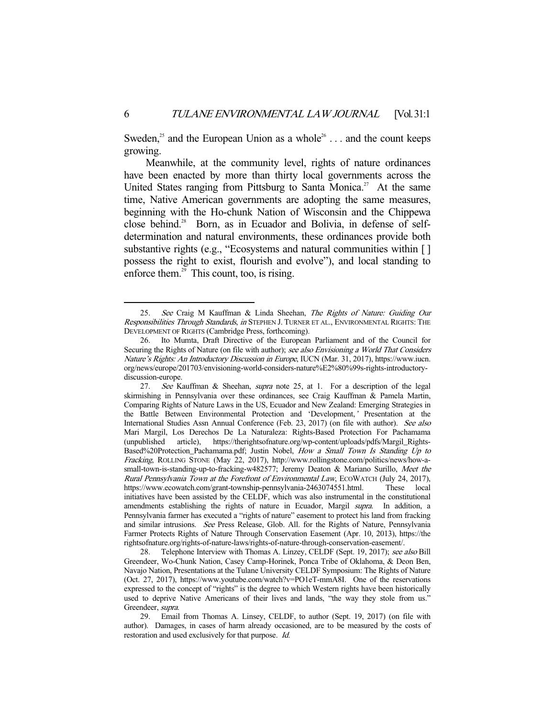Sweden,<sup>25</sup> and the European Union as a whole<sup>26</sup> . . . and the count keeps growing.

 Meanwhile, at the community level, rights of nature ordinances have been enacted by more than thirty local governments across the United States ranging from Pittsburg to Santa Monica.<sup>27</sup> At the same time, Native American governments are adopting the same measures, beginning with the Ho-chunk Nation of Wisconsin and the Chippewa close behind.<sup>28</sup> Born, as in Ecuador and Bolivia, in defense of selfdetermination and natural environments, these ordinances provide both substantive rights (e.g., "Ecosystems and natural communities within [ ] possess the right to exist, flourish and evolve"), and local standing to enforce them.<sup>29</sup> This count, too, is rising.

<sup>25.</sup> See Craig M Kauffman & Linda Sheehan, The Rights of Nature: Guiding Our Responsibilities Through Standards, in STEPHEN J. TURNER ET AL., ENVIRONMENTAL RIGHTS: THE DEVELOPMENT OF RIGHTS (Cambridge Press, forthcoming).

 <sup>26.</sup> Ito Mumta, Draft Directive of the European Parliament and of the Council for Securing the Rights of Nature (on file with author); see also Envisioning a World That Considers Nature's Rights: An Introductory Discussion in Europe, IUCN (Mar. 31, 2017), https://www.iucn. org/news/europe/201703/envisioning-world-considers-nature%E2%80%99s-rights-introductorydiscussion-europe.

 <sup>27.</sup> See Kauffman & Sheehan, supra note 25, at 1. For a description of the legal skirmishing in Pennsylvania over these ordinances, see Craig Kauffman & Pamela Martin, Comparing Rights of Nature Laws in the US, Ecuador and New Zealand: Emerging Strategies in the Battle Between Environmental Protection and 'Development,' Presentation at the International Studies Assn Annual Conference (Feb. 23, 2017) (on file with author). See also Mari Margil, Los Derechos De La Naturaleza: Rights-Based Protection For Pachamama (unpublished article), https://therightsofnature.org/wp-content/uploads/pdfs/Margil\_Rights-Based%20Protection\_Pachamama.pdf; Justin Nobel, How a Small Town Is Standing Up to Fracking, ROLLING STONE (May 22, 2017), http://www.rollingstone.com/politics/news/how-asmall-town-is-standing-up-to-fracking-w482577; Jeremy Deaton & Mariano Surillo, Meet the Rural Pennsylvania Town at the Forefront of Environmental Law, ECOWATCH (July 24, 2017), https://www.ecowatch.com/grant-township-pennsylvania-2463074551.html. These local initiatives have been assisted by the CELDF, which was also instrumental in the constitutional amendments establishing the rights of nature in Ecuador, Margil supra. In addition, a Pennsylvania farmer has executed a "rights of nature" easement to protect his land from fracking and similar intrusions. See Press Release, Glob. All. for the Rights of Nature, Pennsylvania Farmer Protects Rights of Nature Through Conservation Easement (Apr. 10, 2013), https://the rightsofnature.org/rights-of-nature-laws/rights-of-nature-through-conservation-easement/.

<sup>28.</sup> Telephone Interview with Thomas A. Linzey, CELDF (Sept. 19, 2017); see also Bill Greendeer, Wo-Chunk Nation, Casey Camp-Horinek, Ponca Tribe of Oklahoma, & Deon Ben, Navajo Nation, Presentations at the Tulane University CELDF Symposium: The Rights of Nature (Oct. 27, 2017), https://www.youtube.com/watch?v=PO1eT-mmA8I. One of the reservations expressed to the concept of "rights" is the degree to which Western rights have been historically used to deprive Native Americans of their lives and lands, "the way they stole from us." Greendeer, supra.

 <sup>29.</sup> Email from Thomas A. Linsey, CELDF, to author (Sept. 19, 2017) (on file with author). Damages, in cases of harm already occasioned, are to be measured by the costs of restoration and used exclusively for that purpose. Id.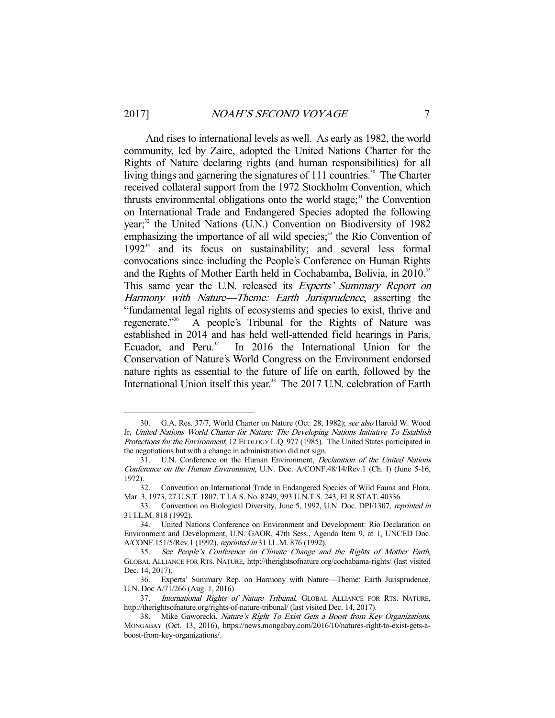And rises to international levels as well. As early as 1982, the world community, led by Zaire, adopted the United Nations Charter for the Rights of Nature declaring rights (and human responsibilities) for all living things and garnering the signatures of 111 countries.<sup>30</sup> The Charter received collateral support from the 1972 Stockholm Convention, which thrusts environmental obligations onto the world stage; $31$  the Convention on International Trade and Endangered Species adopted the following year;<sup>32</sup> the United Nations (U.N.) Convention on Biodiversity of 1982 emphasizing the importance of all wild species; $33$  the Rio Convention of  $1992^{34}$  and its focus on sustainability; and several less formal convocations since including the People's Conference on Human Rights and the Rights of Mother Earth held in Cochabamba, Bolivia, in 2010.<sup>35</sup> This same year the U.N. released its *Experts' Summary Report on* Harmony with Nature—Theme: Earth Jurisprudence, asserting the "fundamental legal rights of ecosystems and species to exist, thrive and regenerate."36 A people's Tribunal for the Rights of Nature was established in 2014 and has held well-attended field hearings in Paris, Ecuador, and Peru. $37 \text{ In } 2016$  the International Union for the Conservation of Nature's World Congress on the Environment endorsed nature rights as essential to the future of life on earth, followed by the International Union itself this year.<sup>38</sup> The 2017 U.N. celebration of Earth

 <sup>30.</sup> G.A. Res. 37/7, World Charter on Nature (Oct. 28, 1982); see also Harold W. Wood Jr, United Nations World Charter for Nature: The Developing Nations Initiative To Establish Protections for the Environment, 12 ECOLOGY L.Q. 977 (1985). The United States participated in the negotiations but with a change in administration did not sign.

 <sup>31.</sup> U.N. Conference on the Human Environment, Declaration of the United Nations Conference on the Human Environment, U.N. Doc. A/CONF.48/14/Rev.1 (Ch. I) (June 5-16, 1972).

 <sup>32.</sup> Convention on International Trade in Endangered Species of Wild Fauna and Flora, Mar. 3, 1973, 27 U.S.T. 1807, T.I.A.S. No. 8249, 993 U.N.T.S. 243, ELR STAT. 40336.

 <sup>33.</sup> Convention on Biological Diversity, June 5, 1992, U.N. Doc. DPI/1307, reprinted in 31 I.L.M. 818 (1992).

 <sup>34.</sup> United Nations Conference on Environment and Development: Rio Declaration on Environment and Development, U.N. GAOR, 47th Sess., Agenda Item 9, at 1, UNCED Doc. A/CONF.151/5/Rev.1 (1992), reprinted in 31 I.L.M. 876 (1992).

 <sup>35.</sup> See People's Conference on Climate Change and the Rights of Mother Earth, GLOBAL ALLIANCE FOR RTS. NATURE, http://therightsofnature.org/cochabama-rights/ (last visited Dec. 14, 2017).

 <sup>36.</sup> Experts' Summary Rep. on Harmony with Nature—Theme: Earth Jurisprudence, U.N. Doc A/71/266 (Aug. 1, 2016).

<sup>37.</sup> International Rights of Nature Tribunal, GLOBAL ALLIANCE FOR RTS. NATURE, http://therightsofnature.org/rights-of-nature-tribunal/ (last visited Dec. 14, 2017).

 <sup>38.</sup> Mike Gaworecki, Nature's Right To Exist Gets a Boost from Key Organizations, MONGABAY (Oct. 13, 2016), https://news.mongabay.com/2016/10/natures-right-to-exist-gets-aboost-from-key-organizations/.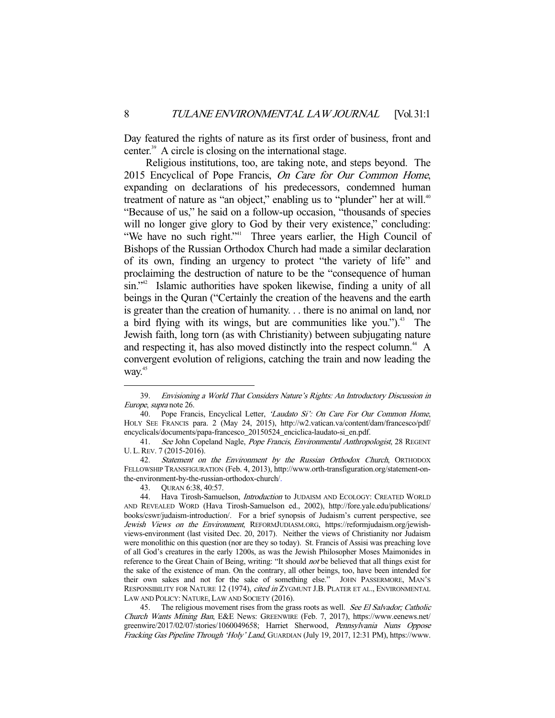Day featured the rights of nature as its first order of business, front and center.<sup>39</sup> A circle is closing on the international stage.

 Religious institutions, too, are taking note, and steps beyond. The 2015 Encyclical of Pope Francis, On Care for Our Common Home, expanding on declarations of his predecessors, condemned human treatment of nature as "an object," enabling us to "plunder" her at will.<sup>40</sup> "Because of us," he said on a follow-up occasion, "thousands of species will no longer give glory to God by their very existence," concluding: "We have no such right."<sup>41</sup> Three years earlier, the High Council of Bishops of the Russian Orthodox Church had made a similar declaration of its own, finding an urgency to protect "the variety of life" and proclaiming the destruction of nature to be the "consequence of human sin."42 Islamic authorities have spoken likewise, finding a unity of all beings in the Quran ("Certainly the creation of the heavens and the earth is greater than the creation of humanity. . . there is no animal on land, nor a bird flying with its wings, but are communities like you.").<sup>43</sup> The Jewish faith, long torn (as with Christianity) between subjugating nature and respecting it, has also moved distinctly into the respect column.<sup>44</sup> A convergent evolution of religions, catching the train and now leading the way.<sup>45</sup>

 <sup>39.</sup> Envisioning a World That Considers Nature's Rights: An Introductory Discussion in Europe, supra note 26.

<sup>40.</sup> Pope Francis, Encyclical Letter, 'Laudato Si': On Care For Our Common Home, HOLY SEE FRANCIS para. 2 (May 24, 2015), http://w2.vatican.va/content/dam/francesco/pdf/ encyclicals/documents/papa-francesco\_20150524\_enciclica-laudato-si\_en.pdf.

<sup>41.</sup> See John Copeland Nagle, Pope Francis, Environmental Anthropologist, 28 REGENT U. L.REV. 7 (2015-2016).

 <sup>42.</sup> Statement on the Environment by the Russian Orthodox Church, ORTHODOX FELLOWSHIP TRANSFIGURATION (Feb. 4, 2013), http://www.orth-transfiguration.org/statement-onthe-environment-by-the-russian-orthodox-church/.

 <sup>43.</sup> QURAN 6:38, 40:57.

<sup>44.</sup> Hava Tirosh-Samuelson, *Introduction* to JUDAISM AND ECOLOGY: CREATED WORLD AND REVEALED WORD (Hava Tirosh-Samuelson ed., 2002), http://fore.yale.edu/publications/ books/cswr/judaism-introduction/. For a brief synopsis of Judaism's current perspective, see Jewish Views on the Environment, REFORMJUDIASM.ORG, https://reformjudaism.org/jewishviews-environment (last visited Dec. 20, 2017). Neither the views of Christianity nor Judaism were monolithic on this question (nor are they so today). St. Francis of Assisi was preaching love of all God's creatures in the early 1200s, as was the Jewish Philosopher Moses Maimonides in reference to the Great Chain of Being, writing: "It should *not* be believed that all things exist for the sake of the existence of man. On the contrary, all other beings, too, have been intended for their own sakes and not for the sake of something else." JOHN PASSERMORE, MAN'S RESPONSIBILITY FOR NATURE 12 (1974), cited in ZYGMUNT J.B. PLATER ET AL., ENVIRONMENTAL LAW AND POLICY: NATURE, LAW AND SOCIETY (2016).

<sup>45.</sup> The religious movement rises from the grass roots as well. See El Salvador; Catholic Church Wants Mining Ban, E&E News: GREENWIRE (Feb. 7, 2017), https://www.eenews.net/ greenwire/2017/02/07/stories/1060049658; Harriet Sherwood, Pennsylvania Nuns Oppose Fracking Gas Pipeline Through 'Holy' Land, GUARDIAN (July 19, 2017, 12:31 PM), https://www.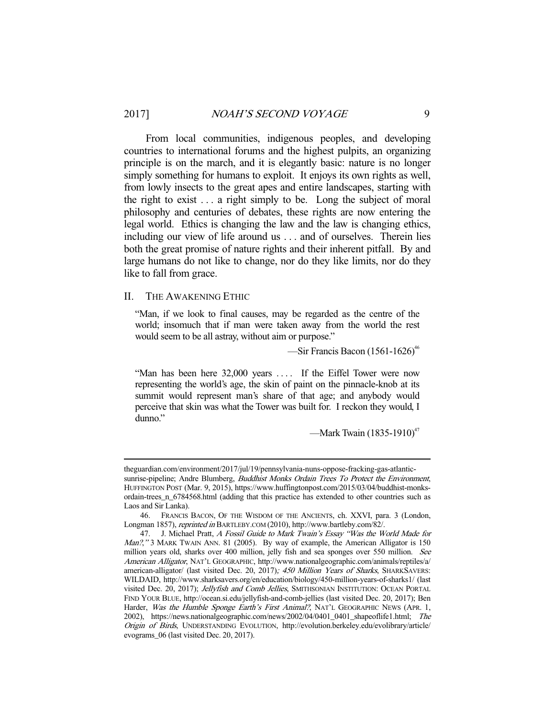From local communities, indigenous peoples, and developing countries to international forums and the highest pulpits, an organizing principle is on the march, and it is elegantly basic: nature is no longer simply something for humans to exploit. It enjoys its own rights as well, from lowly insects to the great apes and entire landscapes, starting with the right to exist . . . a right simply to be. Long the subject of moral philosophy and centuries of debates, these rights are now entering the legal world. Ethics is changing the law and the law is changing ethics, including our view of life around us . . . and of ourselves. Therein lies both the great promise of nature rights and their inherent pitfall. By and large humans do not like to change, nor do they like limits, nor do they like to fall from grace.

II. THE AWAKENING ETHIC

-

"Man, if we look to final causes, may be regarded as the centre of the world; insomuch that if man were taken away from the world the rest would seem to be all astray, without aim or purpose."

—Sir Francis Bacon  $(1561-1626)^{46}$ 

"Man has been here 32,000 years .... If the Eiffel Tower were now representing the world's age, the skin of paint on the pinnacle-knob at its summit would represent man's share of that age; and anybody would perceive that skin was what the Tower was built for. I reckon they would, I dunno."

—Mark Twain  $(1835-1910)^{47}$ 

theguardian.com/environment/2017/jul/19/pennsylvania-nuns-oppose-fracking-gas-atlanticsunrise-pipeline; Andre Blumberg, *Buddhist Monks Ordain Trees To Protect the Environment*, HUFFINGTON POST (Mar. 9, 2015), https://www.huffingtonpost.com/2015/03/04/buddhist-monksordain-trees\_n\_6784568.html (adding that this practice has extended to other countries such as Laos and Sir Lanka).

 <sup>46.</sup> FRANCIS BACON, OF THE WISDOM OF THE ANCIENTS, ch. XXVI, para. 3 (London, Longman 1857), reprinted in BARTLEBY.COM (2010), http://www.bartleby.com/82/.

<sup>47.</sup> J. Michael Pratt, A Fossil Guide to Mark Twain's Essay "Was the World Made for Man?," 3 MARK TWAIN ANN. 81 (2005). By way of example, the American Alligator is 150 million years old, sharks over 400 million, jelly fish and sea sponges over 550 million. See American Alligator, NAT'L GEOGRAPHIC, http://www.nationalgeographic.com/animals/reptiles/a/ american-alligator/ (last visited Dec. 20, 2017); 450 Million Years of Sharks, SHARKSAVERS: WILDAID, http://www.sharksavers.org/en/education/biology/450-million-years-of-sharks1/ (last visited Dec. 20, 2017); Jellyfish and Comb Jellies, SMITHSONIAN INSTITUTION: OCEAN PORTAL FIND YOUR BLUE, http://ocean.si.edu/jellyfish-and-comb-jellies (last visited Dec. 20, 2017); Ben Harder, Was the Humble Sponge Earth's First Animal?, NAT'L GEOGRAPHIC NEWS (APR. 1, 2002), https://news.nationalgeographic.com/news/2002/04/0401\_0401\_shapeoflife1.html; The Origin of Birds, UNDERSTANDING EVOLUTION, http://evolution.berkeley.edu/evolibrary/article/ evograms\_06 (last visited Dec. 20, 2017).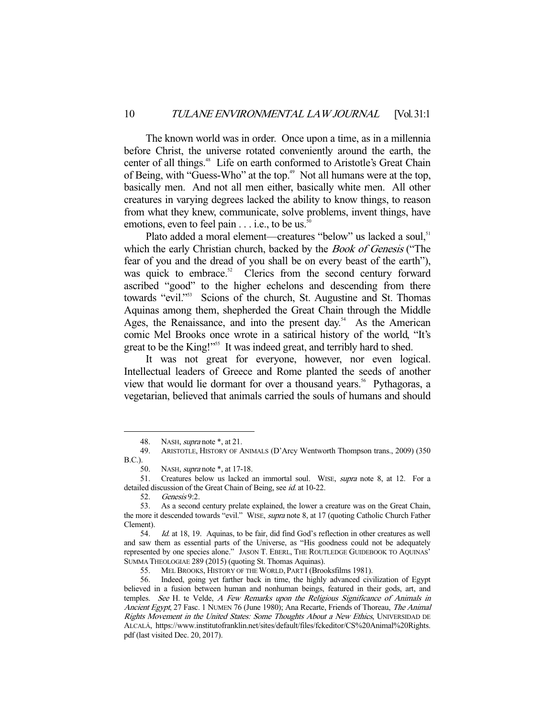The known world was in order. Once upon a time, as in a millennia before Christ, the universe rotated conveniently around the earth, the center of all things.<sup>48</sup> Life on earth conformed to Aristotle's Great Chain of Being, with "Guess-Who" at the top.<sup>49</sup> Not all humans were at the top, basically men. And not all men either, basically white men. All other creatures in varying degrees lacked the ability to know things, to reason from what they knew, communicate, solve problems, invent things, have emotions, even to feel pain  $\dots$  i.e., to be us.<sup>50</sup>

Plato added a moral element—creatures "below" us lacked a soul.<sup>51</sup> which the early Christian church, backed by the Book of Genesis ("The fear of you and the dread of you shall be on every beast of the earth"), was quick to embrace.<sup>52</sup> Clerics from the second century forward ascribed "good" to the higher echelons and descending from there towards "evil."<sup>53</sup> Scions of the church, St. Augustine and St. Thomas Aquinas among them, shepherded the Great Chain through the Middle Ages, the Renaissance, and into the present day.<sup>54</sup> As the American comic Mel Brooks once wrote in a satirical history of the world, "It's great to be the King!"<sup>555</sup> It was indeed great, and terribly hard to shed.

 It was not great for everyone, however, nor even logical. Intellectual leaders of Greece and Rome planted the seeds of another view that would lie dormant for over a thousand years.<sup>56</sup> Pythagoras, a vegetarian, believed that animals carried the souls of humans and should

<sup>48.</sup> NASH, *supra* note \*, at 21.

 <sup>49.</sup> ARISTOTLE, HISTORY OF ANIMALS (D'Arcy Wentworth Thompson trans., 2009) (350 B.C.).

<sup>50.</sup> NASH, *supra* note \*, at 17-18.

<sup>51.</sup> Creatures below us lacked an immortal soul. WISE, *supra* note 8, at 12. For a detailed discussion of the Great Chain of Being, see id. at 10-22.

 <sup>52.</sup> Genesis 9:2.

 <sup>53.</sup> As a second century prelate explained, the lower a creature was on the Great Chain, the more it descended towards "evil." WISE, supra note 8, at 17 (quoting Catholic Church Father Clement).

 <sup>54.</sup> Id. at 18, 19. Aquinas, to be fair, did find God's reflection in other creatures as well and saw them as essential parts of the Universe, as "His goodness could not be adequately represented by one species alone." JASON T. EBERL, THE ROUTLEDGE GUIDEBOOK TO AQUINAS' SUMMA THEOLOGIAE 289 (2015) (quoting St. Thomas Aquinas).

 <sup>55.</sup> MEL BROOKS, HISTORY OF THE WORLD, PART I (Brooksfilms 1981).

 <sup>56.</sup> Indeed, going yet farther back in time, the highly advanced civilization of Egypt believed in a fusion between human and nonhuman beings, featured in their gods, art, and temples. See H. te Velde, A Few Remarks upon the Religious Significance of Animals in Ancient Egypt, 27 Fasc. 1 NUMEN 76 (June 1980); Ana Recarte, Friends of Thoreau, The Animal Rights Movement in the United States: Some Thoughts About a New Ethics, UNIVERSIDAD DE ALCALÁ, https://www.institutofranklin.net/sites/default/files/fckeditor/CS%20Animal%20Rights. pdf (last visited Dec. 20, 2017).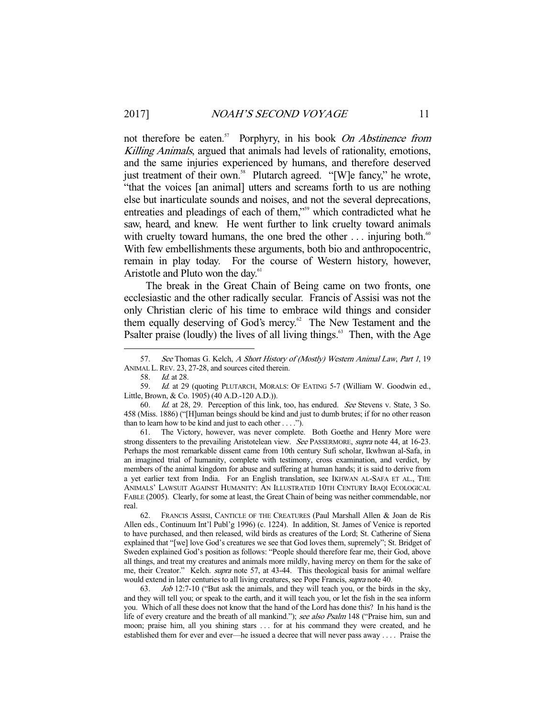not therefore be eaten.<sup>57</sup> Porphyry, in his book On Abstinence from Killing Animals, argued that animals had levels of rationality, emotions, and the same injuries experienced by humans, and therefore deserved just treatment of their own.<sup>58</sup> Plutarch agreed. "[W]e fancy," he wrote, "that the voices [an animal] utters and screams forth to us are nothing else but inarticulate sounds and noises, and not the several deprecations, entreaties and pleadings of each of them,"<sup>59</sup> which contradicted what he saw, heard, and knew. He went further to link cruelty toward animals with cruelty toward humans, the one bred the other  $\dots$  injuring both.<sup>60</sup> With few embellishments these arguments, both bio and anthropocentric, remain in play today. For the course of Western history, however, Aristotle and Pluto won the day.<sup>61</sup>

 The break in the Great Chain of Being came on two fronts, one ecclesiastic and the other radically secular. Francis of Assisi was not the only Christian cleric of his time to embrace wild things and consider them equally deserving of God's mercy.<sup>62</sup> The New Testament and the Psalter praise (loudly) the lives of all living things. $63$  Then, with the Age

-

 61. The Victory, however, was never complete. Both Goethe and Henry More were strong dissenters to the prevailing Aristotelean view. See PASSERMORE, supra note 44, at 16-23. Perhaps the most remarkable dissent came from 10th century Sufi scholar, Ikwhwan al-Safa, in an imagined trial of humanity, complete with testimony, cross examination, and verdict, by members of the animal kingdom for abuse and suffering at human hands; it is said to derive from a yet earlier text from India. For an English translation, see IKHWAN AL-SAFA ET AL., THE ANIMALS' LAWSUIT AGAINST HUMANITY: AN ILLUSTRATED 10TH CENTURY IRAQI ECOLOGICAL FABLE (2005). Clearly, for some at least, the Great Chain of being was neither commendable, nor real.

 62. FRANCIS ASSISI, CANTICLE OF THE CREATURES (Paul Marshall Allen & Joan de Ris Allen eds., Continuum Int'l Publ'g 1996) (c. 1224). In addition, St. James of Venice is reported to have purchased, and then released, wild birds as creatures of the Lord; St. Catherine of Siena explained that "[we] love God's creatures we see that God loves them, supremely"; St. Bridget of Sweden explained God's position as follows: "People should therefore fear me, their God, above all things, and treat my creatures and animals more mildly, having mercy on them for the sake of me, their Creator." Kelch. *supra* note 57, at 43-44. This theological basis for animal welfare would extend in later centuries to all living creatures, see Pope Francis, supra note 40.

63. *Job* 12:7-10 ("But ask the animals, and they will teach you, or the birds in the sky, and they will tell you; or speak to the earth, and it will teach you, or let the fish in the sea inform you. Which of all these does not know that the hand of the Lord has done this? In his hand is the life of every creature and the breath of all mankind."); see also Psalm 148 ("Praise him, sun and moon; praise him, all you shining stars . . . for at his command they were created, and he established them for ever and ever—he issued a decree that will never pass away . . . . Praise the

<sup>57.</sup> See Thomas G. Kelch, A Short History of (Mostly) Western Animal Law, Part 1, 19 ANIMAL L.REV. 23, 27-28, and sources cited therein.

<sup>58.</sup> *Id.* at 28.

<sup>59.</sup> Id. at 29 (quoting PLUTARCH, MORALS: OF EATING 5-7 (William W. Goodwin ed., Little, Brown, & Co. 1905) (40 A.D.-120 A.D.)).

<sup>60.</sup> Id. at 28, 29. Perception of this link, too, has endured. See Stevens v. State, 3 So. 458 (Miss. 1886) ("[H]uman beings should be kind and just to dumb brutes; if for no other reason than to learn how to be kind and just to each other . . . .").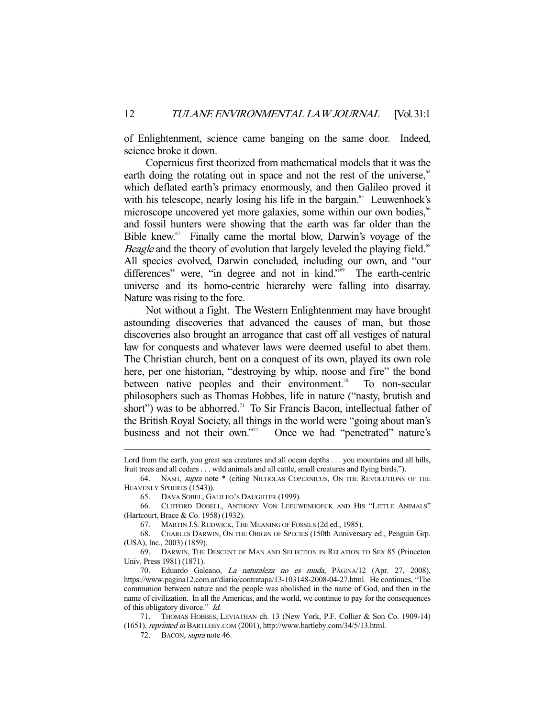of Enlightenment, science came banging on the same door. Indeed, science broke it down.

 Copernicus first theorized from mathematical models that it was the earth doing the rotating out in space and not the rest of the universe,  $64$ which deflated earth's primacy enormously, and then Galileo proved it with his telescope, nearly losing his life in the bargain.<sup>65</sup> Leuwenhoek's microscope uncovered yet more galaxies, some within our own bodies,<sup>66</sup> and fossil hunters were showing that the earth was far older than the Bible knew.<sup>67</sup> Finally came the mortal blow, Darwin's voyage of the Beagle and the theory of evolution that largely leveled the playing field.<sup>68</sup> All species evolved, Darwin concluded, including our own, and "our differences" were, "in degree and not in kind."<sup>69</sup> The earth-centric universe and its homo-centric hierarchy were falling into disarray. Nature was rising to the fore.

 Not without a fight. The Western Enlightenment may have brought astounding discoveries that advanced the causes of man, but those discoveries also brought an arrogance that cast off all vestiges of natural law for conquests and whatever laws were deemed useful to abet them. The Christian church, bent on a conquest of its own, played its own role here, per one historian, "destroying by whip, noose and fire" the bond between native peoples and their environment.<sup>70</sup> To non-secular philosophers such as Thomas Hobbes, life in nature ("nasty, brutish and short") was to be abhorred.<sup>71</sup> To Sir Francis Bacon, intellectual father of the British Royal Society, all things in the world were "going about man's business and not their own."<sup>72</sup> Once we had "penetrated" nature's

Lord from the earth, you great sea creatures and all ocean depths . . . you mountains and all hills, fruit trees and all cedars . . . wild animals and all cattle, small creatures and flying birds.").

 <sup>64.</sup> NASH, supra note \* (citing NICHOLAS COPERNICUS, ON THE REVOLUTIONS OF THE HEAVENLY SPHERES (1543)).

 <sup>65.</sup> DAVA SOBEL, GALILEO'S DAUGHTER (1999).

 <sup>66.</sup> CLIFFORD DOBELL, ANTHONY VON LEEUWENHOECK AND HIS "LITTLE ANIMALS" (Hartcourt, Brace & Co. 1958) (1932).

 <sup>67.</sup> MARTIN J.S.RUDWICK, THE MEANING OF FOSSILS (2d ed., 1985).

 <sup>68.</sup> CHARLES DARWIN, ON THE ORIGIN OF SPECIES (150th Anniversary ed., Penguin Grp. (USA), Inc., 2003) (1859).

 <sup>69.</sup> DARWIN, THE DESCENT OF MAN AND SELECTION IN RELATION TO SEX 85 (Princeton Univ. Press 1981) (1871).

 <sup>70.</sup> Eduardo Galeano, La naturaleza no es muda, PÁGINA/12 (Apr. 27, 2008), https://www.pagina12.com.ar/diario/contratapa/13-103148-2008-04-27.html. He continues, "The communion between nature and the people was abolished in the name of God, and then in the name of civilization. In all the Americas, and the world, we continue to pay for the consequences of this obligatory divorce." Id.

 <sup>71.</sup> THOMAS HOBBES, LEVIATHAN ch. 13 (New York, P.F. Collier & Son Co. 1909-14) (1651), reprinted in BARTLEBY.COM (2001), http://www.bartleby.com/34/5/13.html.

<sup>72.</sup> BACON, *supra* note 46.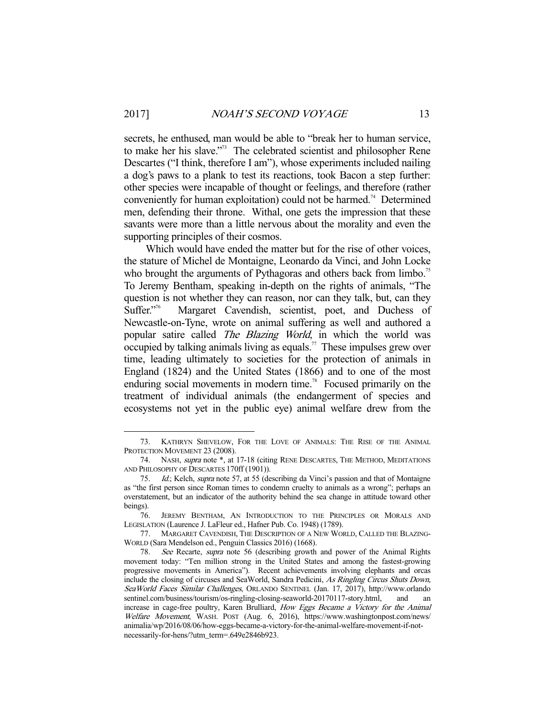secrets, he enthused, man would be able to "break her to human service, to make her his slave."73 The celebrated scientist and philosopher Rene Descartes ("I think, therefore I am"), whose experiments included nailing a dog's paws to a plank to test its reactions, took Bacon a step further: other species were incapable of thought or feelings, and therefore (rather conveniently for human exploitation) could not be harmed.<sup>74</sup> Determined men, defending their throne. Withal, one gets the impression that these savants were more than a little nervous about the morality and even the supporting principles of their cosmos.

Which would have ended the matter but for the rise of other voices, the stature of Michel de Montaigne, Leonardo da Vinci, and John Locke who brought the arguments of Pythagoras and others back from limbo.<sup>75</sup> To Jeremy Bentham, speaking in-depth on the rights of animals, "The question is not whether they can reason, nor can they talk, but, can they Suffer.<sup>776</sup> Margaret Cavendish, scientist, poet, and Duchess of Margaret Cavendish, scientist, poet, and Duchess of Newcastle-on-Tyne, wrote on animal suffering as well and authored a popular satire called The Blazing World, in which the world was occupied by talking animals living as equals.<sup>77</sup> These impulses grew over time, leading ultimately to societies for the protection of animals in England (1824) and the United States (1866) and to one of the most enduring social movements in modern time.<sup>78</sup> Focused primarily on the treatment of individual animals (the endangerment of species and ecosystems not yet in the public eye) animal welfare drew from the

 <sup>73.</sup> KATHRYN SHEVELOW, FOR THE LOVE OF ANIMALS: THE RISE OF THE ANIMAL PROTECTION MOVEMENT 23 (2008).

 <sup>74.</sup> NASH, supra note \*, at 17-18 (citing RENE DESCARTES, THE METHOD, MEDITATIONS AND PHILOSOPHY OF DESCARTES 170ff (1901)).

 <sup>75.</sup> Id.; Kelch, supra note 57, at 55 (describing da Vinci's passion and that of Montaigne as "the first person since Roman times to condemn cruelty to animals as a wrong"; perhaps an overstatement, but an indicator of the authority behind the sea change in attitude toward other beings).

 <sup>76.</sup> JEREMY BENTHAM, AN INTRODUCTION TO THE PRINCIPLES OR MORALS AND LEGISLATION (Laurence J. LaFleur ed., Hafner Pub. Co. 1948) (1789).

 <sup>77.</sup> MARGARET CAVENDISH, THE DESCRIPTION OF A NEW WORLD, CALLED THE BLAZING-WORLD (Sara Mendelson ed., Penguin Classics 2016) (1668).

 <sup>78.</sup> See Recarte, supra note 56 (describing growth and power of the Animal Rights movement today: "Ten million strong in the United States and among the fastest-growing progressive movements in America"). Recent achievements involving elephants and orcas include the closing of circuses and SeaWorld, Sandra Pedicini, As Ringling Circus Shuts Down, SeaWorld Faces Similar Challenges, ORLANDO SENTINEL (Jan. 17, 2017), http://www.orlando sentinel.com/business/tourism/os-ringling-closing-seaworld-20170117-story.html, and an increase in cage-free poultry, Karen Brulliard, How Eggs Became a Victory for the Animal Welfare Movement, WASH. POST (Aug. 6, 2016), https://www.washingtonpost.com/news/ animalia/wp/2016/08/06/how-eggs-became-a-victory-for-the-animal-welfare-movement-if-notnecessarily-for-hens/?utm\_term=.649e2846b923.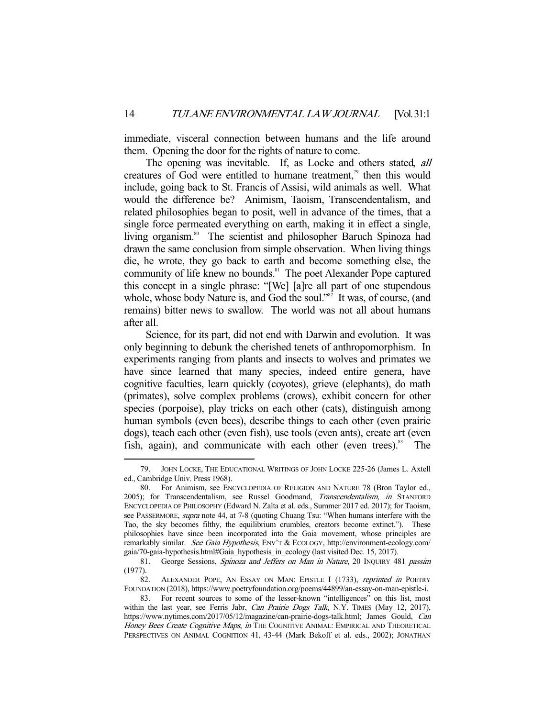immediate, visceral connection between humans and the life around them. Opening the door for the rights of nature to come.

The opening was inevitable. If, as Locke and others stated, all creatures of God were entitled to humane treatment,<sup> $\frac{1}{2}$ </sup> then this would include, going back to St. Francis of Assisi, wild animals as well. What would the difference be? Animism, Taoism, Transcendentalism, and related philosophies began to posit, well in advance of the times, that a single force permeated everything on earth, making it in effect a single, living organism.<sup>80</sup> The scientist and philosopher Baruch Spinoza had drawn the same conclusion from simple observation. When living things die, he wrote, they go back to earth and become something else, the community of life knew no bounds.<sup>81</sup> The poet Alexander Pope captured this concept in a single phrase: "[We] [a]re all part of one stupendous whole, whose body Nature is, and God the soul."<sup>82</sup> It was, of course, (and remains) bitter news to swallow. The world was not all about humans after all.

 Science, for its part, did not end with Darwin and evolution. It was only beginning to debunk the cherished tenets of anthropomorphism. In experiments ranging from plants and insects to wolves and primates we have since learned that many species, indeed entire genera, have cognitive faculties, learn quickly (coyotes), grieve (elephants), do math (primates), solve complex problems (crows), exhibit concern for other species (porpoise), play tricks on each other (cats), distinguish among human symbols (even bees), describe things to each other (even prairie dogs), teach each other (even fish), use tools (even ants), create art (even fish, again), and communicate with each other (even trees). $83$  The

 <sup>79.</sup> JOHN LOCKE, THE EDUCATIONAL WRITINGS OF JOHN LOCKE 225-26 (James L. Axtell ed., Cambridge Univ. Press 1968).

 <sup>80.</sup> For Animism, see ENCYCLOPEDIA OF RELIGION AND NATURE 78 (Bron Taylor ed., 2005); for Transcendentalism, see Russel Goodmand, Transcendentalism, in STANFORD ENCYCLOPEDIA OF PHILOSOPHY (Edward N. Zalta et al. eds., Summer 2017 ed. 2017); for Taoism, see PASSERMORE, *supra* note 44, at 7-8 (quoting Chuang Tsu: "When humans interfere with the Tao, the sky becomes filthy, the equilibrium crumbles, creators become extinct."). These philosophies have since been incorporated into the Gaia movement, whose principles are remarkably similar. See Gaia Hypothesis, ENV'T & ECOLOGY, http://environment-ecology.com/ gaia/70-gaia-hypothesis.html#Gaia\_hypothesis\_in\_ecology (last visited Dec. 15, 2017).

<sup>81.</sup> George Sessions, Spinoza and Jeffers on Man in Nature, 20 INQUIRY 481 passim (1977).

<sup>82.</sup> ALEXANDER POPE, AN ESSAY ON MAN: EPISTLE I (1733), reprinted in POETRY FOUNDATION (2018), https://www.poetryfoundation.org/poems/44899/an-essay-on-man-epistle-i.

 <sup>83.</sup> For recent sources to some of the lesser-known "intelligences" on this list, most within the last year, see Ferris Jabr, Can Prairie Dogs Talk, N.Y. TIMES (May 12, 2017), https://www.nytimes.com/2017/05/12/magazine/can-prairie-dogs-talk.html; James Gould, Can Honey Bees Create Cognitive Maps, in THE COGNITIVE ANIMAL: EMPIRICAL AND THEORETICAL PERSPECTIVES ON ANIMAL COGNITION 41, 43-44 (Mark Bekoff et al. eds., 2002); JONATHAN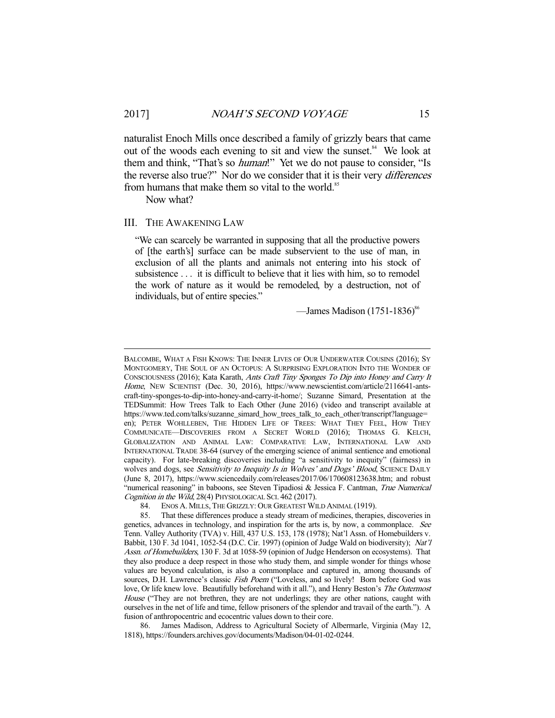naturalist Enoch Mills once described a family of grizzly bears that came out of the woods each evening to sit and view the sunset.<sup>84</sup> We look at them and think, "That's so *human*!" Yet we do not pause to consider, "Is the reverse also true?" Nor do we consider that it is their very differences from humans that make them so vital to the world.<sup>85</sup>

Now what?

-

#### III. THE AWAKENING LAW

"We can scarcely be warranted in supposing that all the productive powers of [the earth's] surface can be made subservient to the use of man, in exclusion of all the plants and animals not entering into his stock of subsistence ... it is difficult to believe that it lies with him, so to remodel the work of nature as it would be remodeled, by a destruction, not of individuals, but of entire species."

—James Madison  $(1751-1836)^{86}$ 

BALCOMBE, WHAT A FISH KNOWS: THE INNER LIVES OF OUR UNDERWATER COUSINS (2016); SY MONTGOMERY, THE SOUL OF AN OCTOPUS: A SURPRISING EXPLORATION INTO THE WONDER OF CONSCIOUSNESS (2016); Kata Karath, Ants Craft Tiny Sponges To Dip into Honey and Carry It Home, NEW SCIENTIST (Dec. 30, 2016), https://www.newscientist.com/article/2116641-antscraft-tiny-sponges-to-dip-into-honey-and-carry-it-home/; Suzanne Simard, Presentation at the TEDSummit: How Trees Talk to Each Other (June 2016) (video and transcript available at https://www.ted.com/talks/suzanne\_simard\_how\_trees\_talk\_to\_each\_other/transcript?language= en); PETER WOHLLEBEN, THE HIDDEN LIFE OF TREES: WHAT THEY FEEL, HOW THEY COMMUNICATE—DISCOVERIES FROM A SECRET WORLD (2016); THOMAS G. KELCH, GLOBALIZATION AND ANIMAL LAW: COMPARATIVE LAW, INTERNATIONAL LAW AND INTERNATIONAL TRADE 38-64 (survey of the emerging science of animal sentience and emotional capacity). For late-breaking discoveries including "a sensitivity to inequity" (fairness) in wolves and dogs, see Sensitivity to Inequity Is in Wolves' and Dogs' Blood, SCIENCE DAILY (June 8, 2017), https://www.sciencedaily.com/releases/2017/06/170608123638.htm; and robust "numerical reasoning" in baboons, see Steven Tipadiosi & Jessica F. Cantman, True Numerical Cognition in the Wild, 28(4) PHYSIOLOGICAL SCI. 462 (2017).

 <sup>84.</sup> ENOS A. MILLS, THE GRIZZLY: OUR GREATEST WILD ANIMAL (1919).

 <sup>85.</sup> That these differences produce a steady stream of medicines, therapies, discoveries in genetics, advances in technology, and inspiration for the arts is, by now, a commonplace. See Tenn. Valley Authority (TVA) v. Hill, 437 U.S. 153, 178 (1978); Nat'l Assn. of Homebuilders v. Babbit, 130 F. 3d 1041, 1052-54 (D.C. Cir. 1997) (opinion of Judge Wald on biodiversity); Nat'l Assn. of Homebuilders, 130 F. 3d at 1058-59 (opinion of Judge Henderson on ecosystems). That they also produce a deep respect in those who study them, and simple wonder for things whose values are beyond calculation, is also a commonplace and captured in, among thousands of sources, D.H. Lawrence's classic Fish Poem ("Loveless, and so lively! Born before God was love, Or life knew love. Beautifully beforehand with it all."), and Henry Beston's The Outermost House ("They are not brethren, they are not underlings; they are other nations, caught with ourselves in the net of life and time, fellow prisoners of the splendor and travail of the earth."). A fusion of anthropocentric and ecocentric values down to their core.

 <sup>86.</sup> James Madison, Address to Agricultural Society of Albermarle, Virginia (May 12, 1818), https://founders.archives.gov/documents/Madison/04-01-02-0244.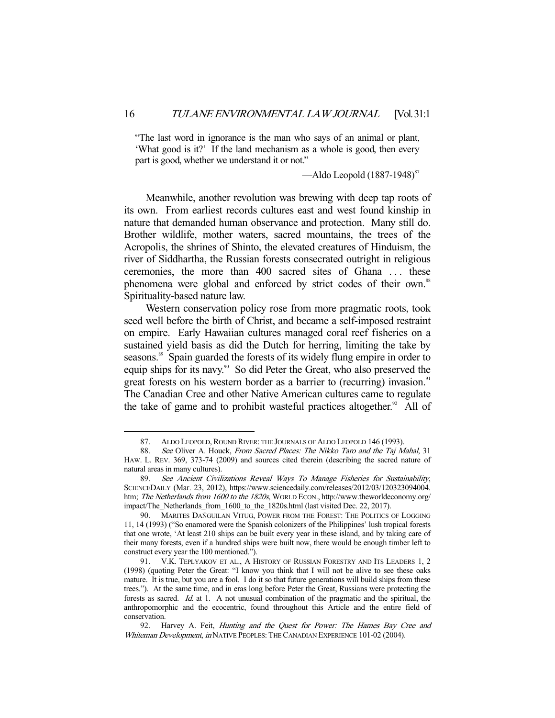"The last word in ignorance is the man who says of an animal or plant, 'What good is it?' If the land mechanism as a whole is good, then every part is good, whether we understand it or not."

 $-\text{Aldo Leopold} (1887-1948)^{87}$ 

 Meanwhile, another revolution was brewing with deep tap roots of its own. From earliest records cultures east and west found kinship in nature that demanded human observance and protection. Many still do. Brother wildlife, mother waters, sacred mountains, the trees of the Acropolis, the shrines of Shinto, the elevated creatures of Hinduism, the river of Siddhartha, the Russian forests consecrated outright in religious ceremonies, the more than 400 sacred sites of Ghana ... these phenomena were global and enforced by strict codes of their own.<sup>88</sup> Spirituality-based nature law.

 Western conservation policy rose from more pragmatic roots, took seed well before the birth of Christ, and became a self-imposed restraint on empire. Early Hawaiian cultures managed coral reef fisheries on a sustained yield basis as did the Dutch for herring, limiting the take by seasons.<sup>89</sup> Spain guarded the forests of its widely flung empire in order to equip ships for its navy.<sup>90</sup> So did Peter the Great, who also preserved the great forests on his western border as a barrier to (recurring) invasion.<sup>91</sup> The Canadian Cree and other Native American cultures came to regulate the take of game and to prohibit wasteful practices altogether. $92$  All of

<sup>87.</sup> ALDO LEOPOLD, ROUND RIVER: THE JOURNALS OF ALDO LEOPOLD 146 (1993).<br>88. See Oliver A. Houck, From Sacred Places: The Nikko Taro and the Tai M

See Oliver A. Houck, From Sacred Places: The Nikko Taro and the Taj Mahal, 31 HAW. L. REV. 369, 373-74 (2009) and sources cited therein (describing the sacred nature of natural areas in many cultures).

 <sup>89.</sup> See Ancient Civilizations Reveal Ways To Manage Fisheries for Sustainability, SCIENCEDAILY (Mar. 23, 2012), https://www.sciencedaily.com/releases/2012/03/120323094004. htm; The Netherlands from 1600 to the 1820s, WORLD ECON., http://www.theworldeconomy.org/ impact/The\_Netherlands\_from\_1600\_to\_the\_1820s.html (last visited Dec. 22, 2017).

 <sup>90.</sup> MARITES DAÑGUILAN VITUG, POWER FROM THE FOREST: THE POLITICS OF LOGGING 11, 14 (1993) ("So enamored were the Spanish colonizers of the Philippines' lush tropical forests that one wrote, 'At least 210 ships can be built every year in these island, and by taking care of their many forests, even if a hundred ships were built now, there would be enough timber left to construct every year the 100 mentioned.").

 <sup>91.</sup> V.K. TEPLYAKOV ET AL., A HISTORY OF RUSSIAN FORESTRY AND ITS LEADERS 1, 2 (1998) (quoting Peter the Great: "I know you think that I will not be alive to see these oaks mature. It is true, but you are a fool. I do it so that future generations will build ships from these trees."). At the same time, and in eras long before Peter the Great, Russians were protecting the forests as sacred. Id. at 1. A not unusual combination of the pragmatic and the spiritual, the anthropomorphic and the ecocentric, found throughout this Article and the entire field of conservation.

 <sup>92.</sup> Harvey A. Feit, Hunting and the Quest for Power: The Hames Bay Cree and Whiteman Development, in NATIVE PEOPLES: THE CANADIAN EXPERIENCE 101-02 (2004).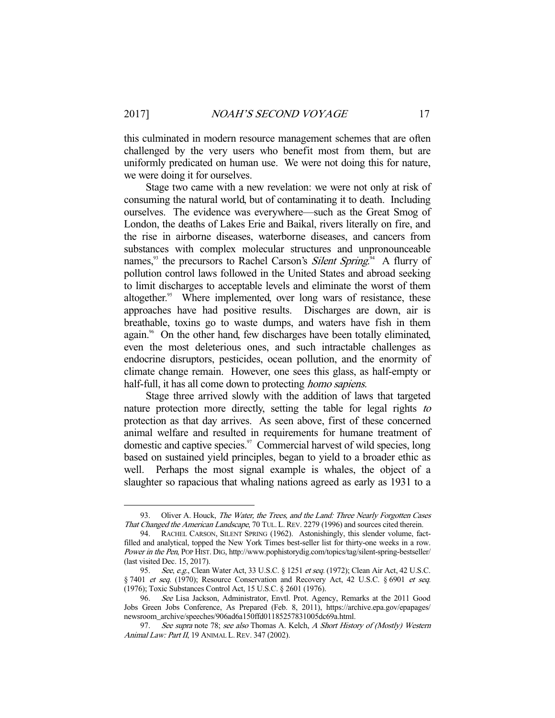this culminated in modern resource management schemes that are often challenged by the very users who benefit most from them, but are uniformly predicated on human use. We were not doing this for nature, we were doing it for ourselves.

 Stage two came with a new revelation: we were not only at risk of consuming the natural world, but of contaminating it to death. Including ourselves. The evidence was everywhere—such as the Great Smog of London, the deaths of Lakes Erie and Baikal, rivers literally on fire, and the rise in airborne diseases, waterborne diseases, and cancers from substances with complex molecular structures and unpronounceable names,<sup>33</sup> the precursors to Rachel Carson's *Silent Spring*.<sup>94</sup> A flurry of pollution control laws followed in the United States and abroad seeking to limit discharges to acceptable levels and eliminate the worst of them altogether.<sup>95</sup> Where implemented, over long wars of resistance, these approaches have had positive results. Discharges are down, air is breathable, toxins go to waste dumps, and waters have fish in them again.<sup>96</sup> On the other hand, few discharges have been totally eliminated, even the most deleterious ones, and such intractable challenges as endocrine disruptors, pesticides, ocean pollution, and the enormity of climate change remain. However, one sees this glass, as half-empty or half-full, it has all come down to protecting *homo sapiens*.

 Stage three arrived slowly with the addition of laws that targeted nature protection more directly, setting the table for legal rights to protection as that day arrives. As seen above, first of these concerned animal welfare and resulted in requirements for humane treatment of domestic and captive species.<sup>97</sup> Commercial harvest of wild species, long based on sustained yield principles, began to yield to a broader ethic as well. Perhaps the most signal example is whales, the object of a slaughter so rapacious that whaling nations agreed as early as 1931 to a

<sup>93.</sup> Oliver A. Houck, The Water, the Trees, and the Land: Three Nearly Forgotten Cases That Changed the American Landscape, 70 TUL. L.REV. 2279 (1996) and sources cited therein.

 <sup>94.</sup> RACHEL CARSON, SILENT SPRING (1962). Astonishingly, this slender volume, factfilled and analytical, topped the New York Times best-seller list for thirty-one weeks in a row. Power in the Pen, POP HIST. DIG, http://www.pophistorydig.com/topics/tag/silent-spring-bestseller/ (last visited Dec. 15, 2017).

<sup>95.</sup> See, e.g., Clean Water Act, 33 U.S.C. § 1251 et seq. (1972); Clean Air Act, 42 U.S.C. § 7401 et seq. (1970); Resource Conservation and Recovery Act, 42 U.S.C. § 6901 et seq. (1976); Toxic Substances Control Act, 15 U.S.C. § 2601 (1976).

<sup>96.</sup> See Lisa Jackson, Administrator, Envtl. Prot. Agency, Remarks at the 2011 Good Jobs Green Jobs Conference, As Prepared (Feb. 8, 2011), https://archive.epa.gov/epapages/ newsroom\_archive/speeches/906ad6a150ffd01185257831005dc69a.html.

<sup>97.</sup> See supra note 78; see also Thomas A. Kelch, A Short History of (Mostly) Western Animal Law: Part II, 19 ANIMAL L. REV. 347 (2002).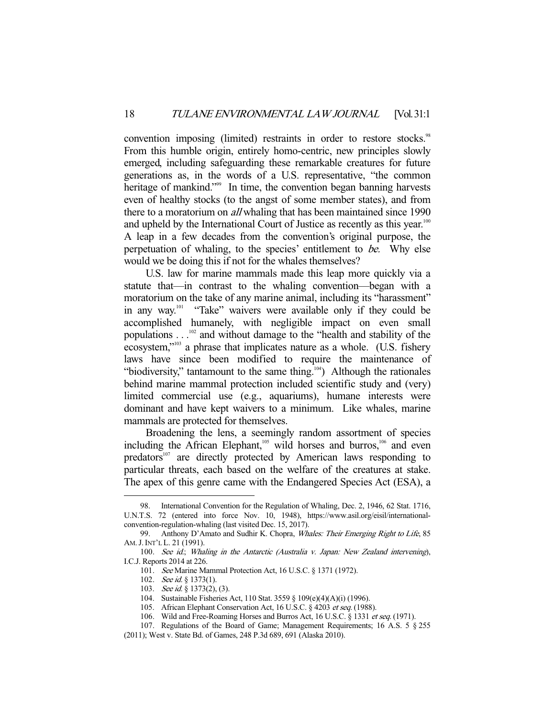convention imposing (limited) restraints in order to restore stocks.<sup>98</sup> From this humble origin, entirely homo-centric, new principles slowly emerged, including safeguarding these remarkable creatures for future generations as, in the words of a U.S. representative, "the common heritage of mankind."<sup>99</sup> In time, the convention began banning harvests even of healthy stocks (to the angst of some member states), and from there to a moratorium on *all* whaling that has been maintained since 1990 and upheld by the International Court of Justice as recently as this year.<sup>100</sup> A leap in a few decades from the convention's original purpose, the perpetuation of whaling, to the species' entitlement to be. Why else would we be doing this if not for the whales themselves?

 U.S. law for marine mammals made this leap more quickly via a statute that—in contrast to the whaling convention—began with a moratorium on the take of any marine animal, including its "harassment" in any way.101 "Take" waivers were available only if they could be accomplished humanely, with negligible impact on even small populations . . .102 and without damage to the "health and stability of the ecosystem,"<sup>103</sup> a phrase that implicates nature as a whole. (U.S. fishery laws have since been modified to require the maintenance of "biodiversity," tantamount to the same thing.<sup>104</sup>) Although the rationales behind marine mammal protection included scientific study and (very) limited commercial use (e.g., aquariums), humane interests were dominant and have kept waivers to a minimum. Like whales, marine mammals are protected for themselves.

 Broadening the lens, a seemingly random assortment of species including the African Elephant,<sup>105</sup> wild horses and burros,<sup>106</sup> and even predators<sup>107</sup> are directly protected by American laws responding to particular threats, each based on the welfare of the creatures at stake. The apex of this genre came with the Endangered Species Act (ESA), a

 <sup>98.</sup> International Convention for the Regulation of Whaling, Dec. 2, 1946, 62 Stat. 1716, U.N.T.S. 72 (entered into force Nov. 10, 1948), https://www.asil.org/eisil/internationalconvention-regulation-whaling (last visited Dec. 15, 2017).

<sup>99.</sup> Anthony D'Amato and Sudhir K. Chopra, Whales: Their Emerging Right to Life, 85 AM.J.INT'L L. 21 (1991).

 <sup>100.</sup> See id.; Whaling in the Antarctic (Australia v. Japan: New Zealand intervening), I.C.J. Reports 2014 at 226.

 <sup>101.</sup> See Marine Mammal Protection Act, 16 U.S.C. § 1371 (1972).

<sup>102.</sup> See id. § 1373(1).

<sup>103.</sup> See id. § 1373(2), (3).

 <sup>104.</sup> Sustainable Fisheries Act, 110 Stat. 3559 § 109(e)(4)(A)(i) (1996).

<sup>105.</sup> African Elephant Conservation Act, 16 U.S.C. § 4203 et seq. (1988).

 <sup>106.</sup> Wild and Free-Roaming Horses and Burros Act, 16 U.S.C. § 1331 et seq. (1971).

 <sup>107.</sup> Regulations of the Board of Game; Management Requirements; 16 A.S. 5 § 255

<sup>(2011);</sup> West v. State Bd. of Games, 248 P.3d 689, 691 (Alaska 2010).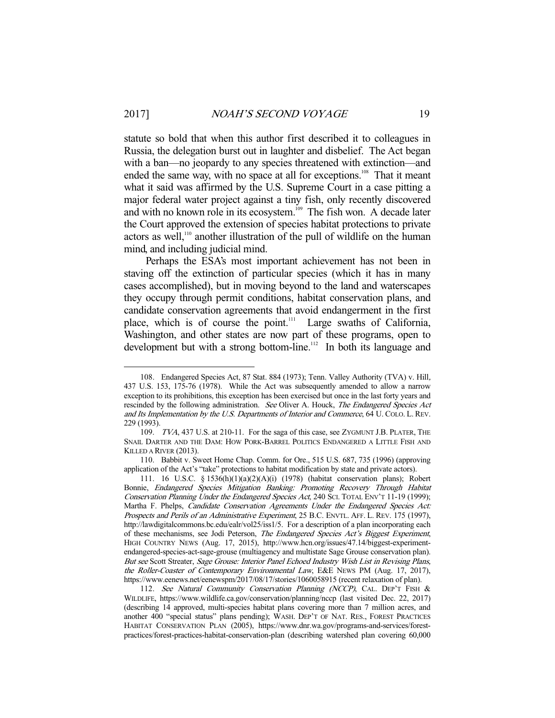statute so bold that when this author first described it to colleagues in Russia, the delegation burst out in laughter and disbelief. The Act began with a ban—no jeopardy to any species threatened with extinction—and ended the same way, with no space at all for exceptions.<sup>108</sup> That it meant what it said was affirmed by the U.S. Supreme Court in a case pitting a major federal water project against a tiny fish, only recently discovered and with no known role in its ecosystem.<sup>109</sup> The fish won. A decade later the Court approved the extension of species habitat protections to private actors as well,<sup>110</sup> another illustration of the pull of wildlife on the human mind, and including judicial mind.

 Perhaps the ESA's most important achievement has not been in staving off the extinction of particular species (which it has in many cases accomplished), but in moving beyond to the land and waterscapes they occupy through permit conditions, habitat conservation plans, and candidate conservation agreements that avoid endangerment in the first place, which is of course the point.<sup>111</sup> Large swaths of California, Washington, and other states are now part of these programs, open to development but with a strong bottom-line.<sup>112</sup> In both its language and

 <sup>108.</sup> Endangered Species Act, 87 Stat. 884 (1973); Tenn. Valley Authority (TVA) v. Hill, 437 U.S. 153, 175-76 (1978). While the Act was subsequently amended to allow a narrow exception to its prohibitions, this exception has been exercised but once in the last forty years and rescinded by the following administration. See Oliver A. Houck, The Endangered Species Act and Its Implementation by the U.S. Departments of Interior and Commerce, 64 U. COLO. L. REV. 229 (1993).

 <sup>109.</sup> TVA, 437 U.S. at 210-11. For the saga of this case, see ZYGMUNT J.B. PLATER, THE SNAIL DARTER AND THE DAM: HOW PORK-BARREL POLITICS ENDANGERED A LITTLE FISH AND KILLED A RIVER (2013).

 <sup>110.</sup> Babbit v. Sweet Home Chap. Comm. for Ore., 515 U.S. 687, 735 (1996) (approving application of the Act's "take" protections to habitat modification by state and private actors).

 <sup>111. 16</sup> U.S.C. § 1536(h)(1)(a)(2)(A)(i) (1978) (habitat conservation plans); Robert Bonnie, Endangered Species Mitigation Banking: Promoting Recovery Through Habitat Conservation Planning Under the Endangered Species Act, 240 SCI. TOTAL ENV'T 11-19 (1999); Martha F. Phelps, Candidate Conservation Agreements Under the Endangered Species Act: Prospects and Perils of an Administrative Experiment, 25 B.C. ENVTL. AFF. L. REV. 175 (1997), http://lawdigitalcommons.bc.edu/ealr/vol25/iss1/5. For a description of a plan incorporating each of these mechanisms, see Jodi Peterson, The Endangered Species Act's Biggest Experiment, HIGH COUNTRY NEWS (Aug. 17, 2015), http://www.hcn.org/issues/47.14/biggest-experimentendangered-species-act-sage-grouse (multiagency and multistate Sage Grouse conservation plan). But see Scott Streater, Sage Grouse: Interior Panel Echoed Industry Wish List in Revising Plans, the Roller-Coaster of Contemporary Environmental Law, E&E NEWS PM (Aug. 17, 2017), https://www.eenews.net/eenewspm/2017/08/17/stories/1060058915 (recent relaxation of plan).

<sup>112.</sup> See Natural Community Conservation Planning (NCCP), CAL. DEP'T FISH & WILDLIFE, https://www.wildlife.ca.gov/conservation/planning/nccp (last visited Dec. 22, 2017) (describing 14 approved, multi-species habitat plans covering more than 7 million acres, and another 400 "special status" plans pending); WASH. DEP'T OF NAT. RES., FOREST PRACTICES HABITAT CONSERVATION PLAN (2005), https://www.dnr.wa.gov/programs-and-services/forestpractices/forest-practices-habitat-conservation-plan (describing watershed plan covering 60,000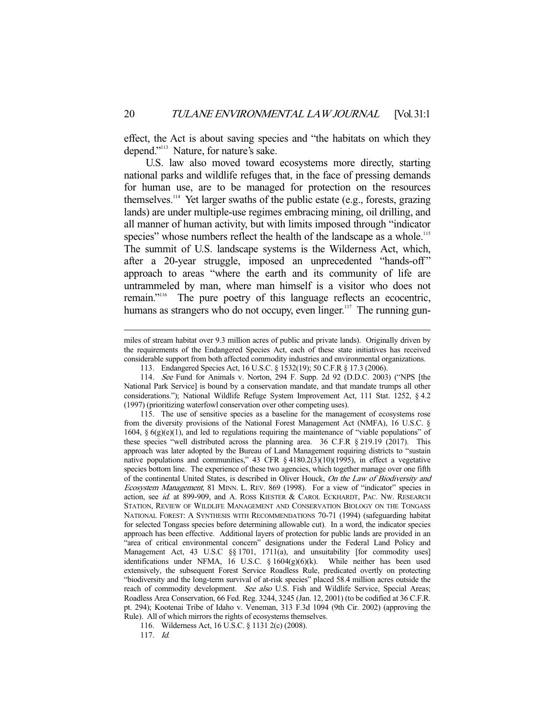effect, the Act is about saving species and "the habitats on which they depend."113 Nature, for nature's sake.

 U.S. law also moved toward ecosystems more directly, starting national parks and wildlife refuges that, in the face of pressing demands for human use, are to be managed for protection on the resources themselves.<sup>114</sup> Yet larger swaths of the public estate (e.g., forests, grazing lands) are under multiple-use regimes embracing mining, oil drilling, and all manner of human activity, but with limits imposed through "indicator species" whose numbers reflect the health of the landscape as a whole.<sup>115</sup> The summit of U.S. landscape systems is the Wilderness Act, which, after a 20-year struggle, imposed an unprecedented "hands-off" approach to areas "where the earth and its community of life are untrammeled by man, where man himself is a visitor who does not remain."116 The pure poetry of this language reflects an ecocentric, humans as strangers who do not occupy, even linger.<sup>117</sup> The running gun-

miles of stream habitat over 9.3 million acres of public and private lands). Originally driven by the requirements of the Endangered Species Act, each of these state initiatives has received considerable support from both affected commodity industries and environmental organizations.

 <sup>113.</sup> Endangered Species Act, 16 U.S.C. § 1532(19); 50 C.F.R § 17.3 (2006).

 <sup>114.</sup> See Fund for Animals v. Norton, 294 F. Supp. 2d 92 (D.D.C. 2003) ("NPS [the National Park Service] is bound by a conservation mandate, and that mandate trumps all other considerations."); National Wildlife Refuge System Improvement Act, 111 Stat. 1252, § 4.2 (1997) (prioritizing waterfowl conservation over other competing uses).

 <sup>115.</sup> The use of sensitive species as a baseline for the management of ecosystems rose from the diversity provisions of the National Forest Management Act (NMFA), 16 U.S.C. § 1604,  $\S 6(g)(e)(1)$ , and led to regulations requiring the maintenance of "viable populations" of these species "well distributed across the planning area. 36 C.F.R § 219.19 (2017). This approach was later adopted by the Bureau of Land Management requiring districts to "sustain native populations and communities," 43 CFR § 4180.2(3)(10)(1995), in effect a vegetative species bottom line. The experience of these two agencies, which together manage over one fifth of the continental United States, is described in Oliver Houck, On the Law of Biodiversity and Ecosystem Management, 81 MINN. L. REV. 869 (1998). For a view of "indicator" species in action, see id. at 899-909, and A. ROSS KIESTER & CAROL ECKHARDT, PAC. NW. RESEARCH STATION, REVIEW OF WILDLIFE MANAGEMENT AND CONSERVATION BIOLOGY ON THE TONGASS NATIONAL FOREST: A SYNTHESIS WITH RECOMMENDATIONS 70-71 (1994) (safeguarding habitat for selected Tongass species before determining allowable cut). In a word, the indicator species approach has been effective. Additional layers of protection for public lands are provided in an "area of critical environmental concern" designations under the Federal Land Policy and Management Act, 43 U.S.C §§ 1701, 1711(a), and unsuitability [for commodity uses] identifications under NFMA, 16 U.S.C. § 1604(g)(6)(k). While neither has been used extensively, the subsequent Forest Service Roadless Rule, predicated overtly on protecting "biodiversity and the long-term survival of at-risk species" placed 58.4 million acres outside the reach of commodity development. See also U.S. Fish and Wildlife Service, Special Areas; Roadless Area Conservation, 66 Fed. Reg. 3244, 3245 (Jan. 12, 2001) (to be codified at 36 C.F.R. pt. 294); Kootenai Tribe of Idaho v. Veneman, 313 F.3d 1094 (9th Cir. 2002) (approving the Rule). All of which mirrors the rights of ecosystems themselves.

 <sup>116.</sup> Wilderness Act, 16 U.S.C. § 1131 2(c) (2008).

 <sup>117.</sup> Id.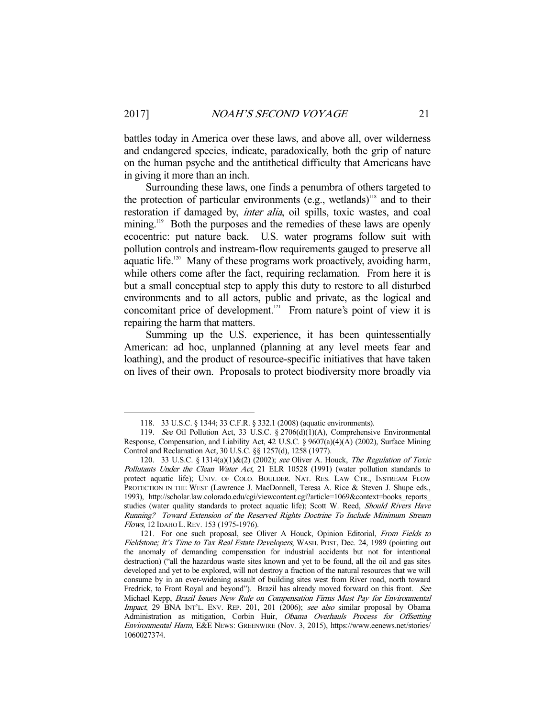battles today in America over these laws, and above all, over wilderness and endangered species, indicate, paradoxically, both the grip of nature on the human psyche and the antithetical difficulty that Americans have in giving it more than an inch.

 Surrounding these laws, one finds a penumbra of others targeted to the protection of particular environments (e.g., wetlands)<sup>118</sup> and to their restoration if damaged by, inter alia, oil spills, toxic wastes, and coal mining.<sup>119</sup> Both the purposes and the remedies of these laws are openly ecocentric: put nature back. U.S. water programs follow suit with pollution controls and instream-flow requirements gauged to preserve all aquatic life.<sup>120</sup> Many of these programs work proactively, avoiding harm, while others come after the fact, requiring reclamation. From here it is but a small conceptual step to apply this duty to restore to all disturbed environments and to all actors, public and private, as the logical and concomitant price of development.<sup>121</sup> From nature's point of view it is repairing the harm that matters.

 Summing up the U.S. experience, it has been quintessentially American: ad hoc, unplanned (planning at any level meets fear and loathing), and the product of resource-specific initiatives that have taken on lives of their own. Proposals to protect biodiversity more broadly via

 <sup>118. 33</sup> U.S.C. § 1344; 33 C.F.R. § 332.1 (2008) (aquatic environments).

 <sup>119.</sup> See Oil Pollution Act, 33 U.S.C. § 2706(d)(1)(A), Comprehensive Environmental Response, Compensation, and Liability Act, 42 U.S.C. § 9607(a)(4)(A) (2002), Surface Mining Control and Reclamation Act, 30 U.S.C. §§ 1257(d), 1258 (1977).

 <sup>120. 33</sup> U.S.C. § 1314(a)(1)&(2) (2002); see Oliver A. Houck, The Regulation of Toxic Pollutants Under the Clean Water Act, 21 ELR 10528 (1991) (water pollution standards to protect aquatic life); UNIV. OF COLO. BOULDER. NAT. RES. LAW CTR., INSTREAM FLOW PROTECTION IN THE WEST (Lawrence J. MacDonnell, Teresa A. Rice & Steven J. Shupe eds., 1993), http://scholar.law.colorado.edu/cgi/viewcontent.cgi?article=1069&context=books\_reports\_ studies (water quality standards to protect aquatic life); Scott W. Reed, Should Rivers Have Running? Toward Extension of the Reserved Rights Doctrine To Include Minimum Stream Flows, 12 IDAHO L.REV. 153 (1975-1976).

<sup>121.</sup> For one such proposal, see Oliver A Houck, Opinion Editorial, From Fields to Fieldstone; It's Time to Tax Real Estate Developers, WASH. POST, Dec. 24, 1989 (pointing out the anomaly of demanding compensation for industrial accidents but not for intentional destruction) ("all the hazardous waste sites known and yet to be found, all the oil and gas sites developed and yet to be explored, will not destroy a fraction of the natural resources that we will consume by in an ever-widening assault of building sites west from River road, north toward Fredrick, to Front Royal and beyond"). Brazil has already moved forward on this front. See Michael Kepp, Brazil Issues New Rule on Compensation Firms Must Pay for Environmental Impact, 29 BNA INT'L. ENV. REP. 201, 201 (2006); see also similar proposal by Obama Administration as mitigation, Corbin Huir, Obama Overhauls Process for Offsetting Environmental Harm, E&E NEWS: GREENWIRE (Nov. 3, 2015), https://www.eenews.net/stories/ 1060027374.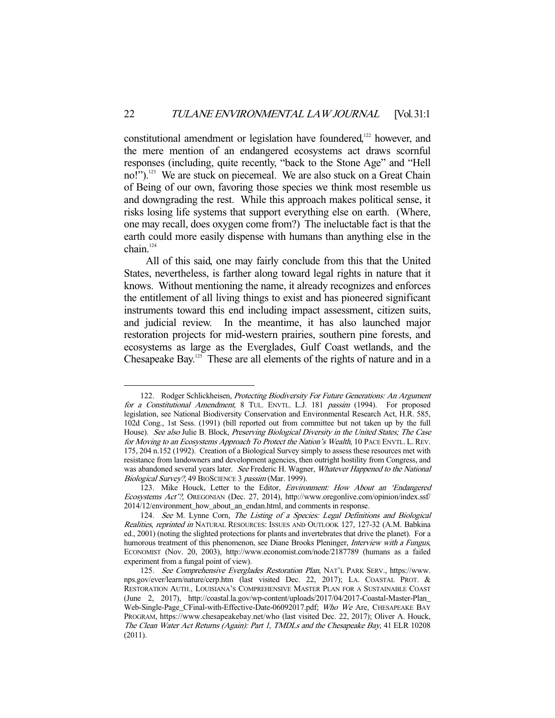constitutional amendment or legislation have foundered,<sup>122</sup> however, and the mere mention of an endangered ecosystems act draws scornful responses (including, quite recently, "back to the Stone Age" and "Hell no!").<sup>123</sup> We are stuck on piecemeal. We are also stuck on a Great Chain of Being of our own, favoring those species we think most resemble us and downgrading the rest. While this approach makes political sense, it risks losing life systems that support everything else on earth. (Where, one may recall, does oxygen come from?) The ineluctable fact is that the earth could more easily dispense with humans than anything else in the chain.<sup>124</sup>

 All of this said, one may fairly conclude from this that the United States, nevertheless, is farther along toward legal rights in nature that it knows. Without mentioning the name, it already recognizes and enforces the entitlement of all living things to exist and has pioneered significant instruments toward this end including impact assessment, citizen suits, and judicial review. In the meantime, it has also launched major restoration projects for mid-western prairies, southern pine forests, and ecosystems as large as the Everglades, Gulf Coast wetlands, and the Chesapeake Bay.<sup>125</sup> These are all elements of the rights of nature and in a

<sup>122.</sup> Rodger Schlickheisen, Protecting Biodiversity For Future Generations: An Argument for a Constitutional Amendment, 8 TUL. ENVTL. L.J. 181 passim (1994). For proposed legislation, see National Biodiversity Conservation and Environmental Research Act, H.R. 585, 102d Cong., 1st Sess. (1991) (bill reported out from committee but not taken up by the full House). See also Julie B. Block, Preserving Biological Diversity in the United States; The Case for Moving to an Ecosystems Approach To Protect the Nation's Wealth, 10 PACE ENVTL. L. REV. 175, 204 n.152 (1992). Creation of a Biological Survey simply to assess these resources met with resistance from landowners and development agencies, then outright hostility from Congress, and was abandoned several years later. See Frederic H. Wagner, Whatever Happened to the National Biological Survey?, 49 BIOSCIENCE 3 passim (Mar. 1999).

<sup>123.</sup> Mike Houck, Letter to the Editor, Environment: How About an 'Endangered Ecosystems Act'?, OREGONIAN (Dec. 27, 2014), http://www.oregonlive.com/opinion/index.ssf/ 2014/12/environment\_how\_about\_an\_endan.html, and comments in response.

<sup>124.</sup> See M. Lynne Corn, The Listing of a Species: Legal Definitions and Biological Realities, reprinted in NATURAL RESOURCES: ISSUES AND OUTLOOK 127, 127-32 (A.M. Babkina ed., 2001) (noting the slighted protections for plants and invertebrates that drive the planet). For a humorous treatment of this phenomenon, see Diane Brooks Pleninger, *Interview with a Fungus*, ECONOMIST (Nov. 20, 2003), http://www.economist.com/node/2187789 (humans as a failed experiment from a fungal point of view).

 <sup>125.</sup> See Comprehensive Everglades Restoration Plan, NAT'L PARK SERV., https://www. nps.gov/ever/learn/nature/cerp.htm (last visited Dec. 22, 2017); LA. COASTAL PROT. & RESTORATION AUTH., LOUISIANA'S COMPREHENSIVE MASTER PLAN FOR A SUSTAINABLE COAST (June 2, 2017), http://coastal.la.gov/wp-content/uploads/2017/04/2017-Coastal-Master-Plan\_ Web-Single-Page\_CFinal-with-Effective-Date-06092017.pdf; Who We Are, CHESAPEAKE BAY PROGRAM, https://www.chesapeakebay.net/who (last visited Dec. 22, 2017); Oliver A. Houck, The Clean Water Act Returns (Again): Part 1, TMDLs and the Chesapeake Bay, 41 ELR 10208 (2011).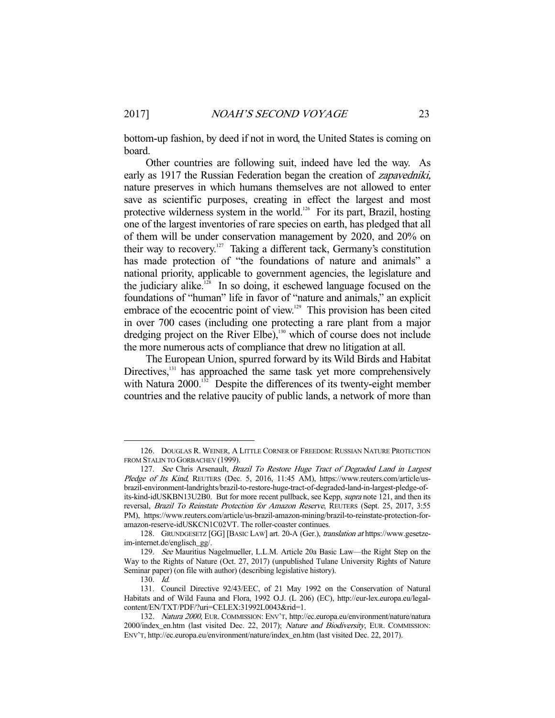bottom-up fashion, by deed if not in word, the United States is coming on board.

 Other countries are following suit, indeed have led the way. As early as 1917 the Russian Federation began the creation of zapavedniki, nature preserves in which humans themselves are not allowed to enter save as scientific purposes, creating in effect the largest and most protective wilderness system in the world.<sup>126</sup> For its part, Brazil, hosting one of the largest inventories of rare species on earth, has pledged that all of them will be under conservation management by 2020, and 20% on their way to recovery.<sup>127</sup> Taking a different tack, Germany's constitution has made protection of "the foundations of nature and animals" a national priority, applicable to government agencies, the legislature and the judiciary alike.<sup>128</sup> In so doing, it eschewed language focused on the foundations of "human" life in favor of "nature and animals," an explicit embrace of the ecocentric point of view.<sup>129</sup> This provision has been cited in over 700 cases (including one protecting a rare plant from a major dredging project on the River Elbe),<sup>130</sup> which of course does not include the more numerous acts of compliance that drew no litigation at all.

 The European Union, spurred forward by its Wild Birds and Habitat Directives,<sup>131</sup> has approached the same task yet more comprehensively with Natura 2000.<sup>132</sup> Despite the differences of its twenty-eight member countries and the relative paucity of public lands, a network of more than

 <sup>126.</sup> DOUGLAS R. WEINER, A LITTLE CORNER OF FREEDOM: RUSSIAN NATURE PROTECTION FROM STALIN TO GORBACHEV (1999).

<sup>127.</sup> See Chris Arsenault, Brazil To Restore Huge Tract of Degraded Land in Largest Pledge of Its Kind, REUTERS (Dec. 5, 2016, 11:45 AM), https://www.reuters.com/article/usbrazil-environment-landrights/brazil-to-restore-huge-tract-of-degraded-land-in-largest-pledge-ofits-kind-idUSKBN13U2B0. But for more recent pullback, see Kepp, *supra* note 121, and then its reversal, Brazil To Reinstate Protection for Amazon Reserve, REUTERS (Sept. 25, 2017, 3:55 PM), https://www.reuters.com/article/us-brazil-amazon-mining/brazil-to-reinstate-protection-foramazon-reserve-idUSKCN1C02VT. The roller-coaster continues.

<sup>128.</sup> GRUNDGESETZ [GG] [BASIC LAW] art. 20-A (Ger.), translation at https://www.gesetzeim-internet.de/englisch\_gg/.

 <sup>129.</sup> See Mauritius Nagelmueller, L.L.M. Article 20a Basic Law—the Right Step on the Way to the Rights of Nature (Oct. 27, 2017) (unpublished Tulane University Rights of Nature Seminar paper) (on file with author) (describing legislative history).

 <sup>130.</sup> Id.

 <sup>131.</sup> Council Directive 92/43/EEC, of 21 May 1992 on the Conservation of Natural Habitats and of Wild Fauna and Flora, 1992 O.J. (L 206) (EC), http://eur-lex.europa.eu/legalcontent/EN/TXT/PDF/?uri=CELEX:31992L0043&rid=1.

 <sup>132.</sup> Natura 2000, EUR. COMMISSION: ENV'T, http://ec.europa.eu/environment/nature/natura 2000/index\_en.htm (last visited Dec. 22, 2017); Nature and Biodiversity, EUR. COMMISSION: ENV'T, http://ec.europa.eu/environment/nature/index\_en.htm (last visited Dec. 22, 2017).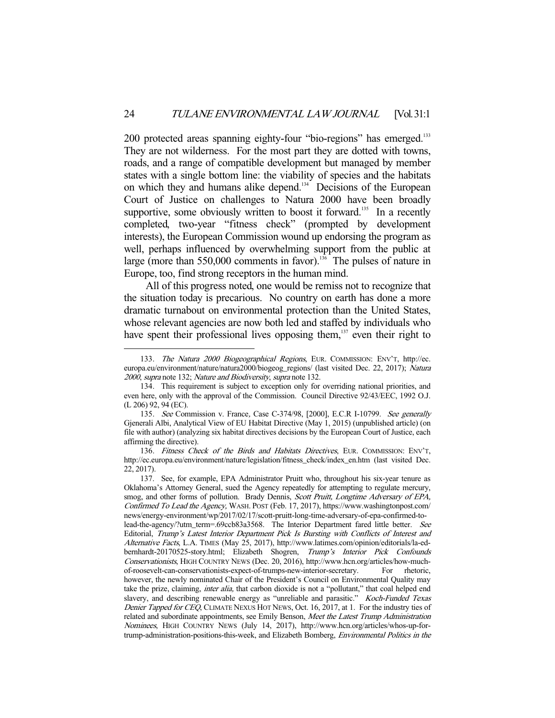200 protected areas spanning eighty-four "bio-regions" has emerged.<sup>133</sup> They are not wilderness. For the most part they are dotted with towns, roads, and a range of compatible development but managed by member states with a single bottom line: the viability of species and the habitats on which they and humans alike depend.<sup>134</sup> Decisions of the European Court of Justice on challenges to Natura 2000 have been broadly supportive, some obviously written to boost it forward.<sup>135</sup> In a recently completed, two-year "fitness check" (prompted by development interests), the European Commission wound up endorsing the program as well, perhaps influenced by overwhelming support from the public at large (more than 550,000 comments in favor).<sup>136</sup> The pulses of nature in Europe, too, find strong receptors in the human mind.

 All of this progress noted, one would be remiss not to recognize that the situation today is precarious. No country on earth has done a more dramatic turnabout on environmental protection than the United States, whose relevant agencies are now both led and staffed by individuals who have spent their professional lives opposing them, $137$  even their right to

<sup>133.</sup> The Natura 2000 Biogeographical Regions, EUR. COMMISSION: ENV'T, http://ec. europa.eu/environment/nature/natura2000/biogeog\_regions/ (last visited Dec. 22, 2017); Natura <sup>2000</sup>, supra note 132; Nature and Biodiversity, supra note 132.

 <sup>134.</sup> This requirement is subject to exception only for overriding national priorities, and even here, only with the approval of the Commission. Council Directive 92/43/EEC, 1992 O.J. (L 206) 92, 94 (EC).

<sup>135.</sup> See Commission v. France, Case C-374/98, [2000], E.C.R I-10799. See generally Gjenerali Albi, Analytical View of EU Habitat Directive (May 1, 2015) (unpublished article) (on file with author) (analyzing six habitat directives decisions by the European Court of Justice, each affirming the directive).

 <sup>136.</sup> Fitness Check of the Birds and Habitats Directives, EUR. COMMISSION: ENV'T, http://ec.europa.eu/environment/nature/legislation/fitness\_check/index\_en.htm (last visited Dec. 22, 2017).

 <sup>137.</sup> See, for example, EPA Administrator Pruitt who, throughout his six-year tenure as Oklahoma's Attorney General, sued the Agency repeatedly for attempting to regulate mercury, smog, and other forms of pollution. Brady Dennis, Scott Pruitt, Longtime Adversary of EPA, Confirmed To Lead the Agency, WASH. POST (Feb. 17, 2017), https://www.washingtonpost.com/ news/energy-environment/wp/2017/02/17/scott-pruitt-long-time-adversary-of-epa-confirmed-tolead-the-agency/?utm\_term=.69ccb83a3568. The Interior Department fared little better. See Editorial, Trump's Latest Interior Department Pick Is Bursting with Conflicts of Interest and Alternative Facts, L.A. TIMES (May 25, 2017), http://www.latimes.com/opinion/editorials/la-edbernhardt-20170525-story.html; Elizabeth Shogren, Trump's Interior Pick Confounds Conservationists, HIGH COUNTRY NEWS (Dec. 20, 2016), http://www.hcn.org/articles/how-muchof-roosevelt-can-conservationists-expect-of-trumps-new-interior-secretary. For rhetoric, however, the newly nominated Chair of the President's Council on Environmental Quality may take the prize, claiming, *inter alia*, that carbon dioxide is not a "pollutant," that coal helped end slavery, and describing renewable energy as "unreliable and parasitic." Koch-Funded Texas Denier Tapped for CEQ, CLIMATE NEXUS HOT NEWS, Oct. 16, 2017, at 1. For the industry ties of related and subordinate appointments, see Emily Benson, Meet the Latest Trump Administration Nominees, HIGH COUNTRY NEWS (July 14, 2017), http://www.hcn.org/articles/whos-up-fortrump-administration-positions-this-week, and Elizabeth Bomberg, Environmental Politics in the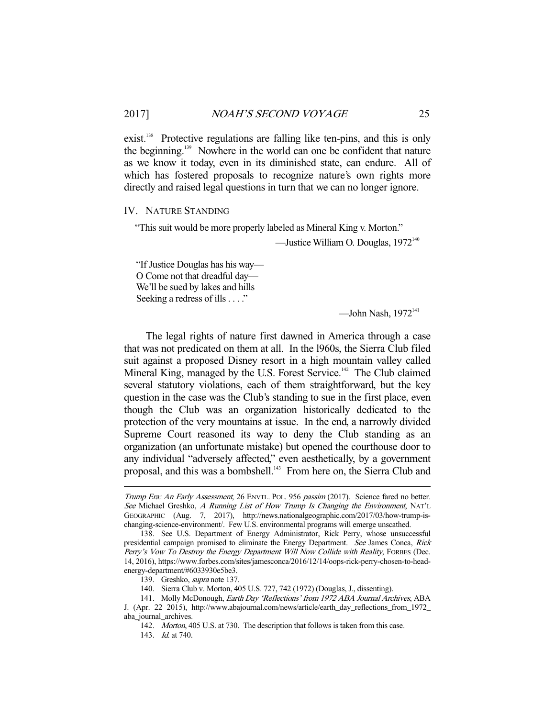exist.<sup>138</sup> Protective regulations are falling like ten-pins, and this is only the beginning.139 Nowhere in the world can one be confident that nature as we know it today, even in its diminished state, can endure. All of which has fostered proposals to recognize nature's own rights more directly and raised legal questions in turn that we can no longer ignore.

#### IV. NATURE STANDING

"This suit would be more properly labeled as Mineral King v. Morton."

—Justice William O. Douglas,  $1972^{140}$ 

"If Justice Douglas has his way— O Come not that dreadful day— We'll be sued by lakes and hills Seeking a redress of ills . . . ."

—John Nash,  $1972<sup>141</sup>$ 

 The legal rights of nature first dawned in America through a case that was not predicated on them at all. In the l960s, the Sierra Club filed suit against a proposed Disney resort in a high mountain valley called Mineral King, managed by the U.S. Forest Service.<sup>142</sup> The Club claimed several statutory violations, each of them straightforward, but the key question in the case was the Club's standing to sue in the first place, even though the Club was an organization historically dedicated to the protection of the very mountains at issue. In the end, a narrowly divided Supreme Court reasoned its way to deny the Club standing as an organization (an unfortunate mistake) but opened the courthouse door to any individual "adversely affected," even aesthetically, by a government proposal, and this was a bombshell.143 From here on, the Sierra Club and

Trump Era: An Early Assessment, 26 ENVTL. POL. 956 passim (2017). Science fared no better. See Michael Greshko, A Running List of How Trump Is Changing the Environment, NAT'L GEOGRAPHIC (Aug. 7, 2017), http://news.nationalgeographic.com/2017/03/how-trump-ischanging-science-environment/. Few U.S. environmental programs will emerge unscathed.

 <sup>138.</sup> See U.S. Department of Energy Administrator, Rick Perry, whose unsuccessful presidential campaign promised to eliminate the Energy Department. See James Conca, Rick Perry's Vow To Destroy the Energy Department Will Now Collide with Reality, FORBES (Dec. 14, 2016), https://www.forbes.com/sites/jamesconca/2016/12/14/oops-rick-perry-chosen-to-headenergy-department/#6033930e5be3.

 <sup>139.</sup> Greshko, supra note 137.

 <sup>140.</sup> Sierra Club v. Morton, 405 U.S. 727, 742 (1972) (Douglas, J., dissenting).

 <sup>141.</sup> Molly McDonough, Earth Day 'Reflections' from 1972 ABA Journal Archives, ABA J. (Apr. 22 2015), http://www.abajournal.com/news/article/earth\_day\_reflections\_from\_1972\_ aba\_journal\_archives.

 <sup>142.</sup> Morton, 405 U.S. at 730. The description that follows is taken from this case. 143. *Id.* at 740.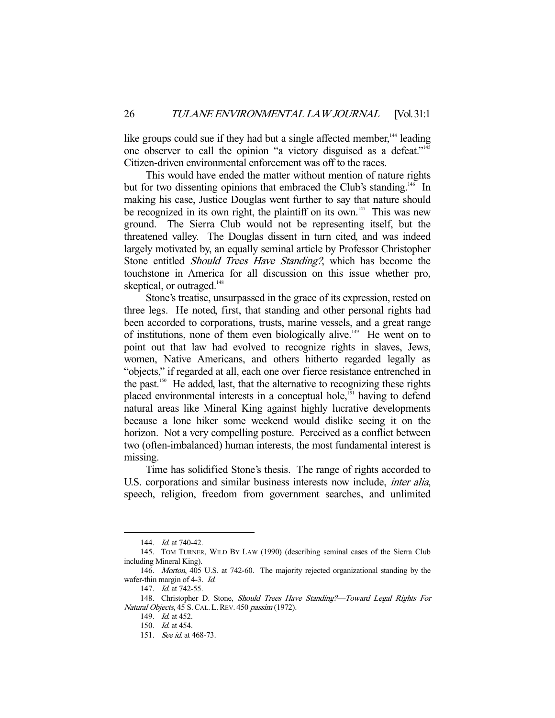like groups could sue if they had but a single affected member,<sup>144</sup> leading one observer to call the opinion "a victory disguised as a defeat."<sup>145</sup> Citizen-driven environmental enforcement was off to the races.

 This would have ended the matter without mention of nature rights but for two dissenting opinions that embraced the Club's standing.<sup>146</sup> In making his case, Justice Douglas went further to say that nature should be recognized in its own right, the plaintiff on its own.<sup>147</sup> This was new ground. The Sierra Club would not be representing itself, but the threatened valley. The Douglas dissent in turn cited, and was indeed largely motivated by, an equally seminal article by Professor Christopher Stone entitled Should Trees Have Standing?, which has become the touchstone in America for all discussion on this issue whether pro, skeptical, or outraged.<sup>148</sup>

 Stone's treatise, unsurpassed in the grace of its expression, rested on three legs. He noted, first, that standing and other personal rights had been accorded to corporations, trusts, marine vessels, and a great range of institutions, none of them even biologically alive.<sup>149</sup> He went on to point out that law had evolved to recognize rights in slaves, Jews, women, Native Americans, and others hitherto regarded legally as "objects," if regarded at all, each one over fierce resistance entrenched in the past.150 He added, last, that the alternative to recognizing these rights placed environmental interests in a conceptual hole,<sup>151</sup> having to defend natural areas like Mineral King against highly lucrative developments because a lone hiker some weekend would dislike seeing it on the horizon. Not a very compelling posture. Perceived as a conflict between two (often-imbalanced) human interests, the most fundamental interest is missing.

 Time has solidified Stone's thesis. The range of rights accorded to U.S. corporations and similar business interests now include, *inter alia*, speech, religion, freedom from government searches, and unlimited

<sup>144.</sup> *Id.* at 740-42.

 <sup>145.</sup> TOM TURNER, WILD BY LAW (1990) (describing seminal cases of the Sierra Club including Mineral King).

 <sup>146.</sup> Morton, 405 U.S. at 742-60. The majority rejected organizational standing by the wafer-thin margin of 4-3. Id.

<sup>147.</sup> *Id.* at 742-55.

<sup>148.</sup> Christopher D. Stone, Should Trees Have Standing?—Toward Legal Rights For Natural Objects, 45 S. CAL. L. REV. 450 passim (1972).

<sup>149.</sup> *Id.* at 452.

 <sup>150.</sup> Id. at 454.

<sup>151.</sup> *See id.* at 468-73.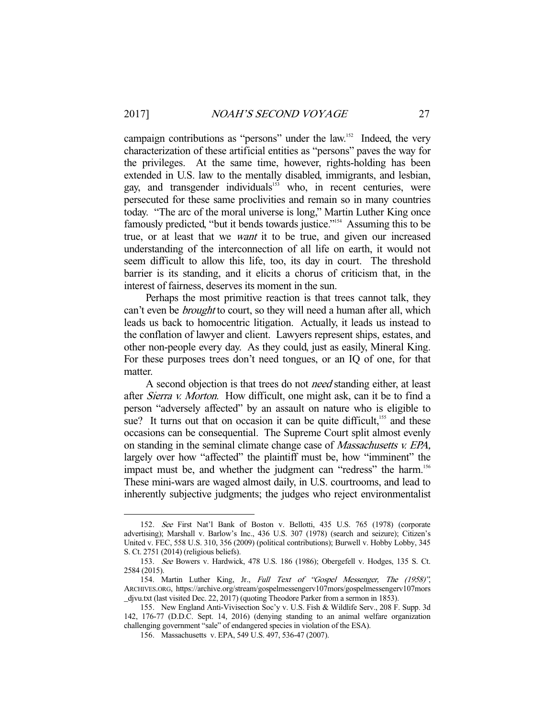campaign contributions as "persons" under the law.<sup>152</sup> Indeed, the very characterization of these artificial entities as "persons" paves the way for the privileges. At the same time, however, rights-holding has been extended in U.S. law to the mentally disabled, immigrants, and lesbian, gay, and transgender individuals<sup>153</sup> who, in recent centuries, were persecuted for these same proclivities and remain so in many countries today. "The arc of the moral universe is long," Martin Luther King once famously predicted, "but it bends towards justice."<sup>154</sup> Assuming this to be true, or at least that we want it to be true, and given our increased understanding of the interconnection of all life on earth, it would not seem difficult to allow this life, too, its day in court. The threshold barrier is its standing, and it elicits a chorus of criticism that, in the interest of fairness, deserves its moment in the sun.

 Perhaps the most primitive reaction is that trees cannot talk, they can't even be *brought* to court, so they will need a human after all, which leads us back to homocentric litigation. Actually, it leads us instead to the conflation of lawyer and client. Lawyers represent ships, estates, and other non-people every day. As they could, just as easily, Mineral King. For these purposes trees don't need tongues, or an IQ of one, for that matter.

A second objection is that trees do not *need* standing either, at least after Sierra v. Morton. How difficult, one might ask, can it be to find a person "adversely affected" by an assault on nature who is eligible to sue? It turns out that on occasion it can be quite difficult,<sup>155</sup> and these occasions can be consequential. The Supreme Court split almost evenly on standing in the seminal climate change case of Massachusetts v. EPA, largely over how "affected" the plaintiff must be, how "imminent" the impact must be, and whether the judgment can "redress" the harm.<sup>156</sup> These mini-wars are waged almost daily, in U.S. courtrooms, and lead to inherently subjective judgments; the judges who reject environmentalist

 <sup>152.</sup> See First Nat'l Bank of Boston v. Bellotti, 435 U.S. 765 (1978) (corporate advertising); Marshall v. Barlow's Inc., 436 U.S. 307 (1978) (search and seizure); Citizen's United v. FEC, 558 U.S. 310, 356 (2009) (political contributions); Burwell v. Hobby Lobby, 345 S. Ct. 2751 (2014) (religious beliefs).

 <sup>153.</sup> See Bowers v. Hardwick, 478 U.S. 186 (1986); Obergefell v. Hodges, 135 S. Ct. 2584 (2015).

<sup>154.</sup> Martin Luther King, Jr., Full Text of "Gospel Messenger, The (1958)", ARCHIVES.ORG, https://archive.org/stream/gospelmessengerv107mors/gospelmessengerv107mors \_djvu.txt (last visited Dec. 22, 2017) (quoting Theodore Parker from a sermon in 1853).

 <sup>155.</sup> New England Anti-Vivisection Soc'y v. U.S. Fish & Wildlife Serv., 208 F. Supp. 3d 142, 176-77 (D.D.C. Sept. 14, 2016) (denying standing to an animal welfare organization challenging government "sale" of endangered species in violation of the ESA).

 <sup>156.</sup> Massachusetts v. EPA, 549 U.S. 497, 536-47 (2007).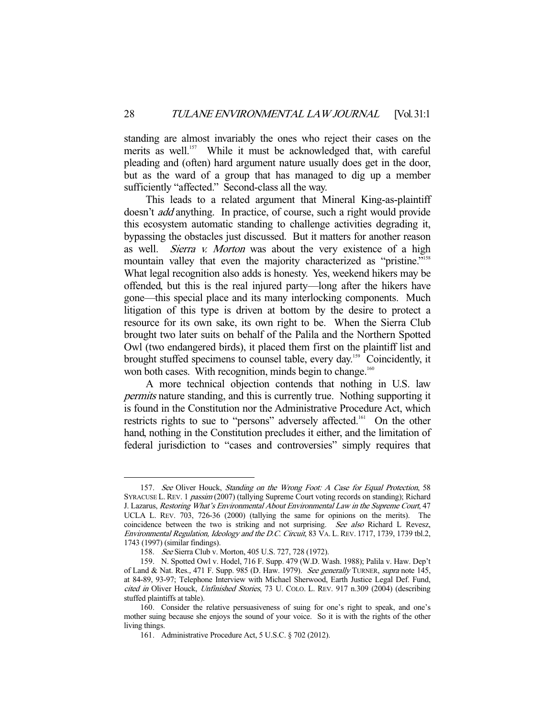standing are almost invariably the ones who reject their cases on the merits as well.<sup>157</sup> While it must be acknowledged that, with careful pleading and (often) hard argument nature usually does get in the door, but as the ward of a group that has managed to dig up a member sufficiently "affected." Second-class all the way.

 This leads to a related argument that Mineral King-as-plaintiff doesn't add anything. In practice, of course, such a right would provide this ecosystem automatic standing to challenge activities degrading it, bypassing the obstacles just discussed. But it matters for another reason as well. Sierra v. Morton was about the very existence of a high mountain valley that even the majority characterized as "pristine."<sup>158</sup> What legal recognition also adds is honesty. Yes, weekend hikers may be offended, but this is the real injured party—long after the hikers have gone—this special place and its many interlocking components. Much litigation of this type is driven at bottom by the desire to protect a resource for its own sake, its own right to be. When the Sierra Club brought two later suits on behalf of the Palila and the Northern Spotted Owl (two endangered birds), it placed them first on the plaintiff list and brought stuffed specimens to counsel table, every day.<sup>159</sup> Coincidently, it won both cases. With recognition, minds begin to change.<sup>160</sup>

 A more technical objection contends that nothing in U.S. law permits nature standing, and this is currently true. Nothing supporting it is found in the Constitution nor the Administrative Procedure Act, which restricts rights to sue to "persons" adversely affected.161 On the other hand, nothing in the Constitution precludes it either, and the limitation of federal jurisdiction to "cases and controversies" simply requires that

<sup>157.</sup> See Oliver Houck, Standing on the Wrong Foot: A Case for Equal Protection, 58 SYRACUSE L. REV. 1 passim (2007) (tallying Supreme Court voting records on standing); Richard J. Lazarus, Restoring What's Environmental About Environmental Law in the Supreme Court, 47 UCLA L. REV. 703, 726-36 (2000) (tallying the same for opinions on the merits). The coincidence between the two is striking and not surprising. See also Richard L Revesz, Environmental Regulation, Ideology and the D.C. Circuit, 83 VA. L. REV. 1717, 1739, 1739 tbl.2, 1743 (1997) (similar findings).

 <sup>158.</sup> See Sierra Club v. Morton, 405 U.S. 727, 728 (1972).

 <sup>159.</sup> N. Spotted Owl v. Hodel, 716 F. Supp. 479 (W.D. Wash. 1988); Palila v. Haw. Dep't of Land & Nat. Res., 471 F. Supp. 985 (D. Haw. 1979). See generally TURNER, supra note 145, at 84-89, 93-97; Telephone Interview with Michael Sherwood, Earth Justice Legal Def. Fund, cited in Oliver Houck, Unfinished Stories, 73 U. COLO. L. REV. 917 n.309 (2004) (describing stuffed plaintiffs at table).

 <sup>160.</sup> Consider the relative persuasiveness of suing for one's right to speak, and one's mother suing because she enjoys the sound of your voice. So it is with the rights of the other living things.

 <sup>161.</sup> Administrative Procedure Act, 5 U.S.C. § 702 (2012).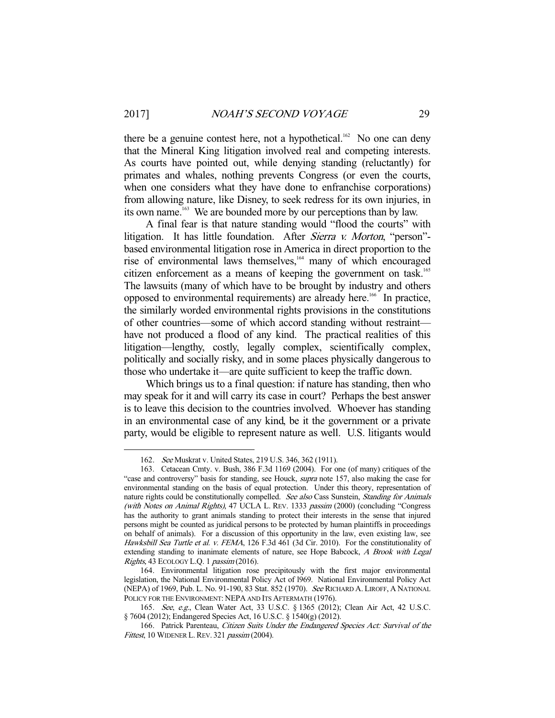there be a genuine contest here, not a hypothetical.<sup>162</sup> No one can deny that the Mineral King litigation involved real and competing interests. As courts have pointed out, while denying standing (reluctantly) for primates and whales, nothing prevents Congress (or even the courts, when one considers what they have done to enfranchise corporations) from allowing nature, like Disney, to seek redress for its own injuries, in its own name.<sup>163</sup> We are bounded more by our perceptions than by law.

 A final fear is that nature standing would "flood the courts" with litigation. It has little foundation. After *Sierra v. Morton*, "person"based environmental litigation rose in America in direct proportion to the rise of environmental laws themselves,<sup>164</sup> many of which encouraged citizen enforcement as a means of keeping the government on task.<sup>165</sup> The lawsuits (many of which have to be brought by industry and others opposed to environmental requirements) are already here.<sup>166</sup> In practice, the similarly worded environmental rights provisions in the constitutions of other countries—some of which accord standing without restraint have not produced a flood of any kind. The practical realities of this litigation—lengthy, costly, legally complex, scientifically complex, politically and socially risky, and in some places physically dangerous to those who undertake it—are quite sufficient to keep the traffic down.

 Which brings us to a final question: if nature has standing, then who may speak for it and will carry its case in court? Perhaps the best answer is to leave this decision to the countries involved. Whoever has standing in an environmental case of any kind, be it the government or a private party, would be eligible to represent nature as well. U.S. litigants would

 <sup>162.</sup> See Muskrat v. United States, 219 U.S. 346, 362 (1911).

 <sup>163.</sup> Cetacean Cmty. v. Bush, 386 F.3d 1169 (2004). For one (of many) critiques of the "case and controversy" basis for standing, see Houck, *supra* note 157, also making the case for environmental standing on the basis of equal protection. Under this theory, representation of nature rights could be constitutionally compelled. See also Cass Sunstein, Standing for Animals (with Notes on Animal Rights), 47 UCLA L. REV. 1333 passim (2000) (concluding "Congress has the authority to grant animals standing to protect their interests in the sense that injured persons might be counted as juridical persons to be protected by human plaintiffs in proceedings on behalf of animals). For a discussion of this opportunity in the law, even existing law, see Hawksbill Sea Turtle et al. v. FEMA, 126 F.3d 461 (3d Cir. 2010). For the constitutionality of extending standing to inanimate elements of nature, see Hope Babcock, A Brook with Legal Rights, 43 ECOLOGY L.Q. 1 passim (2016).

 <sup>164.</sup> Environmental litigation rose precipitously with the first major environmental legislation, the National Environmental Policy Act of l969. National Environmental Policy Act (NEPA) of 1969, Pub. L. No. 91-190, 83 Stat. 852 (1970). See RICHARD A. LIROFF, A NATIONAL POLICY FOR THE ENVIRONMENT: NEPA AND ITS AFTERMATH (1976).

 <sup>165.</sup> See, e.g., Clean Water Act, 33 U.S.C. § 1365 (2012); Clean Air Act, 42 U.S.C. § 7604 (2012); Endangered Species Act, 16 U.S.C. § 1540(g) (2012).

<sup>166.</sup> Patrick Parenteau, Citizen Suits Under the Endangered Species Act: Survival of the Fittest, 10 WIDENER L. REV. 321 passim (2004).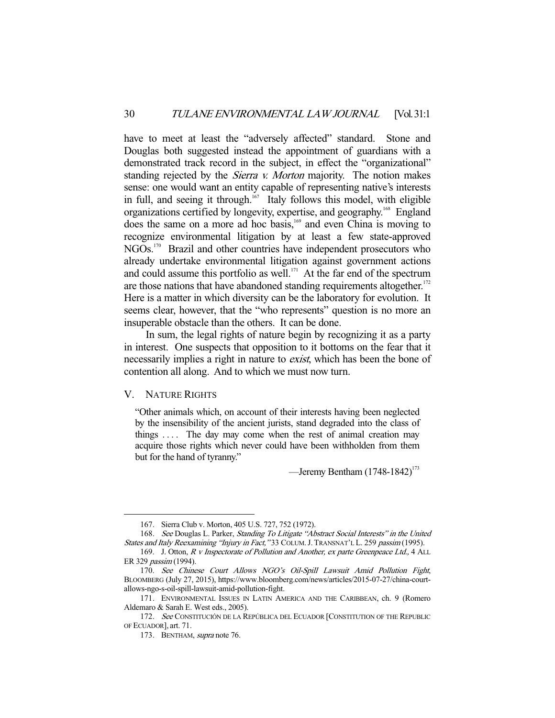have to meet at least the "adversely affected" standard. Stone and Douglas both suggested instead the appointment of guardians with a demonstrated track record in the subject, in effect the "organizational" standing rejected by the *Sierra v. Morton* majority. The notion makes sense: one would want an entity capable of representing native's interests in full, and seeing it through.<sup>167</sup> Italy follows this model, with eligible organizations certified by longevity, expertise, and geography.<sup>168</sup> England does the same on a more ad hoc basis,<sup>169</sup> and even China is moving to recognize environmental litigation by at least a few state-approved NGOs.<sup>170</sup> Brazil and other countries have independent prosecutors who already undertake environmental litigation against government actions and could assume this portfolio as well. $171$  At the far end of the spectrum are those nations that have abandoned standing requirements altogether. $172$ Here is a matter in which diversity can be the laboratory for evolution. It seems clear, however, that the "who represents" question is no more an insuperable obstacle than the others. It can be done.

 In sum, the legal rights of nature begin by recognizing it as a party in interest. One suspects that opposition to it bottoms on the fear that it necessarily implies a right in nature to *exist*, which has been the bone of contention all along. And to which we must now turn.

#### V. NATURE RIGHTS

-

"Other animals which, on account of their interests having been neglected by the insensibility of the ancient jurists, stand degraded into the class of things  $\dots$ . The day may come when the rest of animal creation may acquire those rights which never could have been withholden from them but for the hand of tyranny."

—Jeremy Bentham  $(1748-1842)^{173}$ 

 <sup>167.</sup> Sierra Club v. Morton, 405 U.S. 727, 752 (1972).

<sup>168.</sup> See Douglas L. Parker, Standing To Litigate "Abstract Social Interests" in the United States and Italy Reexamining "Injury in Fact," 33 COLUM. J. TRANSNAT'L L. 259 passim (1995).

<sup>169.</sup> J. Otton, R v Inspectorate of Pollution and Another, ex parte Greenpeace Ltd., 4 ALL ER 329 passim (1994).

 <sup>170.</sup> See Chinese Court Allows NGO's Oil-Spill Lawsuit Amid Pollution Fight, BLOOMBERG (July 27, 2015), https://www.bloomberg.com/news/articles/2015-07-27/china-courtallows-ngo-s-oil-spill-lawsuit-amid-pollution-fight.

 <sup>171.</sup> ENVIRONMENTAL ISSUES IN LATIN AMERICA AND THE CARIBBEAN, ch. 9 (Romero Aldemaro & Sarah E. West eds., 2005).

<sup>172.</sup> See CONSTITUCIÓN DE LA REPÚBLICA DEL ECUADOR [CONSTITUTION OF THE REPUBLIC OF ECUADOR], art. 71.

 <sup>173.</sup> BENTHAM, supra note 76.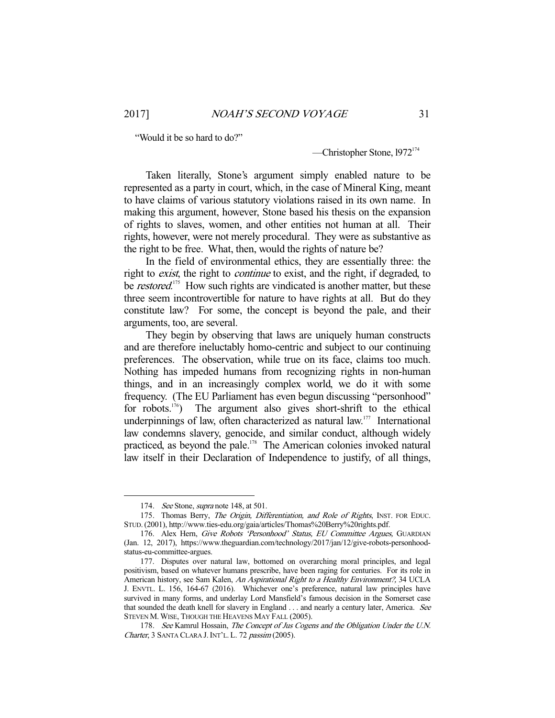"Would it be so hard to do?"

—Christopher Stone,  $1972^{174}$ 

 Taken literally, Stone's argument simply enabled nature to be represented as a party in court, which, in the case of Mineral King, meant to have claims of various statutory violations raised in its own name. In making this argument, however, Stone based his thesis on the expansion of rights to slaves, women, and other entities not human at all. Their rights, however, were not merely procedural. They were as substantive as the right to be free. What, then, would the rights of nature be?

 In the field of environmental ethics, they are essentially three: the right to *exist*, the right to *continue* to exist, and the right, if degraded, to be *restored*.<sup>175</sup> How such rights are vindicated is another matter, but these three seem incontrovertible for nature to have rights at all. But do they constitute law? For some, the concept is beyond the pale, and their arguments, too, are several.

 They begin by observing that laws are uniquely human constructs and are therefore ineluctably homo-centric and subject to our continuing preferences. The observation, while true on its face, claims too much. Nothing has impeded humans from recognizing rights in non-human things, and in an increasingly complex world, we do it with some frequency. (The EU Parliament has even begun discussing "personhood" for robots.<sup>176</sup>) The argument also gives short-shrift to the ethical underpinnings of law, often characterized as natural law.<sup>177</sup> International law condemns slavery, genocide, and similar conduct, although widely practiced, as beyond the pale.178 The American colonies invoked natural law itself in their Declaration of Independence to justify, of all things,

<sup>174.</sup> See Stone, *supra* note 148, at 501.

<sup>175.</sup> Thomas Berry, The Origin, Differentiation, and Role of Rights, INST. FOR EDUC. STUD.(2001), http://www.ties-edu.org/gaia/articles/Thomas%20Berry%20rights.pdf.

<sup>176.</sup> Alex Hern, Give Robots 'Personhood' Status, EU Committee Argues, GUARDIAN (Jan. 12, 2017), https://www.theguardian.com/technology/2017/jan/12/give-robots-personhoodstatus-eu-committee-argues.

 <sup>177.</sup> Disputes over natural law, bottomed on overarching moral principles, and legal positivism, based on whatever humans prescribe, have been raging for centuries. For its role in American history, see Sam Kalen, An Aspirational Right to a Healthy Environment?, 34 UCLA J. ENVTL. L. 156, 164-67 (2016). Whichever one's preference, natural law principles have survived in many forms, and underlay Lord Mansfield's famous decision in the Somerset case that sounded the death knell for slavery in England . . . and nearly a century later, America. See STEVEN M.WISE, THOUGH THE HEAVENS MAY FALL (2005).

 <sup>178.</sup> See Kamrul Hossain, The Concept of Jus Cogens and the Obligation Under the U.N. Charter, 3 SANTA CLARA J.INT'L. L. 72 passim (2005).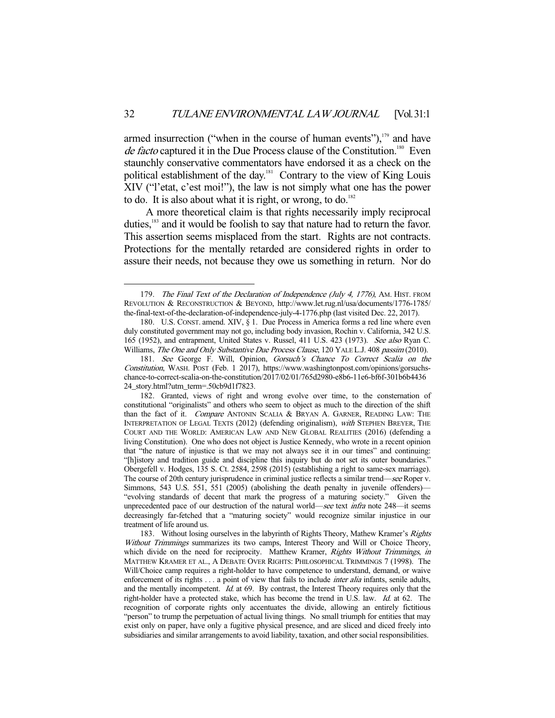armed insurrection ("when in the course of human events"), $179$  and have de facto captured it in the Due Process clause of the Constitution.<sup>180</sup> Even staunchly conservative commentators have endorsed it as a check on the political establishment of the day.<sup>181</sup> Contrary to the view of King Louis XIV ("l'etat, c'est moi!"), the law is not simply what one has the power to do. It is also about what it is right, or wrong, to do.<sup>182</sup>

 A more theoretical claim is that rights necessarily imply reciprocal duties,<sup>183</sup> and it would be foolish to say that nature had to return the favor. This assertion seems misplaced from the start. Rights are not contracts. Protections for the mentally retarded are considered rights in order to assure their needs, not because they owe us something in return. Nor do

<sup>179.</sup> The Final Text of the Declaration of Independence (July 4, 1776), AM. HIST. FROM REVOLUTION & RECONSTRUCTION & BEYOND, http://www.let.rug.nl/usa/documents/1776-1785/ the-final-text-of-the-declaration-of-independence-july-4-1776.php (last visited Dec. 22, 2017).

 <sup>180.</sup> U.S. CONST. amend. XIV, § 1. Due Process in America forms a red line where even duly constituted government may not go, including body invasion, Rochin v. California, 342 U.S. 165 (1952), and entrapment, United States v. Russel, 411 U.S. 423 (1973). See also Ryan C. Williams, The One and Only Substantive Due Process Clause, 120 YALE L.J. 408 passim (2010).

 <sup>181.</sup> See George F. Will, Opinion, Gorsuch's Chance To Correct Scalia on the Constitution, WASH. POST (Feb. 1 2017), https://www.washingtonpost.com/opinions/gorsuchschance-to-correct-scalia-on-the-constitution/2017/02/01/765d2980-e8b6-11e6-bf6f-301b6b4436 24\_story.html?utm\_term=.50cb9d1f7823.

 <sup>182.</sup> Granted, views of right and wrong evolve over time, to the consternation of constitutional "originalists" and others who seem to object as much to the direction of the shift than the fact of it. Compare ANTONIN SCALIA & BRYAN A. GARNER, READING LAW: THE INTERPRETATION OF LEGAL TEXTS (2012) (defending originalism), with STEPHEN BREYER, THE COURT AND THE WORLD: AMERICAN LAW AND NEW GLOBAL REALITIES (2016) (defending a living Constitution). One who does not object is Justice Kennedy, who wrote in a recent opinion that "the nature of injustice is that we may not always see it in our times" and continuing: "[h]istory and tradition guide and discipline this inquiry but do not set its outer boundaries." Obergefell v. Hodges, 135 S. Ct. 2584, 2598 (2015) (establishing a right to same-sex marriage). The course of 20th century jurisprudence in criminal justice reflects a similar trend—see Roper v. Simmons, 543 U.S. 551, 551 (2005) (abolishing the death penalty in juvenile offenders)— "evolving standards of decent that mark the progress of a maturing society." Given the unprecedented pace of our destruction of the natural world—see text *infra* note 248—it seems decreasingly far-fetched that a "maturing society" would recognize similar injustice in our treatment of life around us.

<sup>183.</sup> Without losing ourselves in the labyrinth of Rights Theory, Mathew Kramer's Rights Without Trimmings summarizes its two camps, Interest Theory and Will or Choice Theory, which divide on the need for reciprocity. Matthew Kramer, Rights Without Trimmings, in MATTHEW KRAMER ET AL., A DEBATE OVER RIGHTS: PHILOSOPHICAL TRIMMINGS 7 (1998). The Will/Choice camp requires a right-holder to have competence to understand, demand, or waive enforcement of its rights . . . a point of view that fails to include *inter alia* infants, senile adults, and the mentally incompetent. Id. at 69. By contrast, the Interest Theory requires only that the right-holder have a protected stake, which has become the trend in U.S. law. Id. at 62. The recognition of corporate rights only accentuates the divide, allowing an entirely fictitious "person" to trump the perpetuation of actual living things. No small triumph for entities that may exist only on paper, have only a fugitive physical presence, and are sliced and diced freely into subsidiaries and similar arrangements to avoid liability, taxation, and other social responsibilities.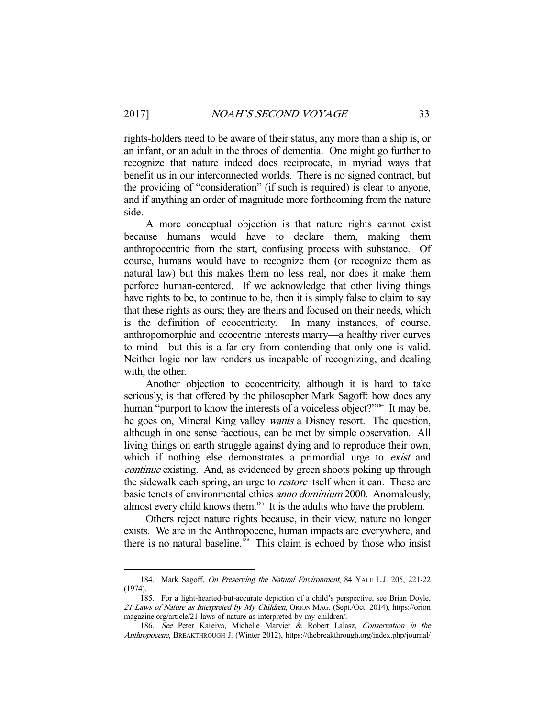rights-holders need to be aware of their status, any more than a ship is, or an infant, or an adult in the throes of dementia. One might go further to recognize that nature indeed does reciprocate, in myriad ways that benefit us in our interconnected worlds. There is no signed contract, but the providing of "consideration" (if such is required) is clear to anyone, and if anything an order of magnitude more forthcoming from the nature side.

 A more conceptual objection is that nature rights cannot exist because humans would have to declare them, making them anthropocentric from the start, confusing process with substance. Of course, humans would have to recognize them (or recognize them as natural law) but this makes them no less real, nor does it make them perforce human-centered. If we acknowledge that other living things have rights to be, to continue to be, then it is simply false to claim to say that these rights as ours; they are theirs and focused on their needs, which is the definition of ecocentricity. In many instances, of course, anthropomorphic and ecocentric interests marry—a healthy river curves to mind—but this is a far cry from contending that only one is valid. Neither logic nor law renders us incapable of recognizing, and dealing with, the other.

 Another objection to ecocentricity, although it is hard to take seriously, is that offered by the philosopher Mark Sagoff: how does any human "purport to know the interests of a voiceless object?"<sup>184</sup> It may be, he goes on, Mineral King valley wants a Disney resort. The question, although in one sense facetious, can be met by simple observation. All living things on earth struggle against dying and to reproduce their own, which if nothing else demonstrates a primordial urge to *exist* and continue existing. And, as evidenced by green shoots poking up through the sidewalk each spring, an urge to *restore* itself when it can. These are basic tenets of environmental ethics anno dominium 2000. Anomalously, almost every child knows them.<sup>185</sup> It is the adults who have the problem.

 Others reject nature rights because, in their view, nature no longer exists. We are in the Anthropocene, human impacts are everywhere, and there is no natural baseline.<sup>186</sup> This claim is echoed by those who insist

 <sup>184.</sup> Mark Sagoff, On Preserving the Natural Environment, 84 YALE L.J. 205, 221-22 (1974).

 <sup>185.</sup> For a light-hearted-but-accurate depiction of a child's perspective, see Brian Doyle, 21 Laws of Nature as Interpreted by My Children, ORION MAG. (Sept./Oct. 2014), https://orion magazine.org/article/21-laws-of-nature-as-interpreted-by-my-children/.

 <sup>186.</sup> See Peter Kareiva, Michelle Marvier & Robert Lalasz, Conservation in the Anthropocene, BREAKTHROUGH J. (Winter 2012), https://thebreakthrough.org/index.php/journal/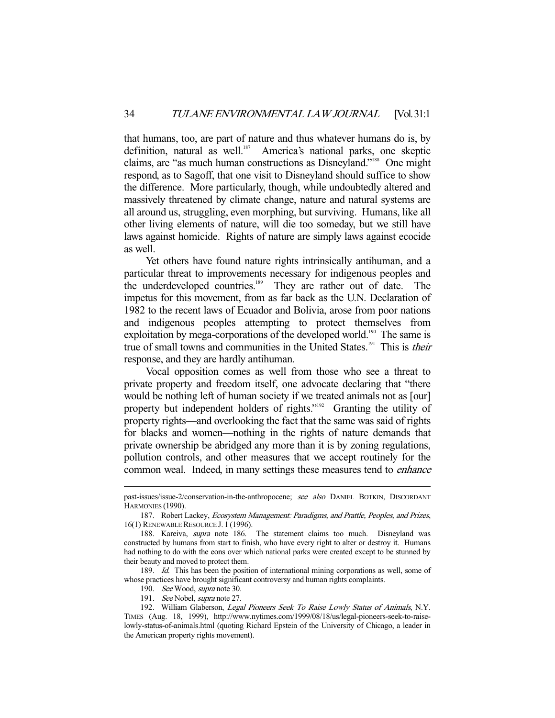that humans, too, are part of nature and thus whatever humans do is, by definition, natural as well.<sup>187</sup> America's national parks, one skeptic claims, are "as much human constructions as Disneyland."188 One might respond, as to Sagoff, that one visit to Disneyland should suffice to show the difference. More particularly, though, while undoubtedly altered and massively threatened by climate change, nature and natural systems are all around us, struggling, even morphing, but surviving. Humans, like all other living elements of nature, will die too someday, but we still have laws against homicide. Rights of nature are simply laws against ecocide as well.

 Yet others have found nature rights intrinsically antihuman, and a particular threat to improvements necessary for indigenous peoples and the underdeveloped countries.<sup>189</sup> They are rather out of date. The impetus for this movement, from as far back as the U.N. Declaration of 1982 to the recent laws of Ecuador and Bolivia, arose from poor nations and indigenous peoples attempting to protect themselves from exploitation by mega-corporations of the developed world.<sup>190</sup> The same is true of small towns and communities in the United States.<sup>191</sup> This is *their* response, and they are hardly antihuman.

 Vocal opposition comes as well from those who see a threat to private property and freedom itself, one advocate declaring that "there would be nothing left of human society if we treated animals not as [our] property but independent holders of rights."<sup>192</sup> Granting the utility of property rights—and overlooking the fact that the same was said of rights for blacks and women—nothing in the rights of nature demands that private ownership be abridged any more than it is by zoning regulations, pollution controls, and other measures that we accept routinely for the common weal. Indeed, in many settings these measures tend to enhance

189. Id. This has been the position of international mining corporations as well, some of whose practices have brought significant controversy and human rights complaints.

past-issues/issue-2/conservation-in-the-anthropocene; see also DANIEL BOTKIN, DISCORDANT HARMONIES (1990).

<sup>187.</sup> Robert Lackey, *Ecosystem Management: Paradigms, and Prattle, Peoples, and Prizes,* 16(1) RENEWABLE RESOURCE J. 1 (1996).

<sup>188.</sup> Kareiva, *supra* note 186. The statement claims too much. Disneyland was constructed by humans from start to finish, who have every right to alter or destroy it. Humans had nothing to do with the eons over which national parks were created except to be stunned by their beauty and moved to protect them.

 <sup>190.</sup> See Wood, supra note 30.

<sup>191.</sup> *See* Nobel, *supra* note 27.

<sup>192.</sup> William Glaberson, Legal Pioneers Seek To Raise Lowly Status of Animals, N.Y. TIMES (Aug. 18, 1999), http://www.nytimes.com/1999/08/18/us/legal-pioneers-seek-to-raiselowly-status-of-animals.html (quoting Richard Epstein of the University of Chicago, a leader in the American property rights movement).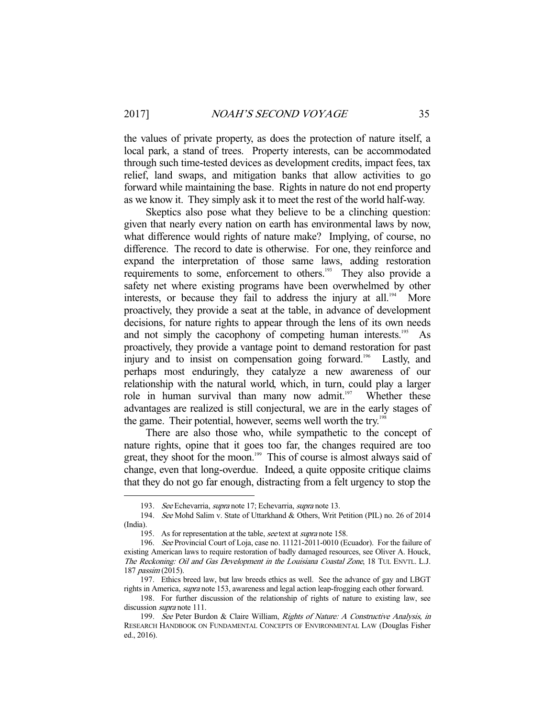the values of private property, as does the protection of nature itself, a local park, a stand of trees. Property interests, can be accommodated through such time-tested devices as development credits, impact fees, tax relief, land swaps, and mitigation banks that allow activities to go forward while maintaining the base. Rights in nature do not end property as we know it. They simply ask it to meet the rest of the world half-way.

 Skeptics also pose what they believe to be a clinching question: given that nearly every nation on earth has environmental laws by now, what difference would rights of nature make? Implying, of course, no difference. The record to date is otherwise. For one, they reinforce and expand the interpretation of those same laws, adding restoration requirements to some, enforcement to others.<sup>193</sup> They also provide a safety net where existing programs have been overwhelmed by other interests, or because they fail to address the injury at all.<sup>194</sup> More proactively, they provide a seat at the table, in advance of development decisions, for nature rights to appear through the lens of its own needs and not simply the cacophony of competing human interests.<sup>195</sup> As proactively, they provide a vantage point to demand restoration for past injury and to insist on compensation going forward.<sup>196</sup> Lastly, and perhaps most enduringly, they catalyze a new awareness of our relationship with the natural world, which, in turn, could play a larger role in human survival than many now admit.<sup>197</sup> Whether these advantages are realized is still conjectural, we are in the early stages of the game. Their potential, however, seems well worth the try.<sup>19</sup>

 There are also those who, while sympathetic to the concept of nature rights, opine that it goes too far, the changes required are too great, they shoot for the moon.<sup>199</sup> This of course is almost always said of change, even that long-overdue. Indeed, a quite opposite critique claims that they do not go far enough, distracting from a felt urgency to stop the

<sup>193.</sup> See Echevarria, supra note 17; Echevarria, supra note 13.

 <sup>194.</sup> See Mohd Salim v. State of Uttarkhand & Others, Writ Petition (PIL) no. 26 of 2014 (India).

<sup>195.</sup> As for representation at the table, see text at *supra* note 158.

 <sup>196.</sup> See Provincial Court of Loja, case no. 11121-2011-0010 (Ecuador). For the failure of existing American laws to require restoration of badly damaged resources, see Oliver A. Houck, The Reckoning: Oil and Gas Development in the Louisiana Coastal Zone, 18 TUL ENVTL. L.J. 187 passim (2015).

 <sup>197.</sup> Ethics breed law, but law breeds ethics as well. See the advance of gay and LBGT rights in America, supra note 153, awareness and legal action leap-frogging each other forward.

 <sup>198.</sup> For further discussion of the relationship of rights of nature to existing law, see discussion *supra* note 111.

<sup>199.</sup> See Peter Burdon & Claire William, Rights of Nature: A Constructive Analysis, in RESEARCH HANDBOOK ON FUNDAMENTAL CONCEPTS OF ENVIRONMENTAL LAW (Douglas Fisher ed., 2016).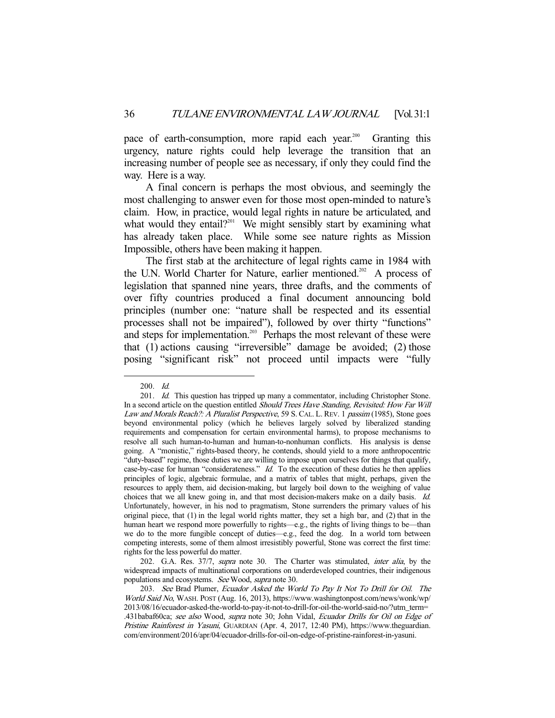pace of earth-consumption, more rapid each year.<sup>200</sup> Granting this urgency, nature rights could help leverage the transition that an increasing number of people see as necessary, if only they could find the way. Here is a way.

 A final concern is perhaps the most obvious, and seemingly the most challenging to answer even for those most open-minded to nature's claim. How, in practice, would legal rights in nature be articulated, and what would they entail? $201$  We might sensibly start by examining what has already taken place. While some see nature rights as Mission Impossible, others have been making it happen.

 The first stab at the architecture of legal rights came in 1984 with the U.N. World Charter for Nature, earlier mentioned.<sup>202</sup> A process of legislation that spanned nine years, three drafts, and the comments of over fifty countries produced a final document announcing bold principles (number one: "nature shall be respected and its essential processes shall not be impaired"), followed by over thirty "functions" and steps for implementation.<sup>203</sup> Perhaps the most relevant of these were that (1) actions causing "irreversible" damage be avoided; (2) those posing "significant risk" not proceed until impacts were "fully

 <sup>200.</sup> Id.

<sup>201.</sup> Id. This question has tripped up many a commentator, including Christopher Stone. In a second article on the question entitled Should Trees Have Standing, Revisited: How Far Will Law and Morals Reach?: A Pluralist Perspective, 59 S. CAL. L. REV. 1 passim (1985), Stone goes beyond environmental policy (which he believes largely solved by liberalized standing requirements and compensation for certain environmental harms), to propose mechanisms to resolve all such human-to-human and human-to-nonhuman conflicts. His analysis is dense going. A "monistic," rights-based theory, he contends, should yield to a more anthropocentric "duty-based" regime, those duties we are willing to impose upon ourselves for things that qualify, case-by-case for human "considerateness." Id. To the execution of these duties he then applies principles of logic, algebraic formulae, and a matrix of tables that might, perhaps, given the resources to apply them, aid decision-making, but largely boil down to the weighing of value choices that we all knew going in, and that most decision-makers make on a daily basis. Id. Unfortunately, however, in his nod to pragmatism, Stone surrenders the primary values of his original piece, that (1) in the legal world rights matter, they set a high bar, and (2) that in the human heart we respond more powerfully to rights—e.g., the rights of living things to be—than we do to the more fungible concept of duties—e.g., feed the dog. In a world torn between competing interests, some of them almost irresistibly powerful, Stone was correct the first time: rights for the less powerful do matter.

<sup>202.</sup> G.A. Res. 37/7, supra note 30. The Charter was stimulated, *inter alia*, by the widespread impacts of multinational corporations on underdeveloped countries, their indigenous populations and ecosystems. See Wood, supra note 30.

<sup>203.</sup> See Brad Plumer, Ecuador Asked the World To Pay It Not To Drill for Oil. The World Said No, WASH. POST (Aug. 16, 2013), https://www.washingtonpost.com/news/wonk/wp/ 2013/08/16/ecuador-asked-the-world-to-pay-it-not-to-drill-for-oil-the-world-said-no/?utm\_term= .431babaf60ca; see also Wood, supra note 30; John Vidal, Ecuador Drills for Oil on Edge of Pristine Rainforest in Yasuni, GUARDIAN (Apr. 4, 2017, 12:40 PM), https://www.theguardian. com/environment/2016/apr/04/ecuador-drills-for-oil-on-edge-of-pristine-rainforest-in-yasuni.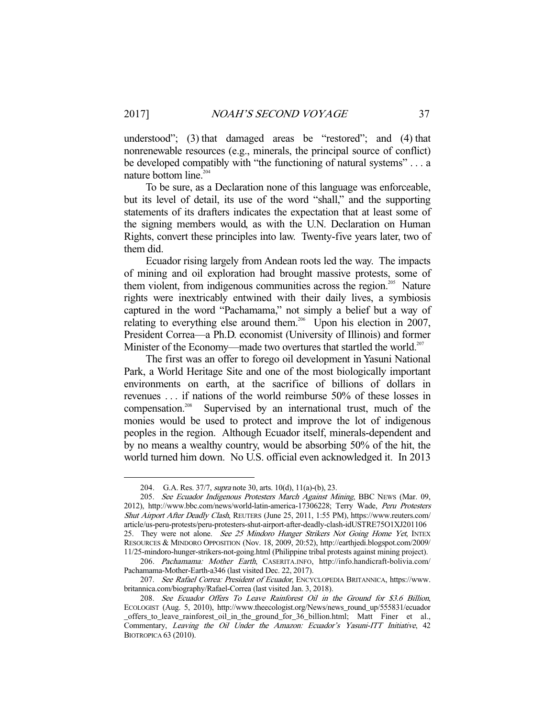understood"; (3) that damaged areas be "restored"; and (4) that nonrenewable resources (e.g., minerals, the principal source of conflict) be developed compatibly with "the functioning of natural systems" . . . a nature bottom line.<sup>204</sup>

 To be sure, as a Declaration none of this language was enforceable, but its level of detail, its use of the word "shall," and the supporting statements of its drafters indicates the expectation that at least some of the signing members would, as with the U.N. Declaration on Human Rights, convert these principles into law. Twenty-five years later, two of them did.

 Ecuador rising largely from Andean roots led the way. The impacts of mining and oil exploration had brought massive protests, some of them violent, from indigenous communities across the region.<sup>205</sup> Nature rights were inextricably entwined with their daily lives, a symbiosis captured in the word "Pachamama," not simply a belief but a way of relating to everything else around them.<sup>206</sup> Upon his election in 2007, President Correa—a Ph.D. economist (University of Illinois) and former Minister of the Economy—made two overtures that startled the world.<sup>207</sup>

 The first was an offer to forego oil development in Yasuni National Park, a World Heritage Site and one of the most biologically important environments on earth, at the sacrifice of billions of dollars in revenues . . . if nations of the world reimburse 50% of these losses in compensation.<sup>208</sup> Supervised by an international trust, much of the monies would be used to protect and improve the lot of indigenous peoples in the region. Although Ecuador itself, minerals-dependent and by no means a wealthy country, would be absorbing 50% of the hit, the world turned him down. No U.S. official even acknowledged it. In 2013

<sup>204.</sup> G.A. Res. 37/7, *supra* note 30, arts. 10(d), 11(a)-(b), 23.

<sup>205.</sup> See Ecuador Indigenous Protesters March Against Mining, BBC News (Mar. 09, 2012), http://www.bbc.com/news/world-latin-america-17306228; Terry Wade, Peru Protesters Shut Airport After Deadly Clash, REUTERS (June 25, 2011, 1:55 PM), https://www.reuters.com/ article/us-peru-protests/peru-protesters-shut-airport-after-deadly-clash-idUSTRE75O1XJ201106 25. They were not alone. See 25 Mindoro Hunger Strikers Not Going Home Yet, INTEX RESOURCES & MINDORO OPPOSITION (Nov. 18, 2009, 20:52), http://earthjedi.blogspot.com/2009/ 11/25-mindoro-hunger-strikers-not-going.html (Philippine tribal protests against mining project).

 <sup>206.</sup> Pachamama: Mother Earth, CASERITA.INFO, http://info.handicraft-bolivia.com/ Pachamama-Mother-Earth-a346 (last visited Dec. 22, 2017).

 <sup>207.</sup> See Rafael Correa: President of Ecuador, ENCYCLOPEDIA BRITANNICA, https://www. britannica.com/biography/Rafael-Correa (last visited Jan. 3, 2018).

 <sup>208.</sup> See Ecuador Offers To Leave Rainforest Oil in the Ground for \$3.6 Billion, ECOLOGIST (Aug. 5, 2010), http://www.theecologist.org/News/news\_round\_up/555831/ecuador \_offers\_to\_leave\_rainforest\_oil\_in\_the\_ground\_for\_36\_billion.html; Matt Finer et al., Commentary, Leaving the Oil Under the Amazon: Ecuador's Yasuni-ITT Initiative, 42 BIOTROPICA 63 (2010).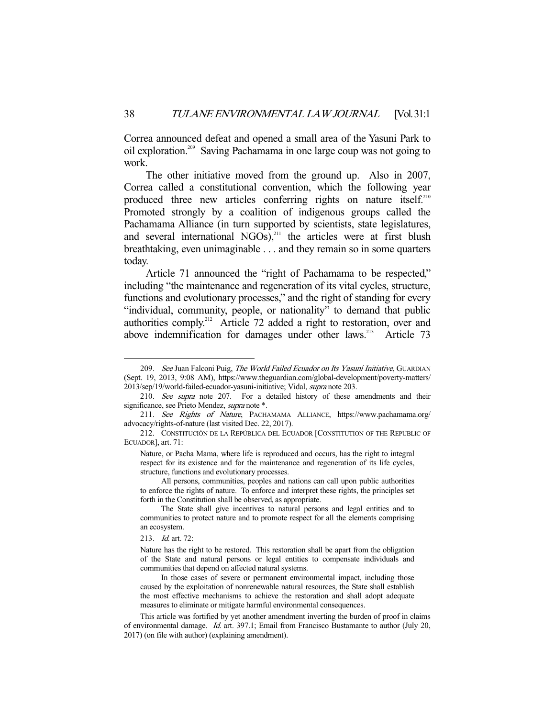Correa announced defeat and opened a small area of the Yasuni Park to oil exploration.209 Saving Pachamama in one large coup was not going to work.

 The other initiative moved from the ground up. Also in 2007, Correa called a constitutional convention, which the following year produced three new articles conferring rights on nature itself.<sup>210</sup> Promoted strongly by a coalition of indigenous groups called the Pachamama Alliance (in turn supported by scientists, state legislatures, and several international NGOs),<sup>211</sup> the articles were at first blush breathtaking, even unimaginable . . . and they remain so in some quarters today.

 Article 71 announced the "right of Pachamama to be respected," including "the maintenance and regeneration of its vital cycles, structure, functions and evolutionary processes," and the right of standing for every "individual, community, people, or nationality" to demand that public authorities comply.<sup>212</sup> Article 72 added a right to restoration, over and above indemnification for damages under other  $laws$ <sup>213</sup> Article 73

<sup>209.</sup> See Juan Falconi Puig, The World Failed Ecuador on Its Yasuní Initiative, GUARDIAN (Sept. 19, 2013, 9:08 AM), https://www.theguardian.com/global-development/poverty-matters/ 2013/sep/19/world-failed-ecuador-yasuni-initiative; Vidal, supra note 203.

<sup>210.</sup> See supra note 207. For a detailed history of these amendments and their significance, see Prieto Mendez, *supra* note \*.

 <sup>211.</sup> See Rights of Nature, PACHAMAMA ALLIANCE, https://www.pachamama.org/ advocacy/rights-of-nature (last visited Dec. 22, 2017).

 <sup>212.</sup> CONSTITUCIÓN DE LA REPÚBLICA DEL ECUADOR [CONSTITUTION OF THE REPUBLIC OF ECUADOR], art. 71:

Nature, or Pacha Mama, where life is reproduced and occurs, has the right to integral respect for its existence and for the maintenance and regeneration of its life cycles, structure, functions and evolutionary processes.

All persons, communities, peoples and nations can call upon public authorities to enforce the rights of nature. To enforce and interpret these rights, the principles set forth in the Constitution shall be observed, as appropriate.

The State shall give incentives to natural persons and legal entities and to communities to protect nature and to promote respect for all the elements comprising an ecosystem.

 <sup>213.</sup> Id. art. 72:

Nature has the right to be restored. This restoration shall be apart from the obligation of the State and natural persons or legal entities to compensate individuals and communities that depend on affected natural systems.

In those cases of severe or permanent environmental impact, including those caused by the exploitation of nonrenewable natural resources, the State shall establish the most effective mechanisms to achieve the restoration and shall adopt adequate measures to eliminate or mitigate harmful environmental consequences.

This article was fortified by yet another amendment inverting the burden of proof in claims of environmental damage. Id. art. 397.1; Email from Francisco Bustamante to author (July 20, 2017) (on file with author) (explaining amendment).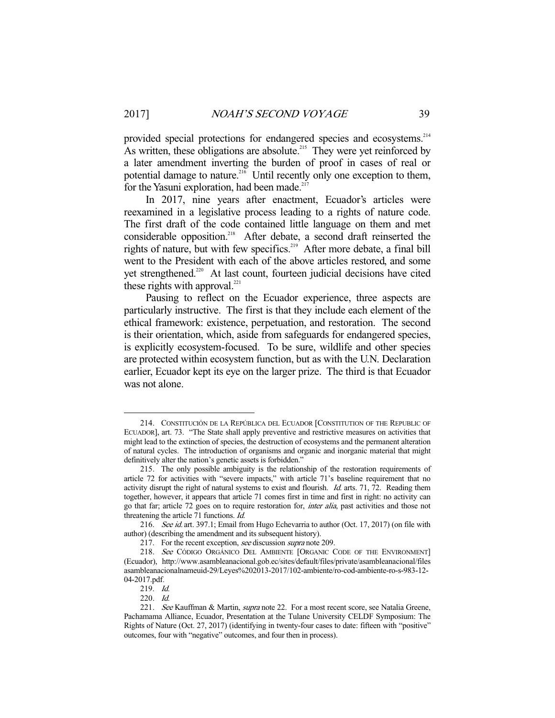provided special protections for endangered species and ecosystems.<sup>214</sup> As written, these obligations are absolute.<sup>215</sup> They were yet reinforced by a later amendment inverting the burden of proof in cases of real or potential damage to nature.<sup>216</sup> Until recently only one exception to them, for the Yasuni exploration, had been made.<sup>217</sup>

 In 2017, nine years after enactment, Ecuador's articles were reexamined in a legislative process leading to a rights of nature code. The first draft of the code contained little language on them and met considerable opposition.<sup>218</sup> After debate, a second draft reinserted the rights of nature, but with few specifics.<sup>219</sup> After more debate, a final bill went to the President with each of the above articles restored, and some yet strengthened.<sup>220</sup> At last count, fourteen judicial decisions have cited these rights with approval. $221$ 

 Pausing to reflect on the Ecuador experience, three aspects are particularly instructive. The first is that they include each element of the ethical framework: existence, perpetuation, and restoration. The second is their orientation, which, aside from safeguards for endangered species, is explicitly ecosystem-focused. To be sure, wildlife and other species are protected within ecosystem function, but as with the U.N. Declaration earlier, Ecuador kept its eye on the larger prize. The third is that Ecuador was not alone.

 <sup>214.</sup> CONSTITUCIÓN DE LA REPÚBLICA DEL ECUADOR [CONSTITUTION OF THE REPUBLIC OF ECUADOR], art. 73. "The State shall apply preventive and restrictive measures on activities that might lead to the extinction of species, the destruction of ecosystems and the permanent alteration of natural cycles. The introduction of organisms and organic and inorganic material that might definitively alter the nation's genetic assets is forbidden."

 <sup>215.</sup> The only possible ambiguity is the relationship of the restoration requirements of article 72 for activities with "severe impacts," with article 71's baseline requirement that no activity disrupt the right of natural systems to exist and flourish. Id. arts. 71, 72. Reading them together, however, it appears that article 71 comes first in time and first in right: no activity can go that far; article 72 goes on to require restoration for, inter alia, past activities and those not threatening the article 71 functions. Id.

<sup>216.</sup> See id. art. 397.1; Email from Hugo Echevarria to author (Oct. 17, 2017) (on file with author) (describing the amendment and its subsequent history).

<sup>217.</sup> For the recent exception, see discussion supra note 209.

 <sup>218.</sup> See CÓDIGO ORGÁNICO DEL AMBIENTE [ORGANIC CODE OF THE ENVIRONMENT] (Ecuador), http://www.asambleanacional.gob.ec/sites/default/files/private/asambleanacional/files asambleanacionalnameuid-29/Leyes%202013-2017/102-ambiente/ro-cod-ambiente-ro-s-983-12- 04-2017.pdf.

 <sup>219.</sup> Id.

 <sup>220.</sup> Id.

<sup>221.</sup> See Kauffman & Martin, supra note 22. For a most recent score, see Natalia Greene, Pachamama Alliance, Ecuador, Presentation at the Tulane University CELDF Symposium: The Rights of Nature (Oct. 27, 2017) (identifying in twenty-four cases to date: fifteen with "positive" outcomes, four with "negative" outcomes, and four then in process).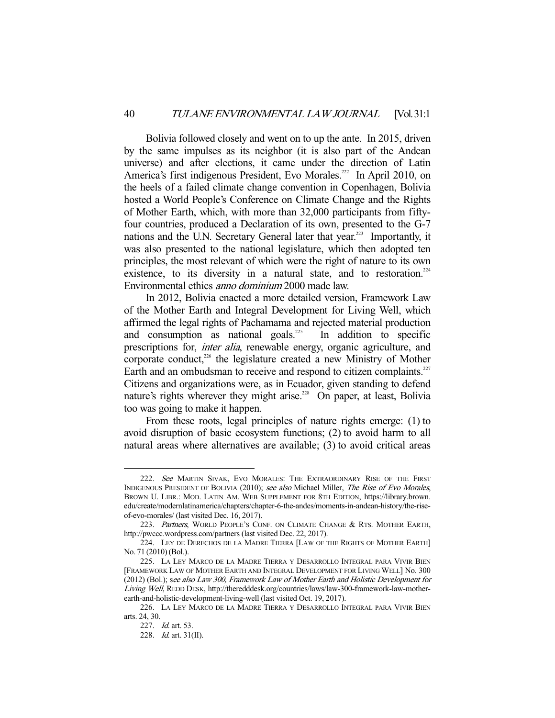Bolivia followed closely and went on to up the ante. In 2015, driven by the same impulses as its neighbor (it is also part of the Andean universe) and after elections, it came under the direction of Latin America's first indigenous President, Evo Morales.<sup>222</sup> In April 2010, on the heels of a failed climate change convention in Copenhagen, Bolivia hosted a World People's Conference on Climate Change and the Rights of Mother Earth, which, with more than 32,000 participants from fiftyfour countries, produced a Declaration of its own, presented to the G-7 nations and the U.N. Secretary General later that year.<sup>223</sup> Importantly, it was also presented to the national legislature, which then adopted ten principles, the most relevant of which were the right of nature to its own existence, to its diversity in a natural state, and to restoration.<sup>224</sup> Environmental ethics anno dominium 2000 made law.

 In 2012, Bolivia enacted a more detailed version, Framework Law of the Mother Earth and Integral Development for Living Well, which affirmed the legal rights of Pachamama and rejected material production and consumption as national goals.<sup>225</sup> In addition to specific prescriptions for, inter alia, renewable energy, organic agriculture, and corporate conduct,<sup>226</sup> the legislature created a new Ministry of Mother Earth and an ombudsman to receive and respond to citizen complaints.<sup>227</sup> Citizens and organizations were, as in Ecuador, given standing to defend nature's rights wherever they might arise.<sup>228</sup> On paper, at least, Bolivia too was going to make it happen.

 From these roots, legal principles of nature rights emerge: (1) to avoid disruption of basic ecosystem functions; (2) to avoid harm to all natural areas where alternatives are available; (3) to avoid critical areas

<sup>222.</sup> See MARTIN SIVAK, EVO MORALES: THE EXTRAORDINARY RISE OF THE FIRST INDIGENOUS PRESIDENT OF BOLIVIA (2010); see also Michael Miller, The Rise of Evo Morales, BROWN U. LIBR.: MOD. LATIN AM. WEB SUPPLEMENT FOR 8TH EDITION, https://library.brown. edu/create/modernlatinamerica/chapters/chapter-6-the-andes/moments-in-andean-history/the-riseof-evo-morales/ (last visited Dec. 16, 2017).

<sup>223.</sup> Partners, WORLD PEOPLE'S CONF. ON CLIMATE CHANGE & RTS. MOTHER EARTH, http://pwccc.wordpress.com/partners (last visited Dec. 22, 2017).

 <sup>224.</sup> LEY DE DERECHOS DE LA MADRE TIERRA [LAW OF THE RIGHTS OF MOTHER EARTH] No. 71 (2010) (Bol.).

 <sup>225.</sup> LA LEY MARCO DE LA MADRE TIERRA Y DESARROLLO INTEGRAL PARA VIVIR BIEN [FRAMEWORK LAW OF MOTHER EARTH AND INTEGRAL DEVELOPMENT FOR LIVING WELL] No. 300 (2012) (Bol.); see also Law 300, Framework Law of Mother Earth and Holistic Development for Living Well, REDD DESK, http://theredddesk.org/countries/laws/law-300-framework-law-motherearth-and-holistic-development-living-well (last visited Oct. 19, 2017).

 <sup>226.</sup> LA LEY MARCO DE LA MADRE TIERRA Y DESARROLLO INTEGRAL PARA VIVIR BIEN arts. 24, 30.

 <sup>227.</sup> Id. art. 53.

 <sup>228.</sup> Id. art. 31(II).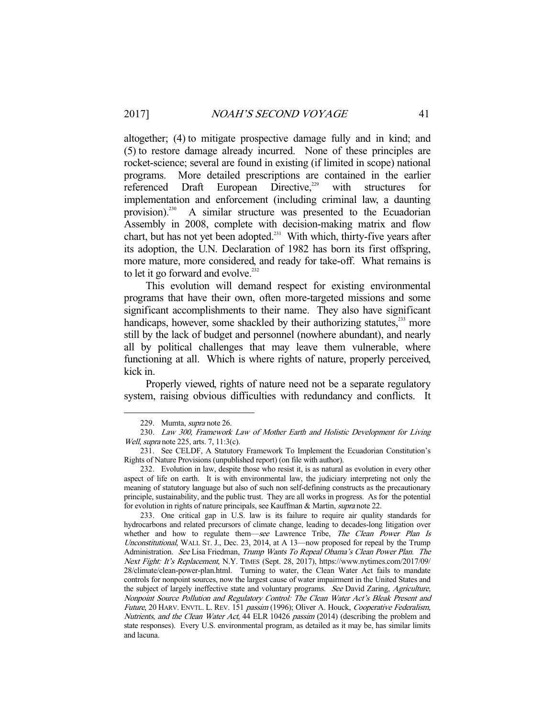altogether; (4) to mitigate prospective damage fully and in kind; and (5) to restore damage already incurred. None of these principles are rocket-science; several are found in existing (if limited in scope) national programs. More detailed prescriptions are contained in the earlier referenced Draft European Directive,<sup>229</sup> with structures for implementation and enforcement (including criminal law, a daunting provision).<sup>230</sup> A similar structure was presented to the Ecuadorian Assembly in 2008, complete with decision-making matrix and flow chart, but has not yet been adopted. $^{231}$  With which, thirty-five years after its adoption, the U.N. Declaration of 1982 has born its first offspring, more mature, more considered, and ready for take-off. What remains is to let it go forward and evolve.<sup>232</sup>

 This evolution will demand respect for existing environmental programs that have their own, often more-targeted missions and some significant accomplishments to their name. They also have significant handicaps, however, some shackled by their authorizing statutes,<sup>233</sup> more still by the lack of budget and personnel (nowhere abundant), and nearly all by political challenges that may leave them vulnerable, where functioning at all. Which is where rights of nature, properly perceived, kick in.

 Properly viewed, rights of nature need not be a separate regulatory system, raising obvious difficulties with redundancy and conflicts. It

 <sup>229.</sup> Mumta, supra note 26.

 <sup>230.</sup> Law 300, Framework Law of Mother Earth and Holistic Development for Living Well, *supra* note 225, arts. 7, 11:3(c).

 <sup>231.</sup> See CELDF, A Statutory Framework To Implement the Ecuadorian Constitution's Rights of Nature Provisions (unpublished report) (on file with author).

 <sup>232.</sup> Evolution in law, despite those who resist it, is as natural as evolution in every other aspect of life on earth. It is with environmental law, the judiciary interpreting not only the meaning of statutory language but also of such non self-defining constructs as the precautionary principle, sustainability, and the public trust. They are all works in progress. As for the potential for evolution in rights of nature principals, see Kauffman & Martin, supra note 22.

 <sup>233.</sup> One critical gap in U.S. law is its failure to require air quality standards for hydrocarbons and related precursors of climate change, leading to decades-long litigation over whether and how to regulate them—see Lawrence Tribe, The Clean Power Plan Is Unconstitutional, WALL ST. J., Dec. 23, 2014, at A 13—now proposed for repeal by the Trump Administration. See Lisa Friedman, Trump Wants To Repeal Obama's Clean Power Plan. The Next Fight: It's Replacement, N.Y. TIMES (Sept. 28, 2017), https://www.nytimes.com/2017/09/ 28/climate/clean-power-plan.html. Turning to water, the Clean Water Act fails to mandate controls for nonpoint sources, now the largest cause of water impairment in the United States and the subject of largely ineffective state and voluntary programs. See David Zaring, Agriculture, Nonpoint Source Pollution and Regulatory Control: The Clean Water Act's Bleak Present and Future, 20 HARV. ENVTL. L. REV. 151 passim (1996); Oliver A. Houck, Cooperative Federalism, Nutrients, and the Clean Water Act, 44 ELR 10426 passim (2014) (describing the problem and state responses). Every U.S. environmental program, as detailed as it may be, has similar limits and lacuna.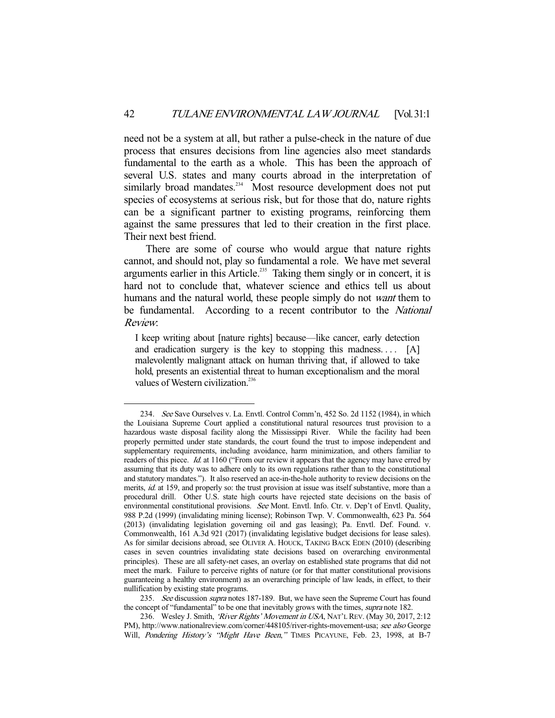need not be a system at all, but rather a pulse-check in the nature of due process that ensures decisions from line agencies also meet standards fundamental to the earth as a whole. This has been the approach of several U.S. states and many courts abroad in the interpretation of similarly broad mandates.<sup>234</sup> Most resource development does not put species of ecosystems at serious risk, but for those that do, nature rights can be a significant partner to existing programs, reinforcing them against the same pressures that led to their creation in the first place. Their next best friend.

 There are some of course who would argue that nature rights cannot, and should not, play so fundamental a role. We have met several arguments earlier in this Article.<sup>235</sup> Taking them singly or in concert, it is hard not to conclude that, whatever science and ethics tell us about humans and the natural world, these people simply do not *want* them to be fundamental. According to a recent contributor to the National Review:

I keep writing about [nature rights] because—like cancer, early detection and eradication surgery is the key to stopping this madness....  $[A]$ malevolently malignant attack on human thriving that, if allowed to take hold, presents an existential threat to human exceptionalism and the moral values of Western civilization.<sup>236</sup>

 <sup>234.</sup> See Save Ourselves v. La. Envtl. Control Comm'n, 452 So. 2d 1152 (1984), in which the Louisiana Supreme Court applied a constitutional natural resources trust provision to a hazardous waste disposal facility along the Mississippi River. While the facility had been properly permitted under state standards, the court found the trust to impose independent and supplementary requirements, including avoidance, harm minimization, and others familiar to readers of this piece. Id. at 1160 ("From our review it appears that the agency may have erred by assuming that its duty was to adhere only to its own regulations rather than to the constitutional and statutory mandates."). It also reserved an ace-in-the-hole authority to review decisions on the merits, id. at 159, and properly so: the trust provision at issue was itself substantive, more than a procedural drill. Other U.S. state high courts have rejected state decisions on the basis of environmental constitutional provisions. See Mont. Envtl. Info. Ctr. v. Dep't of Envtl. Quality, 988 P.2d (1999) (invalidating mining license); Robinson Twp. V. Commonwealth, 623 Pa. 564 (2013) (invalidating legislation governing oil and gas leasing); Pa. Envtl. Def. Found. v. Commonwealth, 161 A.3d 921 (2017) (invalidating legislative budget decisions for lease sales). As for similar decisions abroad, see OLIVER A. HOUCK, TAKING BACK EDEN (2010) (describing cases in seven countries invalidating state decisions based on overarching environmental principles). These are all safety-net cases, an overlay on established state programs that did not meet the mark. Failure to perceive rights of nature (or for that matter constitutional provisions guaranteeing a healthy environment) as an overarching principle of law leads, in effect, to their nullification by existing state programs.

<sup>235.</sup> See discussion *supra* notes 187-189. But, we have seen the Supreme Court has found the concept of "fundamental" to be one that inevitably grows with the times, *supra* note 182.

<sup>236.</sup> Wesley J. Smith, 'River Rights' Movement in USA, NAT'L REV. (May 30, 2017, 2:12) PM), http://www.nationalreview.com/corner/448105/river-rights-movement-usa; see also George Will, Pondering History's "Might Have Been," TIMES PICAYUNE, Feb. 23, 1998, at B-7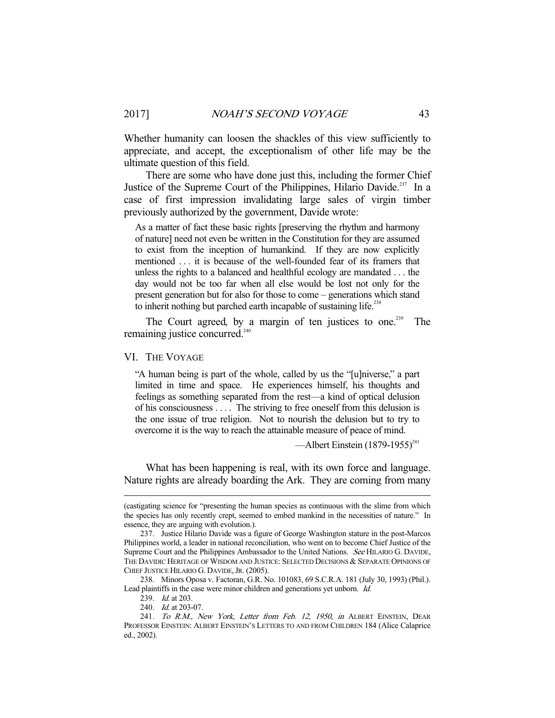Whether humanity can loosen the shackles of this view sufficiently to appreciate, and accept, the exceptionalism of other life may be the ultimate question of this field.

 There are some who have done just this, including the former Chief Justice of the Supreme Court of the Philippines, Hilario Davide.<sup>237</sup> In a case of first impression invalidating large sales of virgin timber previously authorized by the government, Davide wrote:

As a matter of fact these basic rights [preserving the rhythm and harmony of nature] need not even be written in the Constitution for they are assumed to exist from the inception of humankind. If they are now explicitly mentioned . . . it is because of the well-founded fear of its framers that unless the rights to a balanced and healthful ecology are mandated . . . the day would not be too far when all else would be lost not only for the present generation but for also for those to come – generations which stand to inherit nothing but parched earth incapable of sustaining life.<sup>238</sup>

The Court agreed, by a margin of ten justices to one.<sup>239</sup> The remaining justice concurred.<sup>240</sup>

VI. THE VOYAGE

"A human being is part of the whole, called by us the "[u]niverse," a part limited in time and space. He experiences himself, his thoughts and feelings as something separated from the rest—a kind of optical delusion of his consciousness . . . . The striving to free oneself from this delusion is the one issue of true religion. Not to nourish the delusion but to try to overcome it is the way to reach the attainable measure of peace of mind.

—Albert Einstein  $(1879-1955)^{241}$ 

 What has been happening is real, with its own force and language. Nature rights are already boarding the Ark. They are coming from many

<sup>(</sup>castigating science for "presenting the human species as continuous with the slime from which the species has only recently crept, seemed to embed mankind in the necessities of nature." In essence, they are arguing with evolution.).

 <sup>237.</sup> Justice Hilario Davide was a figure of George Washington stature in the post-Marcos Philippines world, a leader in national reconciliation, who went on to become Chief Justice of the Supreme Court and the Philippines Ambassador to the United Nations. See HILARIO G. DAVIDE, THE DAVIDIC HERITAGE OF WISDOM AND JUSTICE: SELECTED DECISIONS & SEPARATE OPINIONS OF CHIEF JUSTICE HILARIO G. DAVIDE, JR. (2005).

 <sup>238.</sup> Minors Oposa v. Factoran, G.R. No. 101083, 69 S.C.R.A. 181 (July 30, 1993) (Phil.). Lead plaintiffs in the case were minor children and generations yet unborn. Id.

<sup>239.</sup> *Id.* at 203.

 <sup>240.</sup> Id. at 203-07.

<sup>241.</sup> To R.M., New York, Letter from Feb. 12, 1950, in ALBERT EINSTEIN, DEAR PROFESSOR EINSTEIN: ALBERT EINSTEIN'S LETTERS TO AND FROM CHILDREN 184 (Alice Calaprice ed., 2002).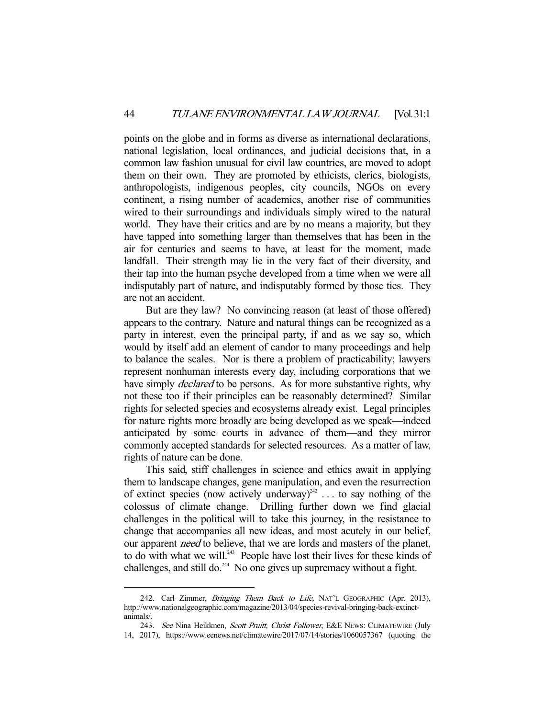points on the globe and in forms as diverse as international declarations, national legislation, local ordinances, and judicial decisions that, in a common law fashion unusual for civil law countries, are moved to adopt them on their own. They are promoted by ethicists, clerics, biologists, anthropologists, indigenous peoples, city councils, NGOs on every continent, a rising number of academics, another rise of communities wired to their surroundings and individuals simply wired to the natural world. They have their critics and are by no means a majority, but they have tapped into something larger than themselves that has been in the air for centuries and seems to have, at least for the moment, made landfall. Their strength may lie in the very fact of their diversity, and their tap into the human psyche developed from a time when we were all indisputably part of nature, and indisputably formed by those ties. They are not an accident.

 But are they law? No convincing reason (at least of those offered) appears to the contrary. Nature and natural things can be recognized as a party in interest, even the principal party, if and as we say so, which would by itself add an element of candor to many proceedings and help to balance the scales. Nor is there a problem of practicability; lawyers represent nonhuman interests every day, including corporations that we have simply *declared* to be persons. As for more substantive rights, why not these too if their principles can be reasonably determined? Similar rights for selected species and ecosystems already exist. Legal principles for nature rights more broadly are being developed as we speak—indeed anticipated by some courts in advance of them—and they mirror commonly accepted standards for selected resources. As a matter of law, rights of nature can be done.

 This said, stiff challenges in science and ethics await in applying them to landscape changes, gene manipulation, and even the resurrection of extinct species (now actively underway)<sup>242</sup> ... to say nothing of the colossus of climate change. Drilling further down we find glacial challenges in the political will to take this journey, in the resistance to change that accompanies all new ideas, and most acutely in our belief, our apparent *need* to believe, that we are lords and masters of the planet, to do with what we will.<sup>243</sup> People have lost their lives for these kinds of challenges, and still do.<sup>244</sup> No one gives up supremacy without a fight.

<sup>242.</sup> Carl Zimmer, Bringing Them Back to Life, NAT'L GEOGRAPHIC (Apr. 2013), http://www.nationalgeographic.com/magazine/2013/04/species-revival-bringing-back-extinctanimals/.

<sup>243.</sup> See Nina Heikknen, Scott Pruitt, Christ Follower, E&E NEWS: CLIMATEWIRE (July 14, 2017), https://www.eenews.net/climatewire/2017/07/14/stories/1060057367 (quoting the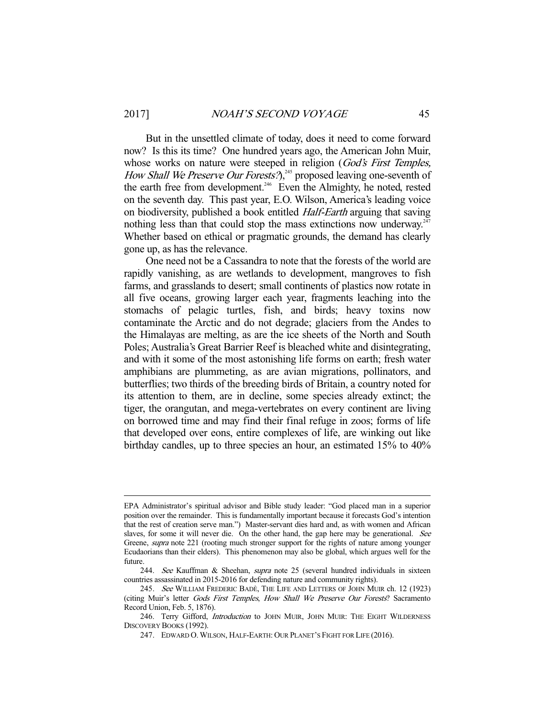But in the unsettled climate of today, does it need to come forward now? Is this its time? One hundred years ago, the American John Muir, whose works on nature were steeped in religion (God's First Temples, How Shall We Preserve Our Forests?),<sup>245</sup> proposed leaving one-seventh of the earth free from development.<sup>246</sup> Even the Almighty, he noted, rested on the seventh day. This past year, E.O. Wilson, America's leading voice on biodiversity, published a book entitled Half-Earth arguing that saving nothing less than that could stop the mass extinctions now underway. $247$ Whether based on ethical or pragmatic grounds, the demand has clearly gone up, as has the relevance.

 One need not be a Cassandra to note that the forests of the world are rapidly vanishing, as are wetlands to development, mangroves to fish farms, and grasslands to desert; small continents of plastics now rotate in all five oceans, growing larger each year, fragments leaching into the stomachs of pelagic turtles, fish, and birds; heavy toxins now contaminate the Arctic and do not degrade; glaciers from the Andes to the Himalayas are melting, as are the ice sheets of the North and South Poles; Australia's Great Barrier Reef is bleached white and disintegrating, and with it some of the most astonishing life forms on earth; fresh water amphibians are plummeting, as are avian migrations, pollinators, and butterflies; two thirds of the breeding birds of Britain, a country noted for its attention to them, are in decline, some species already extinct; the tiger, the orangutan, and mega-vertebrates on every continent are living on borrowed time and may find their final refuge in zoos; forms of life that developed over eons, entire complexes of life, are winking out like birthday candles, up to three species an hour, an estimated 15% to 40%

EPA Administrator's spiritual advisor and Bible study leader: "God placed man in a superior position over the remainder. This is fundamentally important because it forecasts God's intention that the rest of creation serve man.") Master-servant dies hard and, as with women and African slaves, for some it will never die. On the other hand, the gap here may be generational. See Greene, *supra* note 221 (rooting much stronger support for the rights of nature among younger Ecudaorians than their elders). This phenomenon may also be global, which argues well for the future.

<sup>244.</sup> See Kauffman & Sheehan, *supra* note 25 (several hundred individuals in sixteen countries assassinated in 2015-2016 for defending nature and community rights).

<sup>245.</sup> See WILLIAM FREDERIC BADÈ, THE LIFE AND LETTERS OF JOHN MUIR ch. 12 (1923) (citing Muir's letter Gods First Temples, How Shall We Preserve Our Forests? Sacramento Record Union, Feb. 5, 1876).

<sup>246.</sup> Terry Gifford, *Introduction* to JOHN MUIR, JOHN MUIR: THE EIGHT WILDERNESS DISCOVERY BOOKS (1992).

 <sup>247.</sup> EDWARD O.WILSON, HALF-EARTH: OUR PLANET'S FIGHT FOR LIFE (2016).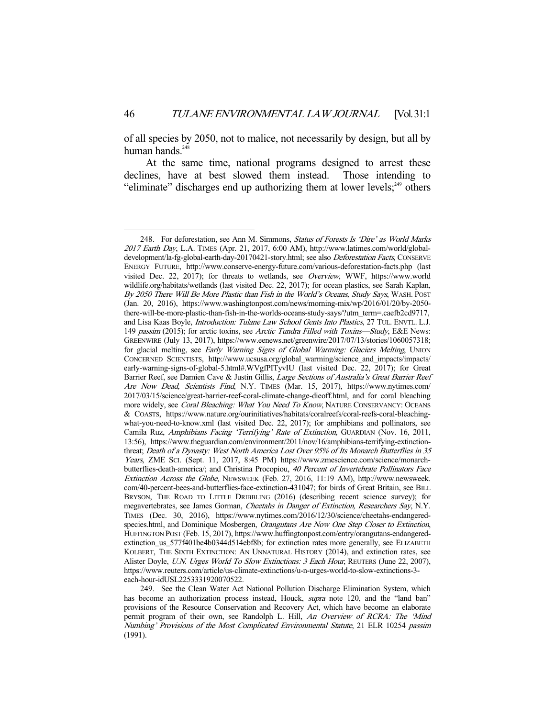of all species by 2050, not to malice, not necessarily by design, but all by human hands.<sup>24</sup>

 At the same time, national programs designed to arrest these declines, have at best slowed them instead. Those intending to "eliminate" discharges end up authorizing them at lower levels; $^{249}$  others

<sup>248.</sup> For deforestation, see Ann M. Simmons, Status of Forests Is 'Dire' as World Marks 2017 Earth Day, L.A. TIMES (Apr. 21, 2017, 6:00 AM), http://www.latimes.com/world/globaldevelopment/la-fg-global-earth-day-20170421-story.html; see also Deforestation Facts, CONSERVE ENERGY FUTURE, http://www.conserve-energy-future.com/various-deforestation-facts.php (last visited Dec. 22, 2017); for threats to wetlands, see Overview, WWF, https://www.world wildlife.org/habitats/wetlands (last visited Dec. 22, 2017); for ocean plastics, see Sarah Kaplan, By 2050 There Will Be More Plastic than Fish in the World's Oceans, Study Says, WASH. POST (Jan. 20, 2016), https://www.washingtonpost.com/news/morning-mix/wp/2016/01/20/by-2050 there-will-be-more-plastic-than-fish-in-the-worlds-oceans-study-says/?utm\_term=.caefb2cd9717, and Lisa Kaas Boyle, *Introduction: Tulane Law School Gents Into Plastics*, 27 TUL. ENVTL. L.J. 149 passim (2015); for arctic toxins, see Arctic Tundra Filled with Toxins—Study, E&E News: GREENWIRE (July 13, 2017), https://www.eenews.net/greenwire/2017/07/13/stories/1060057318; for glacial melting, see Early Warning Signs of Global Warming: Glaciers Melting, UNION CONCERNED SCIENTISTS, http://www.ucsusa.org/global\_warming/science\_and\_impacts/impacts/ early-warning-signs-of-global-5.html#.WVgfPITyvIU (last visited Dec. 22, 2017); for Great Barrier Reef, see Damien Cave & Justin Gillis, Large Sections of Australia's Great Barrier Reef Are Now Dead, Scientists Find, N.Y. TIMES (Mar. 15, 2017), https://www.nytimes.com/ 2017/03/15/science/great-barrier-reef-coral-climate-change-dieoff.html, and for coral bleaching more widely, see Coral Bleaching: What You Need To Know, NATURE CONSERVANCY: OCEANS & COASTS, https://www.nature.org/ourinitiatives/habitats/coralreefs/coral-reefs-coral-bleachingwhat-you-need-to-know.xml (last visited Dec. 22, 2017); for amphibians and pollinators, see Camila Ruz, Amphibians Facing 'Terrifying' Rate of Extinction, GUARDIAN (Nov. 16, 2011, 13:56), https://www.theguardian.com/environment/2011/nov/16/amphibians-terrifying-extinctionthreat; Death of a Dynasty: West North America Lost Over 95% of Its Monarch Butterflies in 35 Years, ZME SCI. (Sept. 11, 2017, 8:45 PM) https://www.zmescience.com/science/monarchbutterflies-death-america/; and Christina Procopiou, 40 Percent of Invertebrate Pollinators Face Extinction Across the Globe, NEWSWEEK (Feb. 27, 2016, 11:19 AM), http://www.newsweek. com/40-percent-bees-and-butterflies-face-extinction-431047; for birds of Great Britain, see BILL BRYSON, THE ROAD TO LITTLE DRIBBLING (2016) (describing recent science survey); for megavertebrates, see James Gorman, Cheetahs in Danger of Extinction, Researchers Say, N.Y. TIMES (Dec. 30, 2016), https://www.nytimes.com/2016/12/30/science/cheetahs-endangeredspecies.html, and Dominique Mosbergen, *Orangutans Are Now One Step Closer to Extinction*, HUFFINGTON POST (Feb. 15, 2017), https://www.huffingtonpost.com/entry/orangutans-endangeredextinction\_us\_577f401be4b0344d514ebf8b; for extinction rates more generally, see ELIZABETH KOLBERT, THE SIXTH EXTINCTION: AN UNNATURAL HISTORY (2014), and extinction rates, see Alister Doyle, U.N. Urges World To Slow Extinctions: 3 Each Hour, REUTERS (June 22, 2007), https://www.reuters.com/article/us-climate-extinctions/u-n-urges-world-to-slow-extinctions-3 each-hour-idUSL2253331920070522.

 <sup>249.</sup> See the Clean Water Act National Pollution Discharge Elimination System, which has become an authorization process instead, Houck, *supra* note 120, and the "land ban" provisions of the Resource Conservation and Recovery Act, which have become an elaborate permit program of their own, see Randolph L. Hill, An Overview of RCRA: The 'Mind Numbing' Provisions of the Most Complicated Environmental Statute, 21 ELR 10254 passim (1991).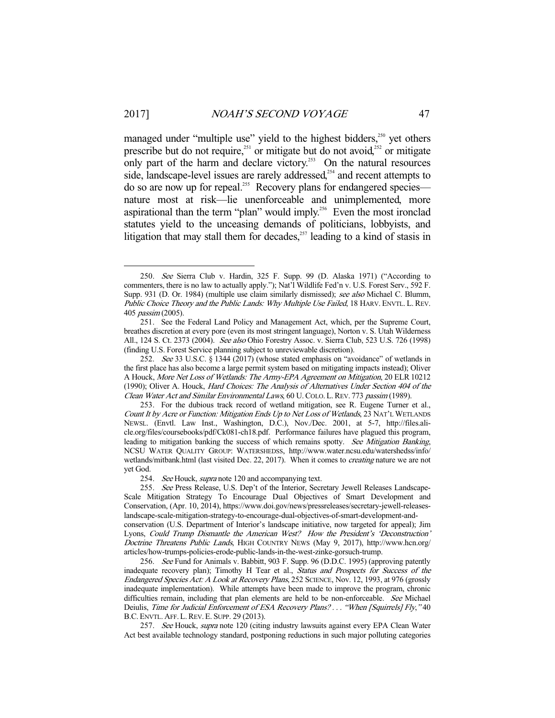managed under "multiple use" yield to the highest bidders,<sup>250</sup> yet others prescribe but do not require,<sup> $251$ </sup> or mitigate but do not avoid, $252$  or mitigate only part of the harm and declare victory.<sup>253</sup> On the natural resources side, landscape-level issues are rarely addressed,<sup>254</sup> and recent attempts to do so are now up for repeal.<sup>255</sup> Recovery plans for endangered species nature most at risk—lie unenforceable and unimplemented, more aspirational than the term "plan" would imply.<sup>256</sup> Even the most ironclad statutes yield to the unceasing demands of politicians, lobbyists, and litigation that may stall them for decades, $257$  leading to a kind of stasis in

 <sup>250.</sup> See Sierra Club v. Hardin, 325 F. Supp. 99 (D. Alaska 1971) ("According to commenters, there is no law to actually apply."); Nat'l Wildlife Fed'n v. U.S. Forest Serv., 592 F. Supp. 931 (D. Or. 1984) (multiple use claim similarly dismissed); see also Michael C. Blumm, Public Choice Theory and the Public Lands: Why Multiple Use Failed, 18 HARV. ENVTL. L. REV. 405 passim (2005).

 <sup>251.</sup> See the Federal Land Policy and Management Act, which, per the Supreme Court, breathes discretion at every pore (even its most stringent language), Norton v. S. Utah Wilderness All., 124 S. Ct. 2373 (2004). See also Ohio Forestry Assoc. v. Sierra Club, 523 U.S. 726 (1998) (finding U.S. Forest Service planning subject to unreviewable discretion).

<sup>252.</sup> See 33 U.S.C.  $\S$  1344 (2017) (whose stated emphasis on "avoidance" of wetlands in the first place has also become a large permit system based on mitigating impacts instead); Oliver A Houck, More Net Loss of Wetlands: The Army-EPA Agreement on Mitigation, 20 ELR10212 (1990); Oliver A. Houck, Hard Choices: The Analysis of Alternatives Under Section 404 of the Clean Water Act and Similar Environmental Laws, 60 U.COLO. L.REV. 773 passim (1989).

 <sup>253.</sup> For the dubious track record of wetland mitigation, see R. Eugene Turner et al., Count It by Acre or Function: Mitigation Ends Up to Net Loss of Wetlands, 23 NAT'L WETLANDS NEWSL. (Envtl. Law Inst., Washington, D.C.), Nov./Dec. 2001, at 5-7, http://files.alicle.org/files/coursebooks/pdf/Ck081-ch18.pdf. Performance failures have plagued this program, leading to mitigation banking the success of which remains spotty. See Mitigation Banking, NCSU WATER QUALITY GROUP: WATERSHEDSS, http://www.water.ncsu.edu/watershedss/info/ wetlands/mitbank.html (last visited Dec. 22, 2017). When it comes to *creating* nature we are not yet God.

<sup>254.</sup> See Houck, supra note 120 and accompanying text.

<sup>255.</sup> See Press Release, U.S. Dep't of the Interior, Secretary Jewell Releases Landscape-Scale Mitigation Strategy To Encourage Dual Objectives of Smart Development and Conservation, (Apr. 10, 2014), https://www.doi.gov/news/pressreleases/secretary-jewell-releaseslandscape-scale-mitigation-strategy-to-encourage-dual-objectives-of-smart-development-and-

conservation (U.S. Department of Interior's landscape initiative, now targeted for appeal); Jim Lyons, Could Trump Dismantle the American West? How the President's 'Deconstruction' Doctrine Threatens Public Lands, HIGH COUNTRY NEWS (May 9, 2017), http://www.hcn.org/ articles/how-trumps-policies-erode-public-lands-in-the-west-zinke-gorsuch-trump.

<sup>256.</sup> See Fund for Animals v. Babbitt, 903 F. Supp. 96 (D.D.C. 1995) (approving patently inadequate recovery plan); Timothy H Tear et al., Status and Prospects for Success of the Endangered Species Act: A Look at Recovery Plans, 252 SCIENCE, Nov. 12, 1993, at 976 (grossly inadequate implementation). While attempts have been made to improve the program, chronic difficulties remain, including that plan elements are held to be non-enforceable. See Michael Deiulis, Time for Judicial Enforcement of ESA Recovery Plans? . . . "When [Squirrels] Fly," 40 B.C. ENVTL. AFF. L. REV. E. SUPP. 29 (2013).

<sup>257.</sup> See Houck, supra note 120 (citing industry lawsuits against every EPA Clean Water Act best available technology standard, postponing reductions in such major polluting categories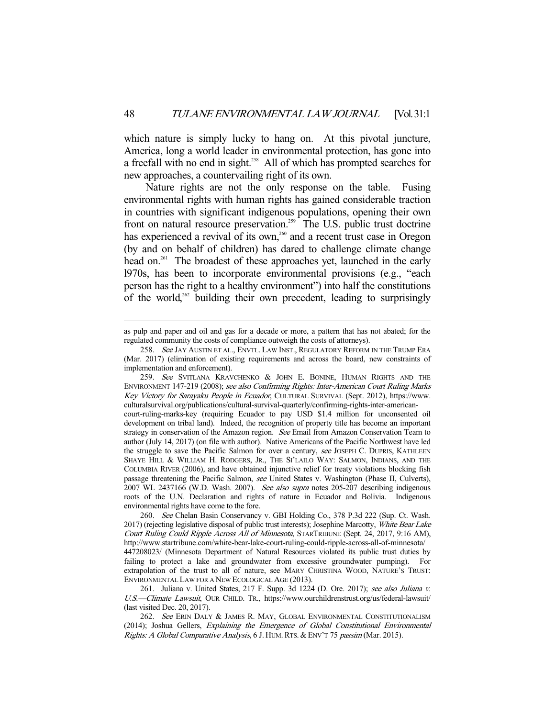which nature is simply lucky to hang on. At this pivotal juncture, America, long a world leader in environmental protection, has gone into a freefall with no end in sight.<sup>258</sup> All of which has prompted searches for new approaches, a countervailing right of its own.

 Nature rights are not the only response on the table. Fusing environmental rights with human rights has gained considerable traction in countries with significant indigenous populations, opening their own front on natural resource preservation.<sup>259</sup> The U.S. public trust doctrine has experienced a revival of its own,<sup>260</sup> and a recent trust case in Oregon (by and on behalf of children) has dared to challenge climate change head on.<sup>261</sup> The broadest of these approaches yet, launched in the early l970s, has been to incorporate environmental provisions (e.g., "each person has the right to a healthy environment") into half the constitutions of the world,<sup>262</sup> building their own precedent, leading to surprisingly

as pulp and paper and oil and gas for a decade or more, a pattern that has not abated; for the regulated community the costs of compliance outweigh the costs of attorneys).

<sup>258.</sup> See JAY AUSTIN ET AL., ENVTL. LAW INST., REGULATORY REFORM IN THE TRUMP ERA (Mar. 2017) (elimination of existing requirements and across the board, new constraints of implementation and enforcement).

<sup>259.</sup> See SVITLANA KRAVCHENKO & JOHN E. BONINE, HUMAN RIGHTS AND THE ENVIRONMENT 147-219 (2008); see also Confirming Rights: Inter-American Court Ruling Marks Key Victory for Sarayaku People in Ecuador, CULTURAL SURVIVAL (Sept. 2012), https://www. culturalsurvival.org/publications/cultural-survival-quarterly/confirming-rights-inter-american-

court-ruling-marks-key (requiring Ecuador to pay USD \$1.4 million for unconsented oil development on tribal land). Indeed, the recognition of property title has become an important strategy in conservation of the Amazon region. See Email from Amazon Conservation Team to author (July 14, 2017) (on file with author). Native Americans of the Pacific Northwest have led the struggle to save the Pacific Salmon for over a century, see JOSEPH C. DUPRIS, KATHLEEN SHAYE HILL & WILLIAM H. RODGERS, JR., THE SI'LAILO WAY: SALMON, INDIANS, AND THE COLUMBIA RIVER (2006), and have obtained injunctive relief for treaty violations blocking fish passage threatening the Pacific Salmon, see United States v. Washington (Phase II, Culverts), 2007 WL 2437166 (W.D. Wash. 2007). See also supra notes 205-207 describing indigenous roots of the U.N. Declaration and rights of nature in Ecuador and Bolivia. Indigenous environmental rights have come to the fore.

 <sup>260.</sup> See Chelan Basin Conservancy v. GBI Holding Co., 378 P.3d 222 (Sup. Ct. Wash. 2017) (rejecting legislative disposal of public trust interests); Josephine Marcotty, White Bear Lake Court Ruling Could Ripple Across All of Minnesota, STARTRIBUNE (Sept. 24, 2017, 9:16 AM), http://www.startribune.com/white-bear-lake-court-ruling-could-ripple-across-all-of-minnesota/ 447208023/ (Minnesota Department of Natural Resources violated its public trust duties by failing to protect a lake and groundwater from excessive groundwater pumping). For extrapolation of the trust to all of nature, see MARY CHRISTINA WOOD, NATURE'S TRUST: ENVIRONMENTAL LAW FOR A NEW ECOLOGICAL AGE (2013).

<sup>261.</sup> Juliana v. United States, 217 F. Supp. 3d 1224 (D. Ore. 2017); see also Juliana v. U.S.—Climate Lawsuit, OUR CHILD. TR., https://www.ourchildrenstrust.org/us/federal-lawsuit/ (last visited Dec. 20, 2017).

<sup>262.</sup> See ERIN DALY & JAMES R. MAY, GLOBAL ENVIRONMENTAL CONSTITUTIONALISM (2014); Joshua Gellers, Explaining the Emergence of Global Constitutional Environmental Rights: A Global Comparative Analysis, 6 J. HUM. RTS. & ENV'T 75 passim (Mar. 2015).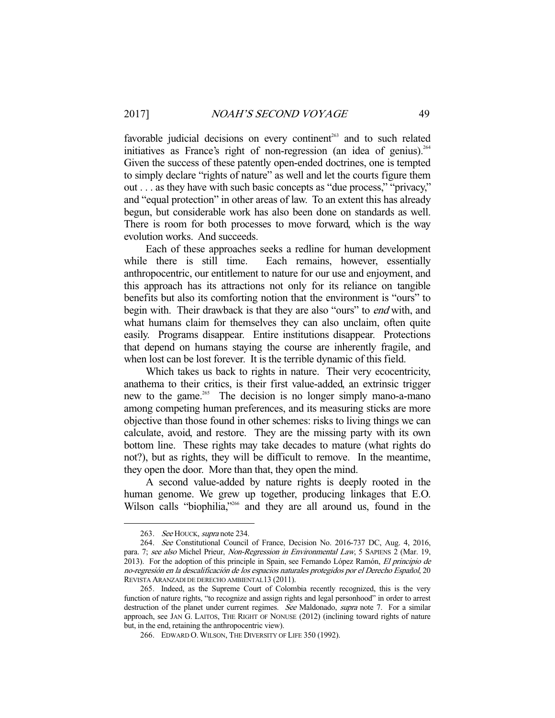favorable judicial decisions on every continent<sup>263</sup> and to such related initiatives as France's right of non-regression (an idea of genius).<sup>264</sup> Given the success of these patently open-ended doctrines, one is tempted to simply declare "rights of nature" as well and let the courts figure them out . . . as they have with such basic concepts as "due process," "privacy," and "equal protection" in other areas of law. To an extent this has already begun, but considerable work has also been done on standards as well. There is room for both processes to move forward, which is the way evolution works. And succeeds.

 Each of these approaches seeks a redline for human development while there is still time. Each remains, however, essentially anthropocentric, our entitlement to nature for our use and enjoyment, and this approach has its attractions not only for its reliance on tangible benefits but also its comforting notion that the environment is "ours" to begin with. Their drawback is that they are also "ours" to *end* with, and what humans claim for themselves they can also unclaim, often quite easily. Programs disappear. Entire institutions disappear. Protections that depend on humans staying the course are inherently fragile, and when lost can be lost forever. It is the terrible dynamic of this field.

 Which takes us back to rights in nature. Their very ecocentricity, anathema to their critics, is their first value-added, an extrinsic trigger new to the game.<sup>265</sup> The decision is no longer simply mano-a-mano among competing human preferences, and its measuring sticks are more objective than those found in other schemes: risks to living things we can calculate, avoid, and restore. They are the missing party with its own bottom line. These rights may take decades to mature (what rights do not?), but as rights, they will be difficult to remove. In the meantime, they open the door. More than that, they open the mind.

 A second value-added by nature rights is deeply rooted in the human genome. We grew up together, producing linkages that E.O. Wilson calls "biophilia,"<sup>266</sup> and they are all around us, found in the

<sup>263.</sup> See HOUCK, supra note 234.

 <sup>264.</sup> See Constitutional Council of France, Decision No. 2016-737 DC, Aug. 4, 2016, para. 7; see also Michel Prieur, Non-Regression in Environmental Law, 5 SAPIENS 2 (Mar. 19, 2013). For the adoption of this principle in Spain, see Fernando López Ramón, *El principio de* no-regresión en la descalificación de los espacios naturales protegidos por el Derecho Español, 20 REVISTA ARANZADI DE DERECHO AMBIENTAL13 (2011).

 <sup>265.</sup> Indeed, as the Supreme Court of Colombia recently recognized, this is the very function of nature rights, "to recognize and assign rights and legal personhood" in order to arrest destruction of the planet under current regimes. See Maldonado, supra note 7. For a similar approach, see JAN G. LAITOS, THE RIGHT OF NONUSE (2012) (inclining toward rights of nature but, in the end, retaining the anthropocentric view).

 <sup>266.</sup> EDWARD O.WILSON, THE DIVERSITY OF LIFE 350 (1992).